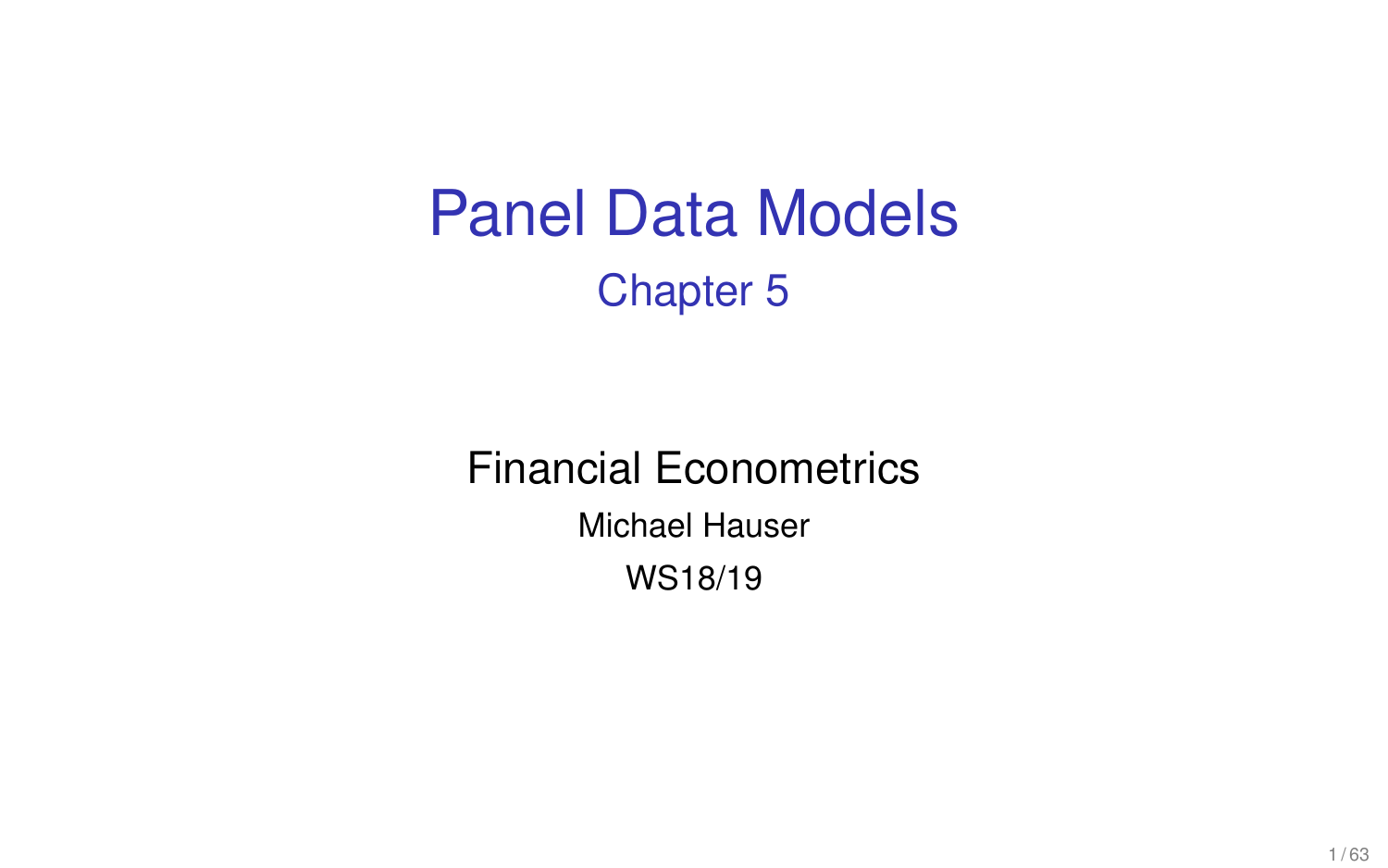# Panel Data Models Chapter 5

# Financial Econometrics

Michael Hauser

WS18/19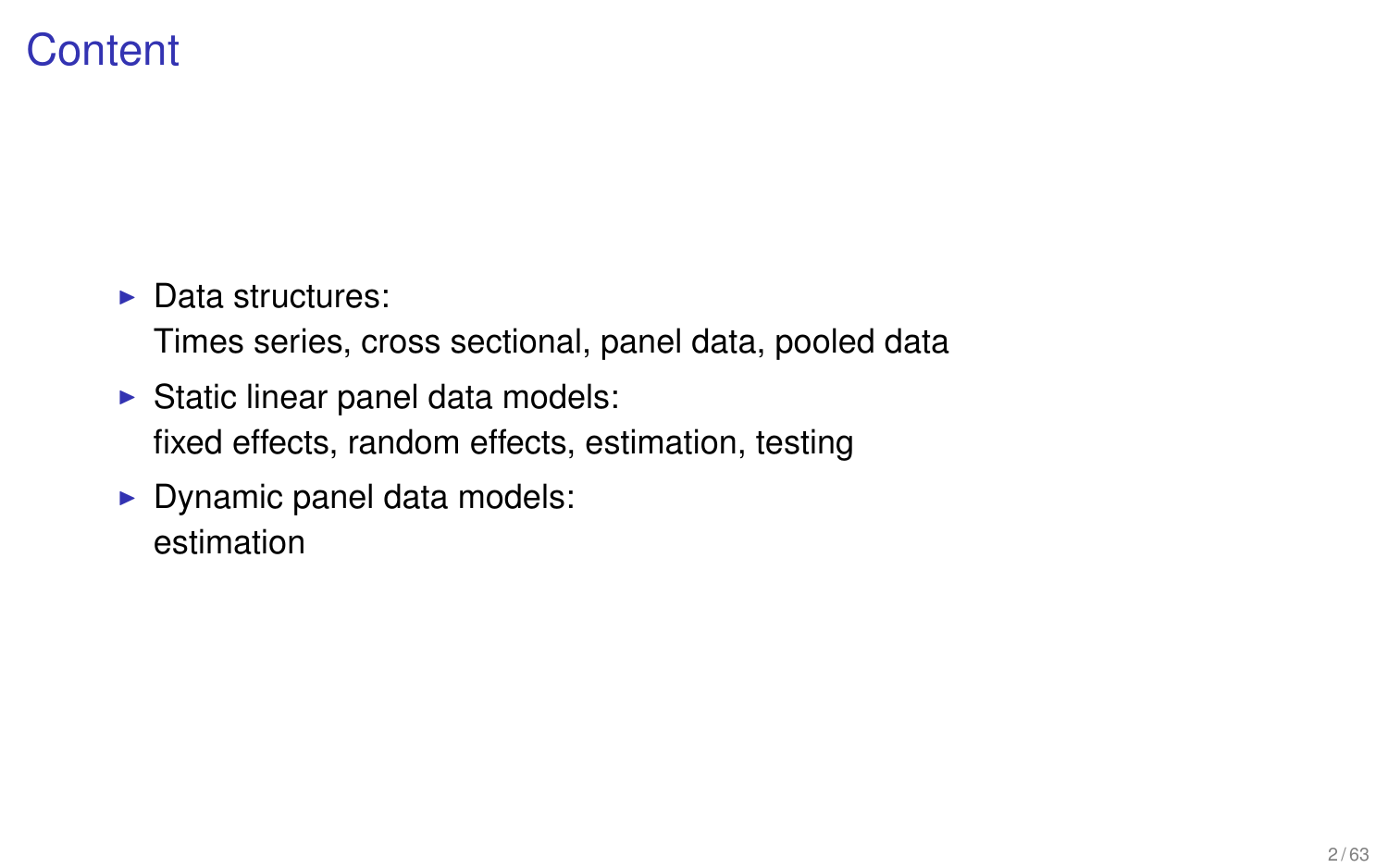# **Content**

 $\blacktriangleright$  Data structures:

Times series, cross sectional, panel data, pooled data

- $\triangleright$  Static linear panel data models: fixed effects, random effects, estimation, testing
- $\blacktriangleright$  Dynamic panel data models: estimation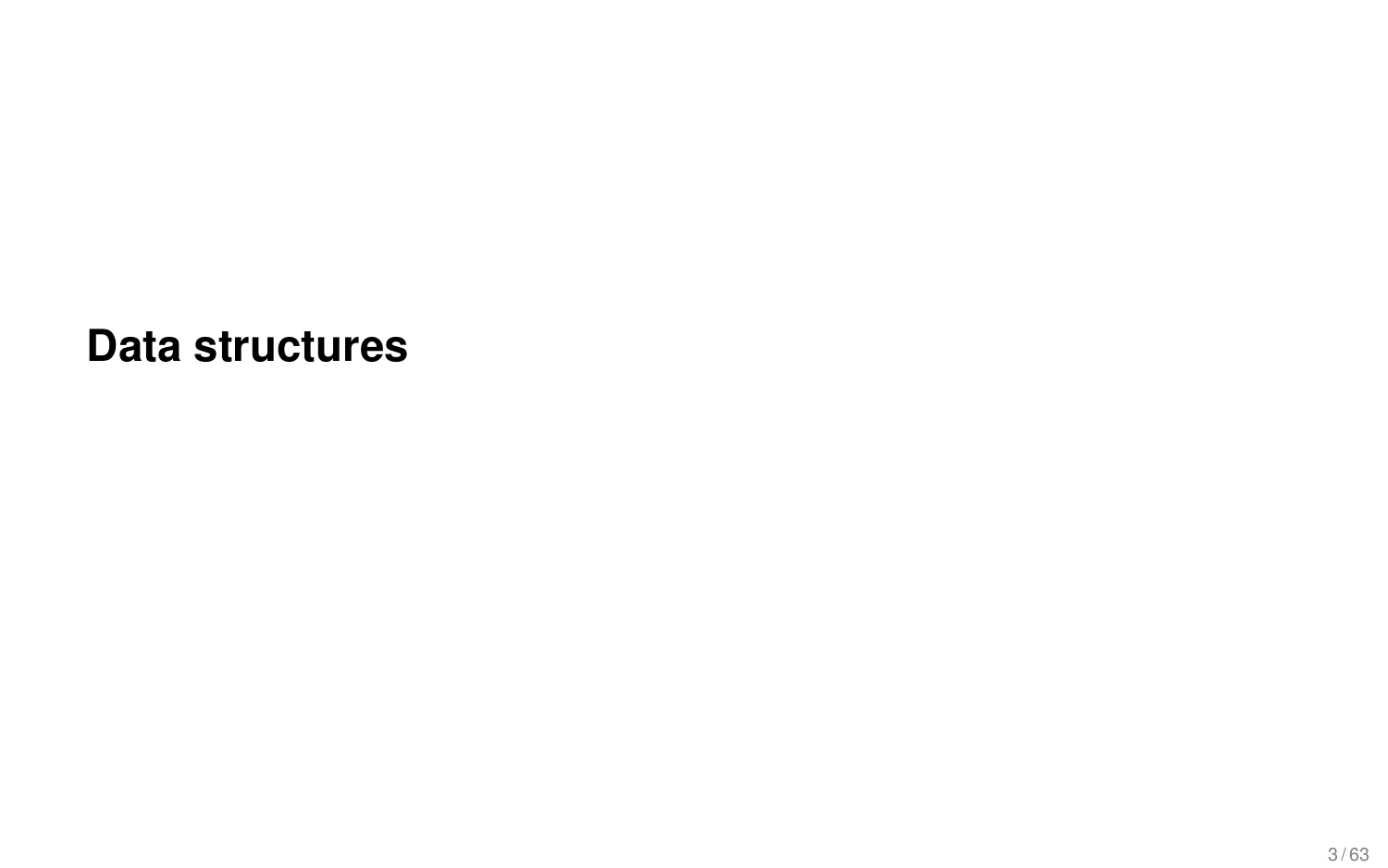**Data structures**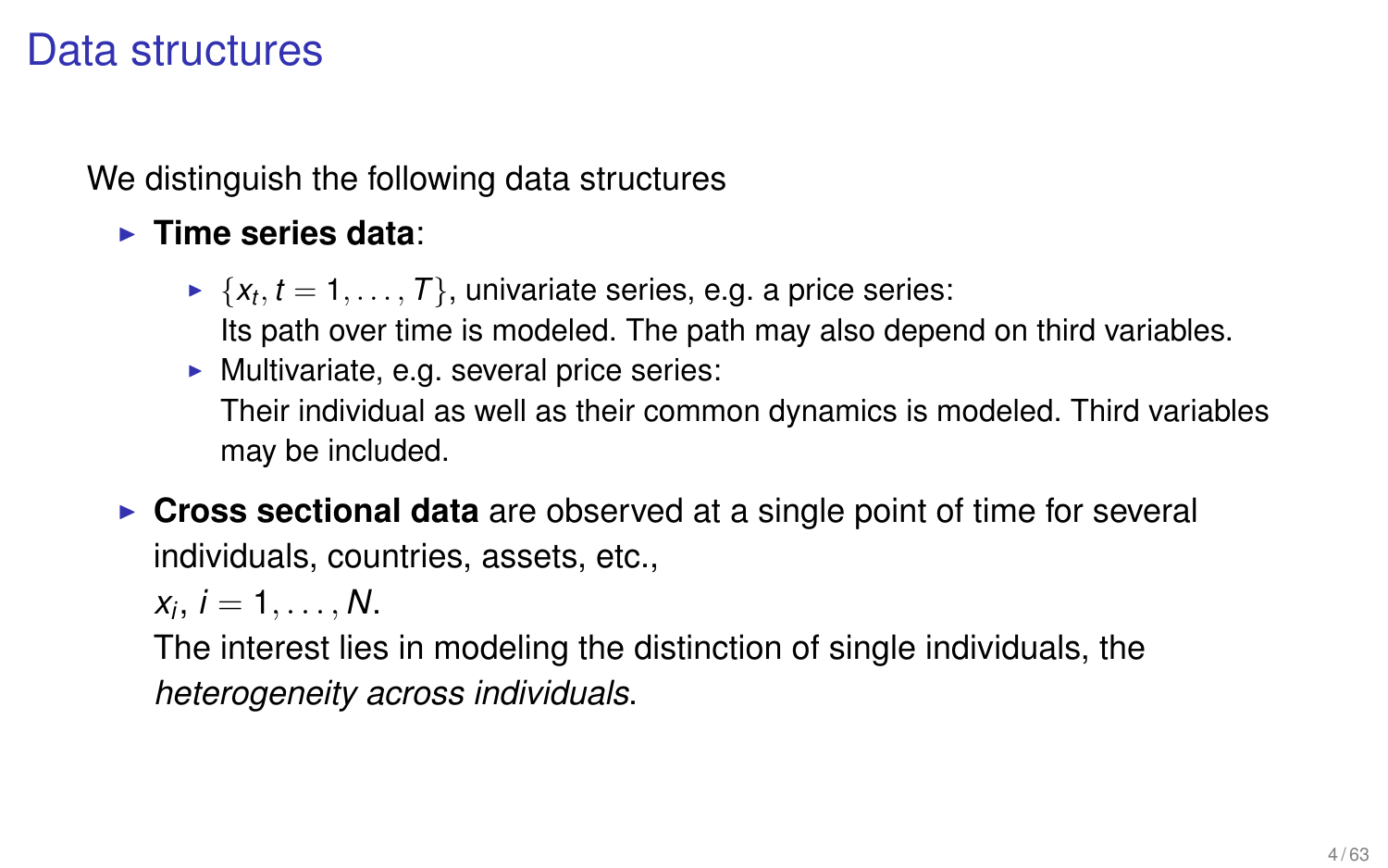### Data structures

We distinguish the following data structures

#### **Fime series data:**

- $\blacktriangleright \ \{x_t, t=1,\ldots,T\},$  univariate series, e.g. a price series: Its path over time is modeled. The path may also depend on third variables.
- $\blacktriangleright$  Multivariate, e.g. several price series: Their individual as well as their common dynamics is modeled. Third variables may be included.
- **Cross sectional data** are observed at a single point of time for several individuals, countries, assets, etc.,

 $x_i, i = 1, \ldots, N.$ 

The interest lies in modeling the distinction of single individuals, the *heterogeneity across individuals*.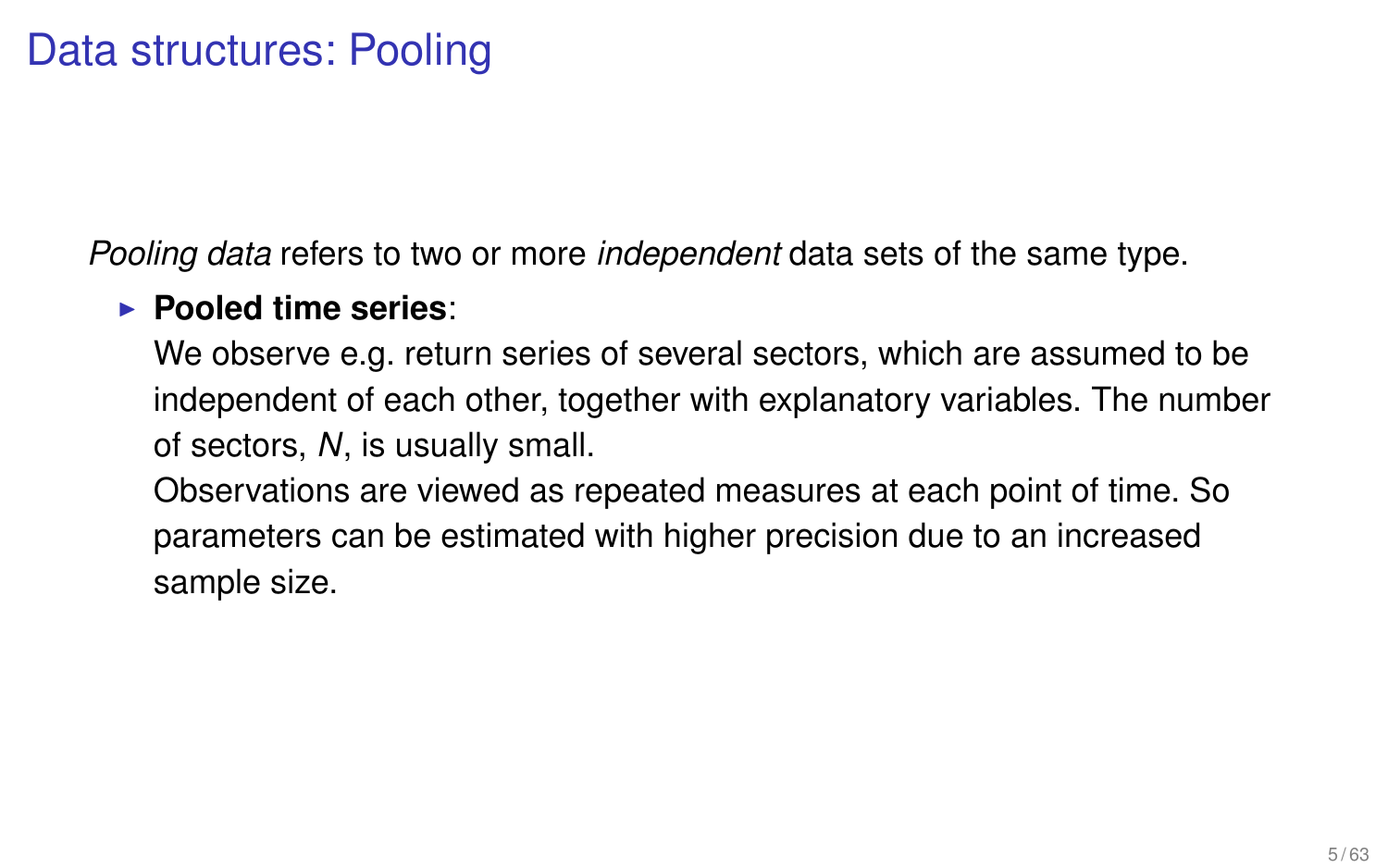*Pooling data* refers to two or more *independent* data sets of the same type.

#### **Pooled time series:**

We observe e.g. return series of several sectors, which are assumed to be independent of each other, together with explanatory variables. The number of sectors, *N*, is usually small.

Observations are viewed as repeated measures at each point of time. So parameters can be estimated with higher precision due to an increased sample size.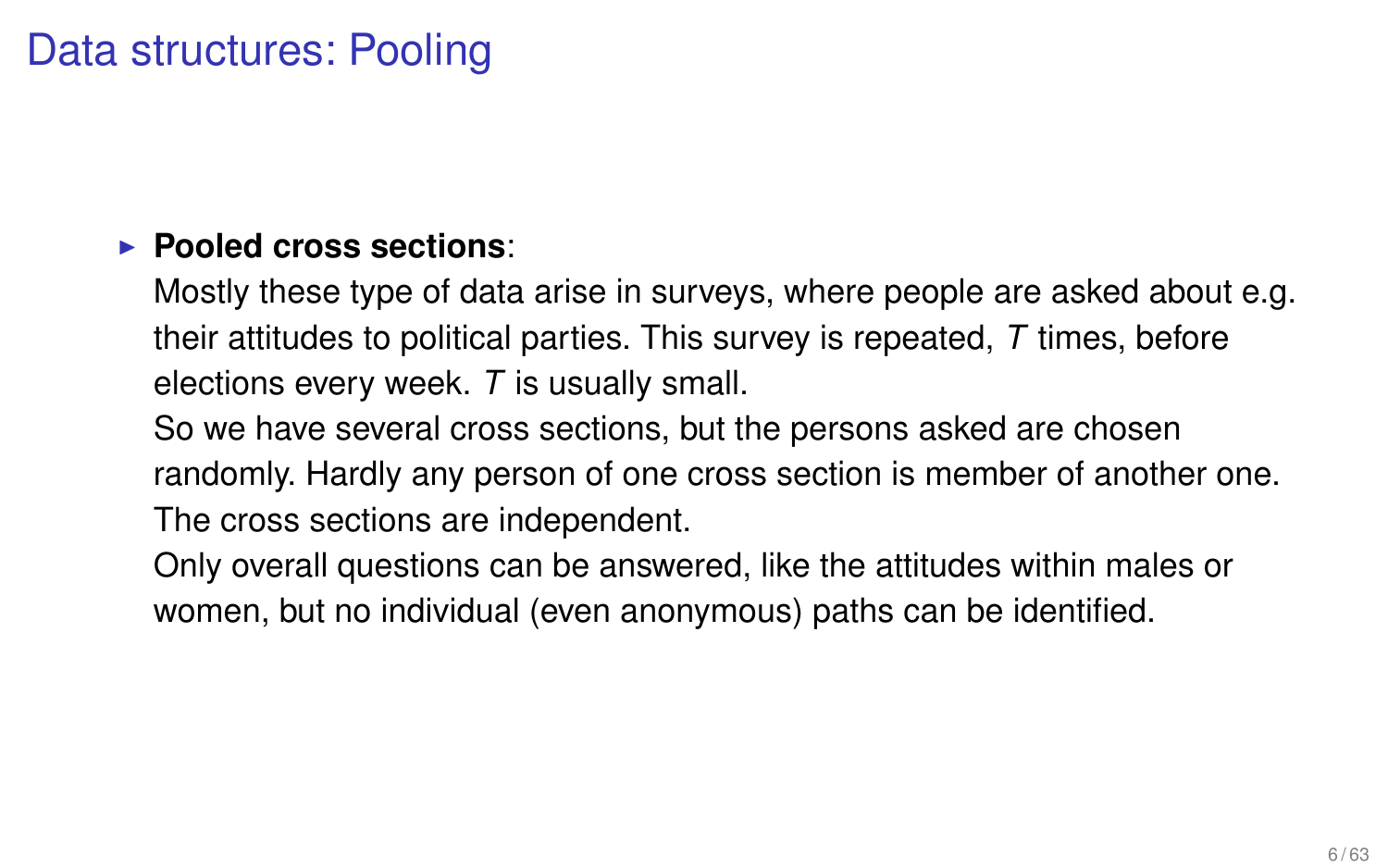# Data structures: Pooling

#### **Pooled cross sections:**

Mostly these type of data arise in surveys, where people are asked about e.g. their attitudes to political parties. This survey is repeated, *T* times, before elections every week. *T* is usually small.

So we have several cross sections, but the persons asked are chosen randomly. Hardly any person of one cross section is member of another one. The cross sections are independent.

Only overall questions can be answered, like the attitudes within males or women, but no individual (even anonymous) paths can be identified.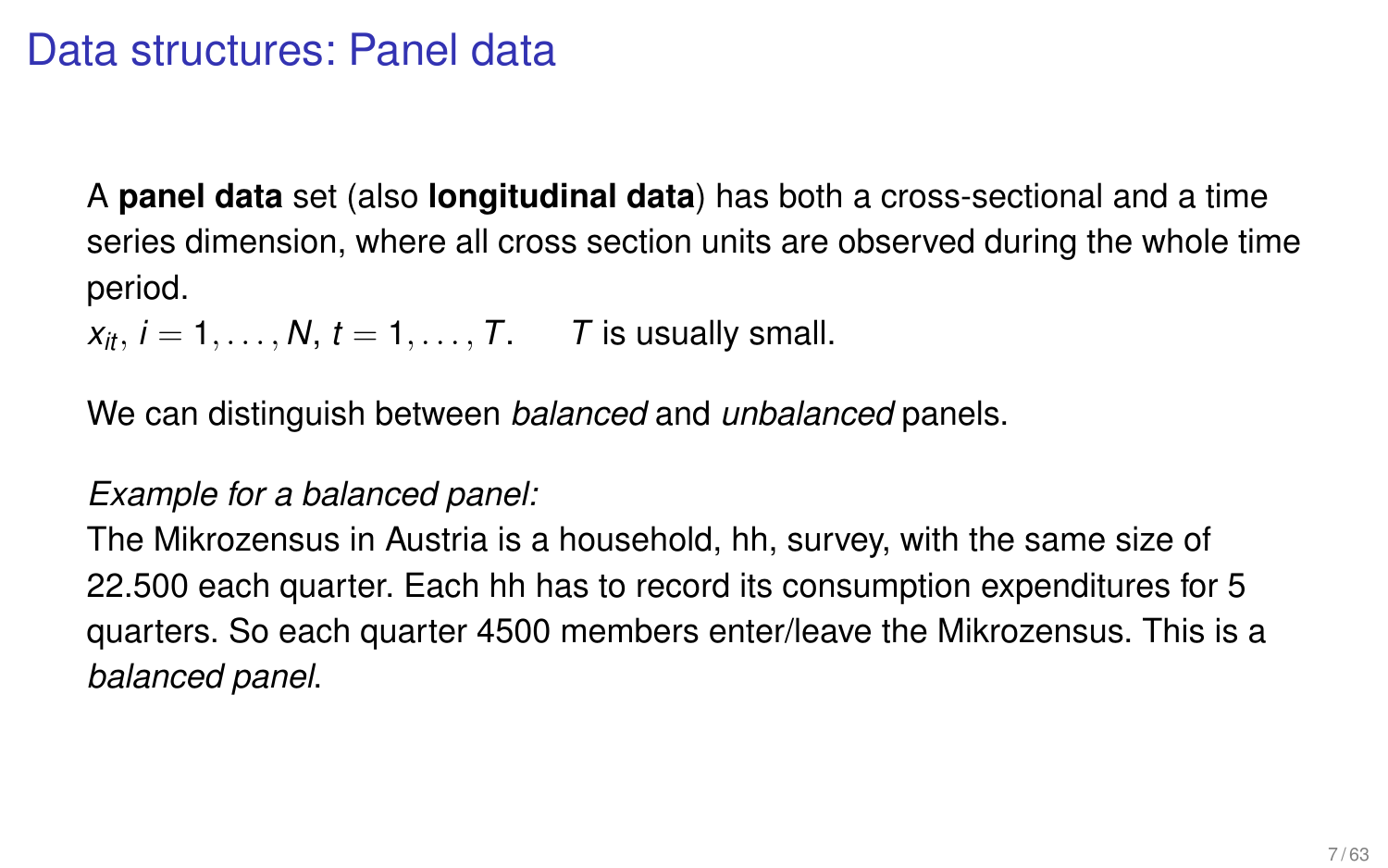### Data structures: Panel data

A **panel data** set (also **longitudinal data**) has both a cross-sectional and a time series dimension, where all cross section units are observed during the whole time period.

 $x_i, i = 1, \ldots, N, t = 1, \ldots, T$ . *T* is usually small.

We can distinguish between *balanced* and *unbalanced* panels.

#### *Example for a balanced panel:*

The Mikrozensus in Austria is a household, hh, survey, with the same size of 22.500 each quarter. Each hh has to record its consumption expenditures for 5 quarters. So each quarter 4500 members enter/leave the Mikrozensus. This is a *balanced panel*.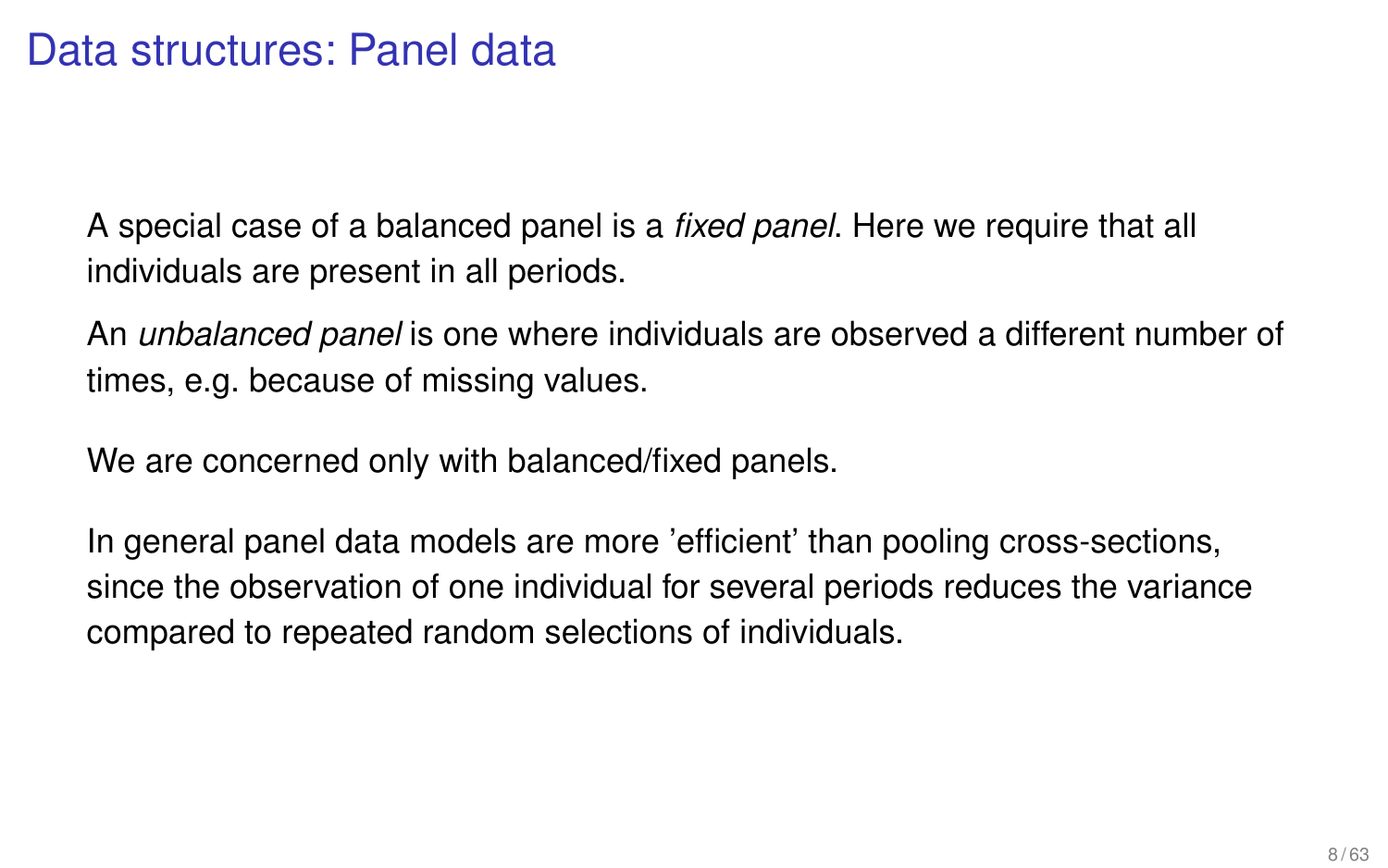A special case of a balanced panel is a *fixed panel*. Here we require that all individuals are present in all periods.

An *unbalanced panel* is one where individuals are observed a different number of times, e.g. because of missing values.

We are concerned only with balanced/fixed panels.

In general panel data models are more 'efficient' than pooling cross-sections, since the observation of one individual for several periods reduces the variance compared to repeated random selections of individuals.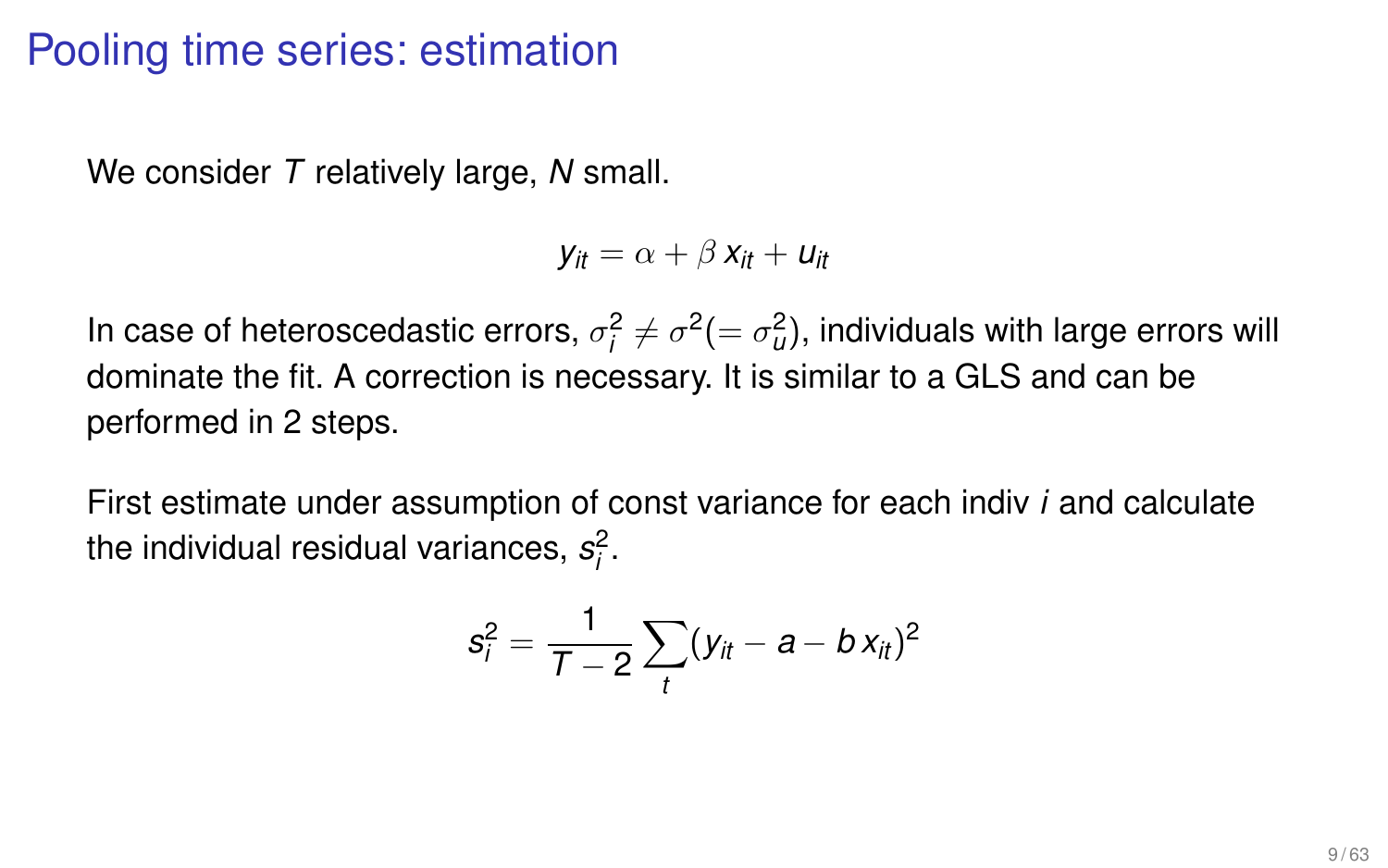## Pooling time series: estimation

We consider *T* relatively large, *N* small.

$$
y_{it} = \alpha + \beta x_{it} + u_{it}
$$

In case of heteroscedastic errors,  $\sigma_j^2 \neq \sigma^2 (= \sigma_{\!u}^2)$ , individuals with large errors will dominate the fit. A correction is necessary. It is similar to a GLS and can be performed in 2 steps.

First estimate under assumption of const variance for each indiv *i* and calculate the individual residual variances, *s* 2 *i* .

$$
s_i^2=\frac{1}{T-2}\sum_t(y_{it}-a-b\,x_{it})^2
$$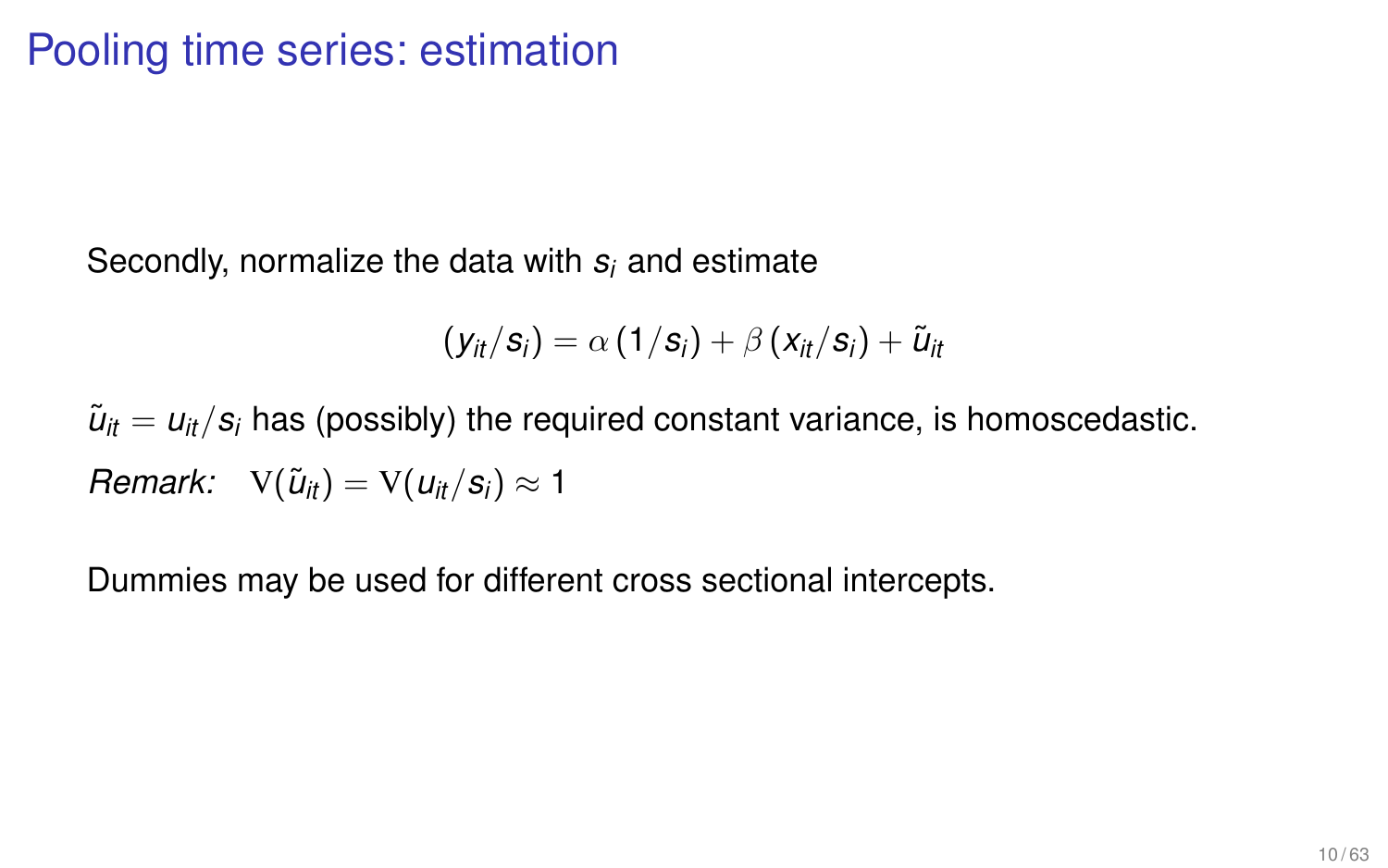Secondly, normalize the data with *s<sup>i</sup>* and estimate

$$
\left(y_{it}/s_i\right) = \alpha\left(1/s_i\right) + \beta\left(x_{it}/s_i\right) + \tilde{u}_{it}
$$

 $\tilde{u}_{it} = u_{it}/s_i$  has (possibly) the required constant variance, is homoscedastic. *Remark:*  $V(\tilde{u}_{it}) = V(u_{it}/s_i) \approx 1$ 

Dummies may be used for different cross sectional intercepts.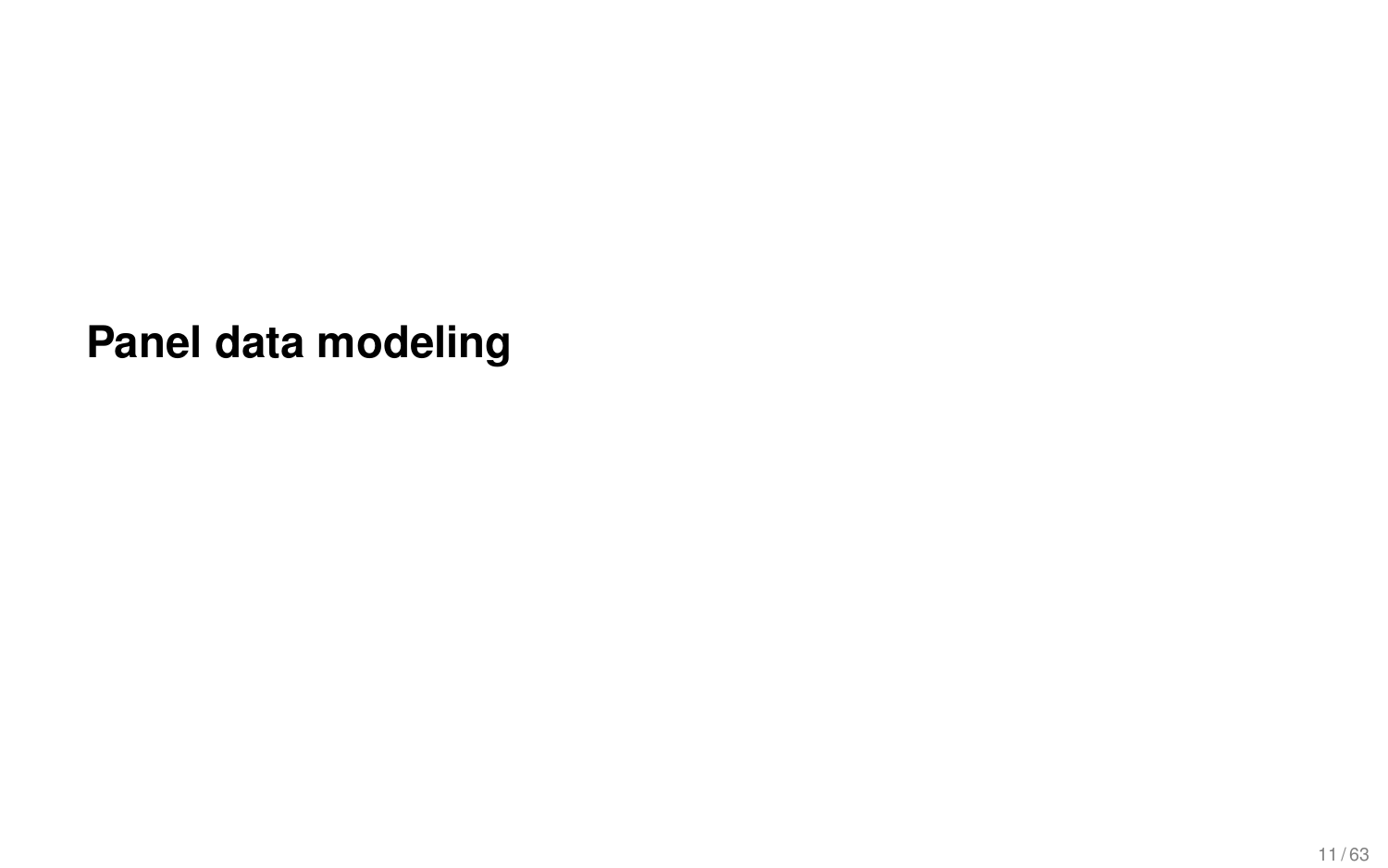**Panel data modeling**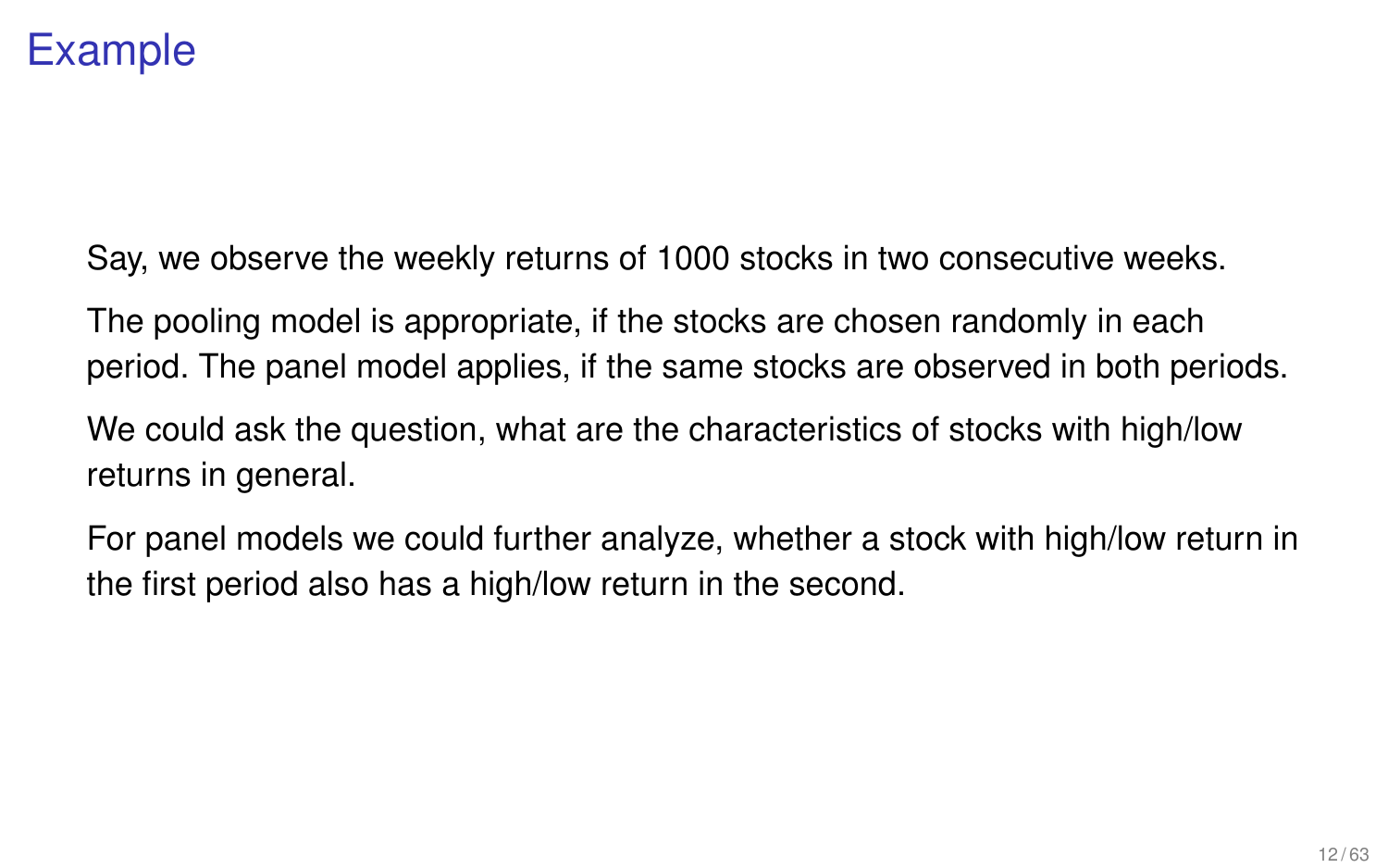# Example

Say, we observe the weekly returns of 1000 stocks in two consecutive weeks.

The pooling model is appropriate, if the stocks are chosen randomly in each period. The panel model applies, if the same stocks are observed in both periods.

We could ask the question, what are the characteristics of stocks with high/low returns in general.

For panel models we could further analyze, whether a stock with high/low return in the first period also has a high/low return in the second.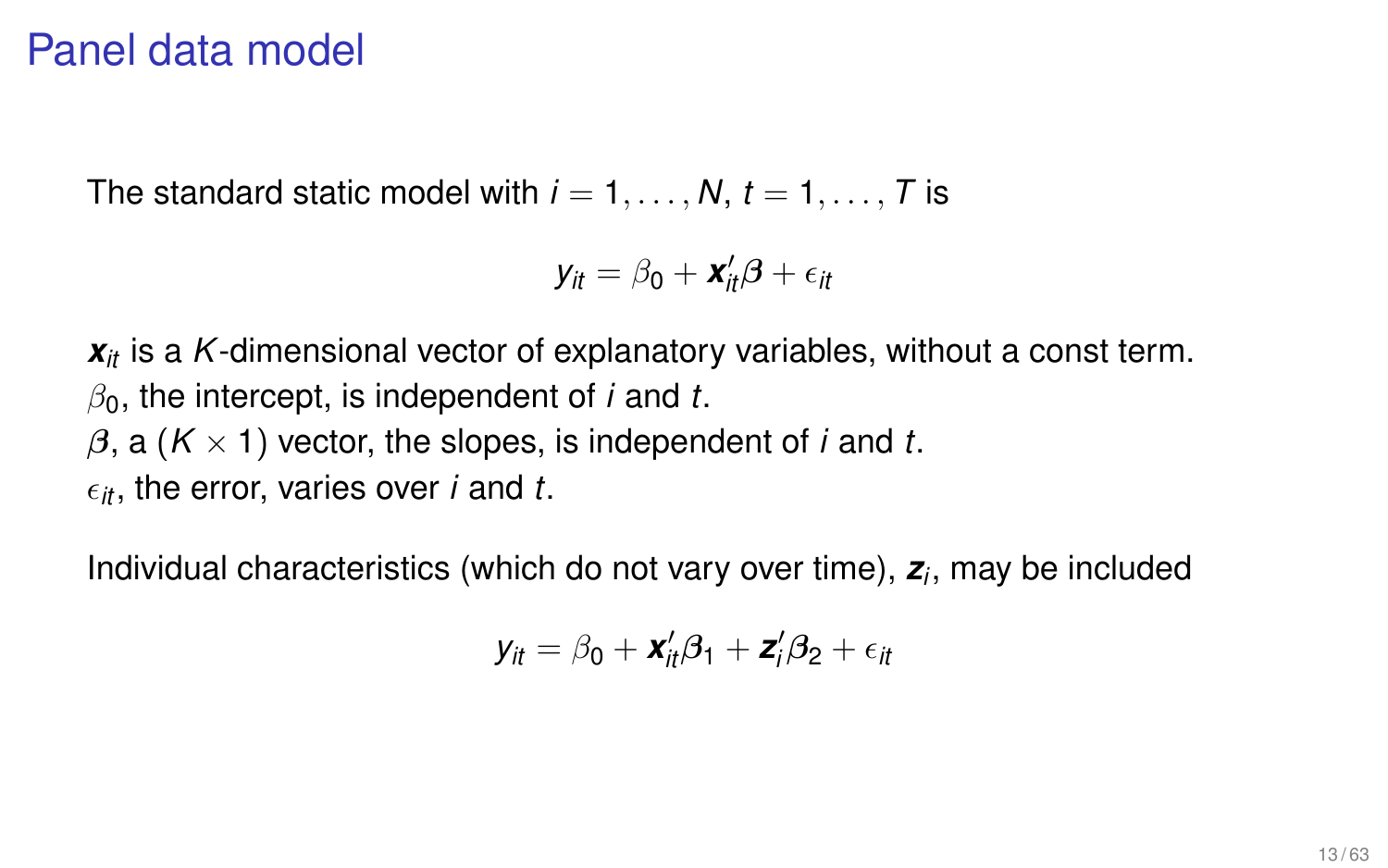#### Panel data model

The standard static model with  $i = 1, \ldots, N$ ,  $t = 1, \ldots, T$  is

$$
y_{it} = \beta_0 + \mathbf{x}_{it}'\boldsymbol{\beta} + \epsilon_{it}
$$

*xit* is a *K*-dimensional vector of explanatory variables, without a const term.  $\beta_0$ , the intercept, is independent of *i* and *t*.  $\beta$ , a ( $K \times 1$ ) vector, the slopes, is independent of *i* and *t*.  $\epsilon_{it}$ , the error, varies over *i* and *t*.

Individual characteristics (which do not vary over time), *z<sup>i</sup>* , may be included

$$
y_{it} = \beta_0 + \mathbf{x}_{it}'\boldsymbol{\beta}_1 + \mathbf{z}_{i}'\boldsymbol{\beta}_2 + \epsilon_{it}
$$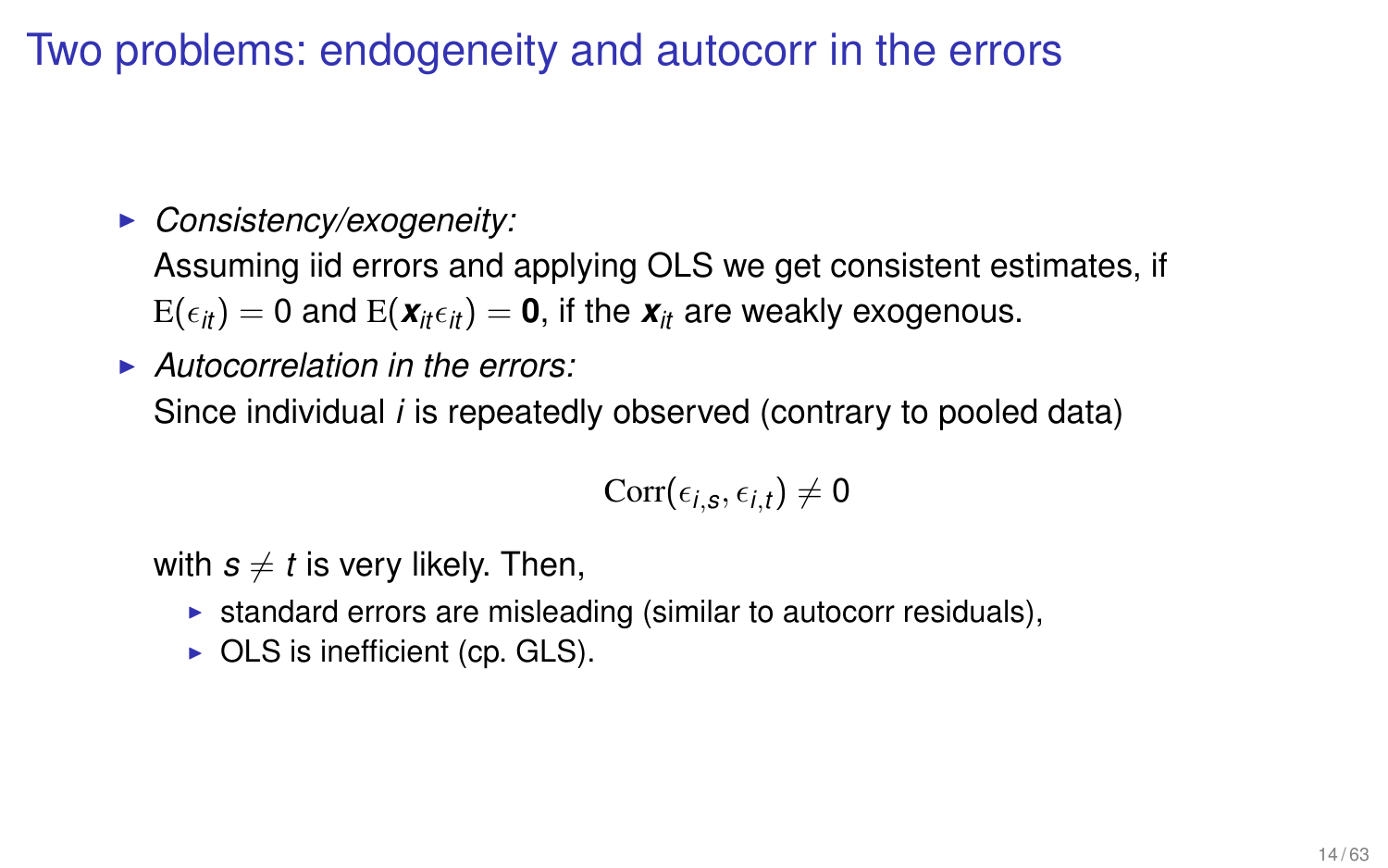Two problems: endogeneity and autocorr in the errors

#### **• Consistency/exogeneity:**

Assuming iid errors and applying OLS we get consistent estimates, if  $E(\epsilon_{it}) = 0$  and  $E(\mathbf{x}_{it} \epsilon_{it}) = \mathbf{0}$ , if the  $\mathbf{x}_{it}$  are weakly exogenous.

<sup>I</sup> *Autocorrelation in the errors:* Since individual *i* is repeatedly observed (contrary to pooled data)

$$
\text{Corr}(\epsilon_{i,s},\epsilon_{i,t})\neq 0
$$

with  $s \neq t$  is very likely. Then,

- $\triangleright$  standard errors are misleading (similar to autocorr residuals),
- $\triangleright$  OLS is inefficient (cp. GLS).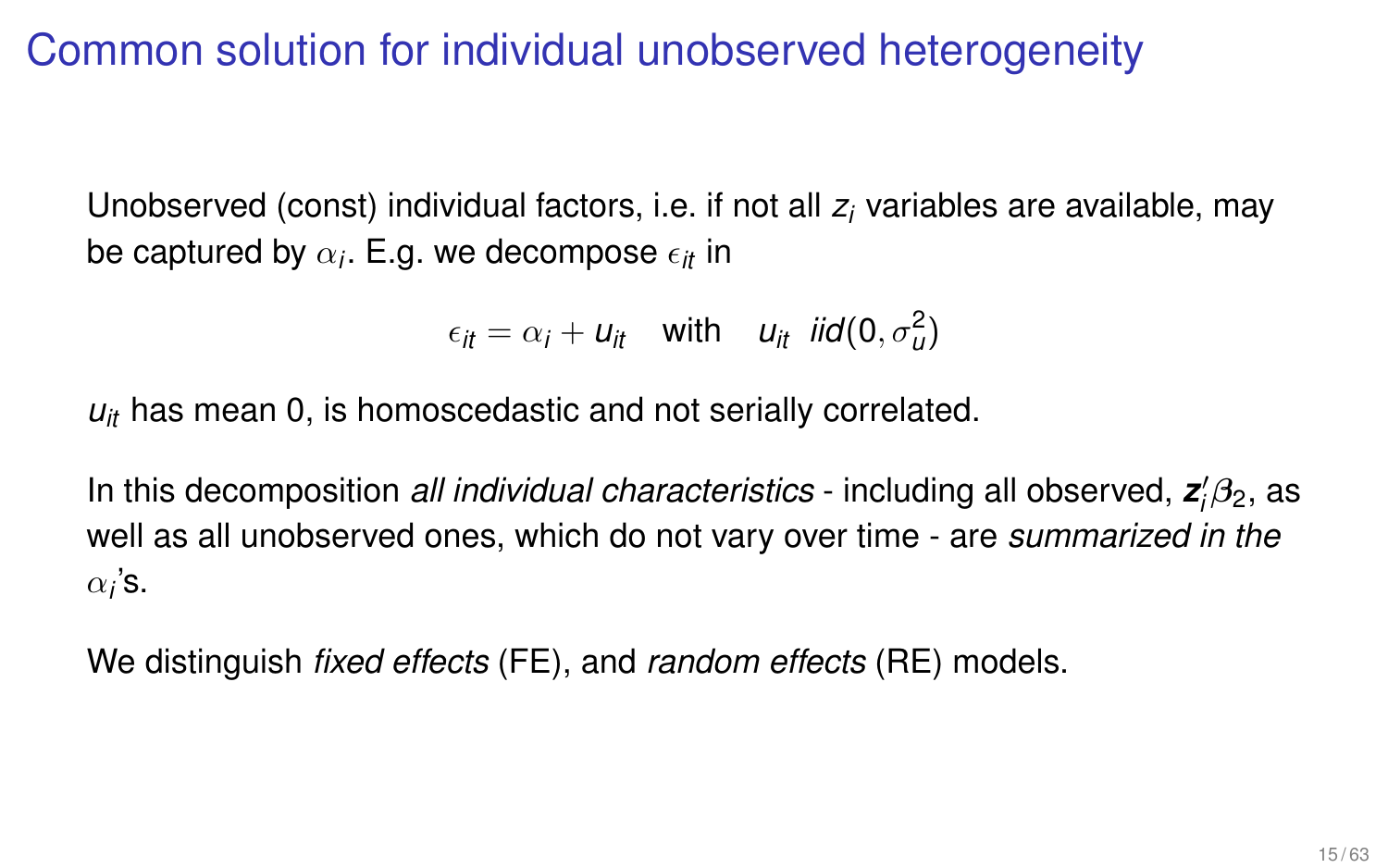# Common solution for individual unobserved heterogeneity

Unobserved (const) individual factors, i.e. if not all *z<sup>i</sup>* variables are available, may be captured by  $\alpha_i$ . E.g. we decompose  $\epsilon_{it}$  in

$$
\epsilon_{it} = \alpha_i + u_{it} \quad \text{with} \quad u_{it} \quad \text{iid}(0, \sigma_u^2)
$$

 $u_{it}$  has mean 0, is homoscedastic and not serially correlated.

In this decomposition *all individual characteristics* - including all observed, z<sup>*i*</sup><sub>1</sub>β<sub>2</sub>, as well as all unobserved ones, which do not vary over time - are *summarized in the*  $\alpha_i$ 's.

We distinguish *fixed effects* (FE), and *random effects* (RE) models.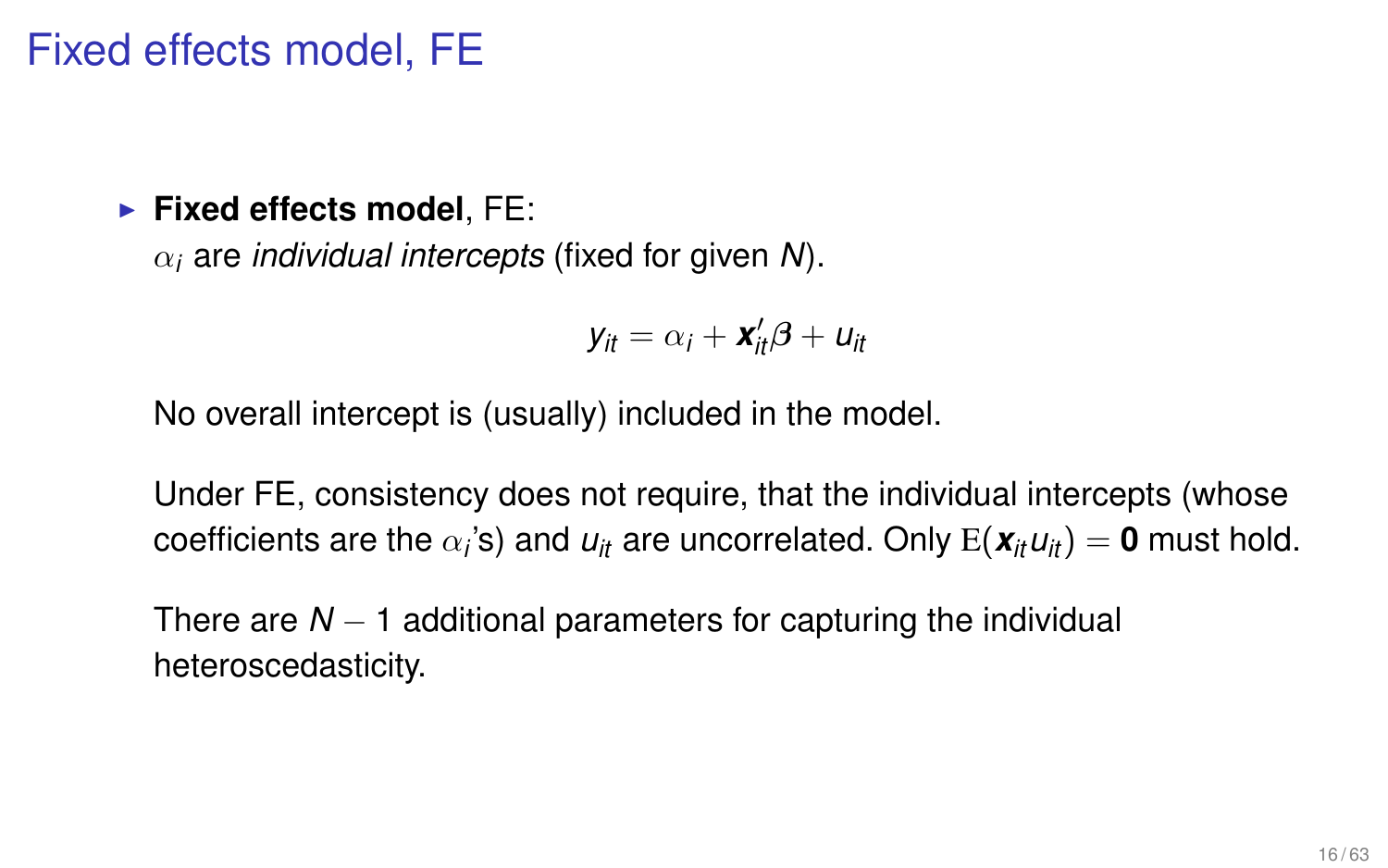#### Fixed effects model, FE

#### **Fixed effects model, FE:**

α*<sup>i</sup>* are *individual intercepts* (fixed for given *N*).

$$
y_{it} = \alpha_i + \mathbf{x}_{it}'\boldsymbol{\beta} + u_{it}
$$

No overall intercept is (usually) included in the model.

Under FE, consistency does not require, that the individual intercepts (whose  $\text{coefficients}$  are the  $\alpha_i$ 's) and  $u_{it}$  are uncorrelated. Only  $\text{E}(\textbf{\textit{x}}_{it}u_{it}) = \textbf{0}$  must hold.

There are *N* − 1 additional parameters for capturing the individual heteroscedasticity.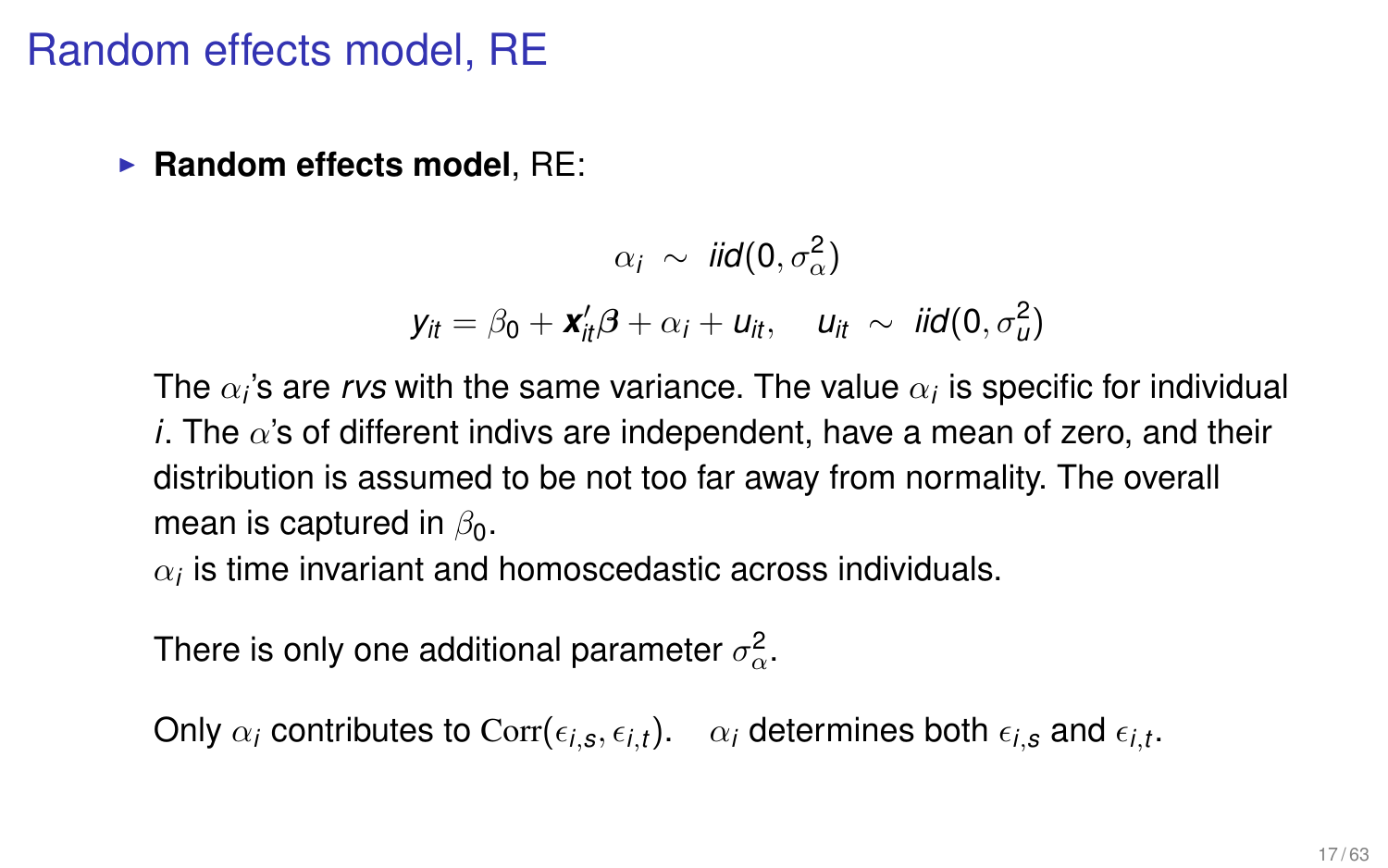#### Random effects model, RE

► **Random effects model**, RE:

 $\alpha_i \sim \textit{iid}(0, \sigma_{\alpha}^2)$  $y_{it} = \beta_0 + \mathbf{x}'_{it} \beta + \alpha_i + u_{it}, \quad u_{it} \sim \text{iid}(0, \sigma_u^2)$ 

The  $\alpha_i$ 's are *rvs* with the same variance. The value  $\alpha_i$  is specific for individual *i*. The  $\alpha$ 's of different indivs are independent, have a mean of zero, and their distribution is assumed to be not too far away from normality. The overall mean is captured in  $\beta_0$ .

 $\alpha_i$  is time invariant and homoscedastic across individuals.

There is only one additional parameter  $\sigma_{\alpha}^2.$ 

Only  $\alpha_i$  contributes to  $\text{Corr}(\epsilon_{i,s},\epsilon_{i,t})$ .  $\quad \alpha_i$  determines both  $\epsilon_{i,s}$  and  $\epsilon_{i,t}.$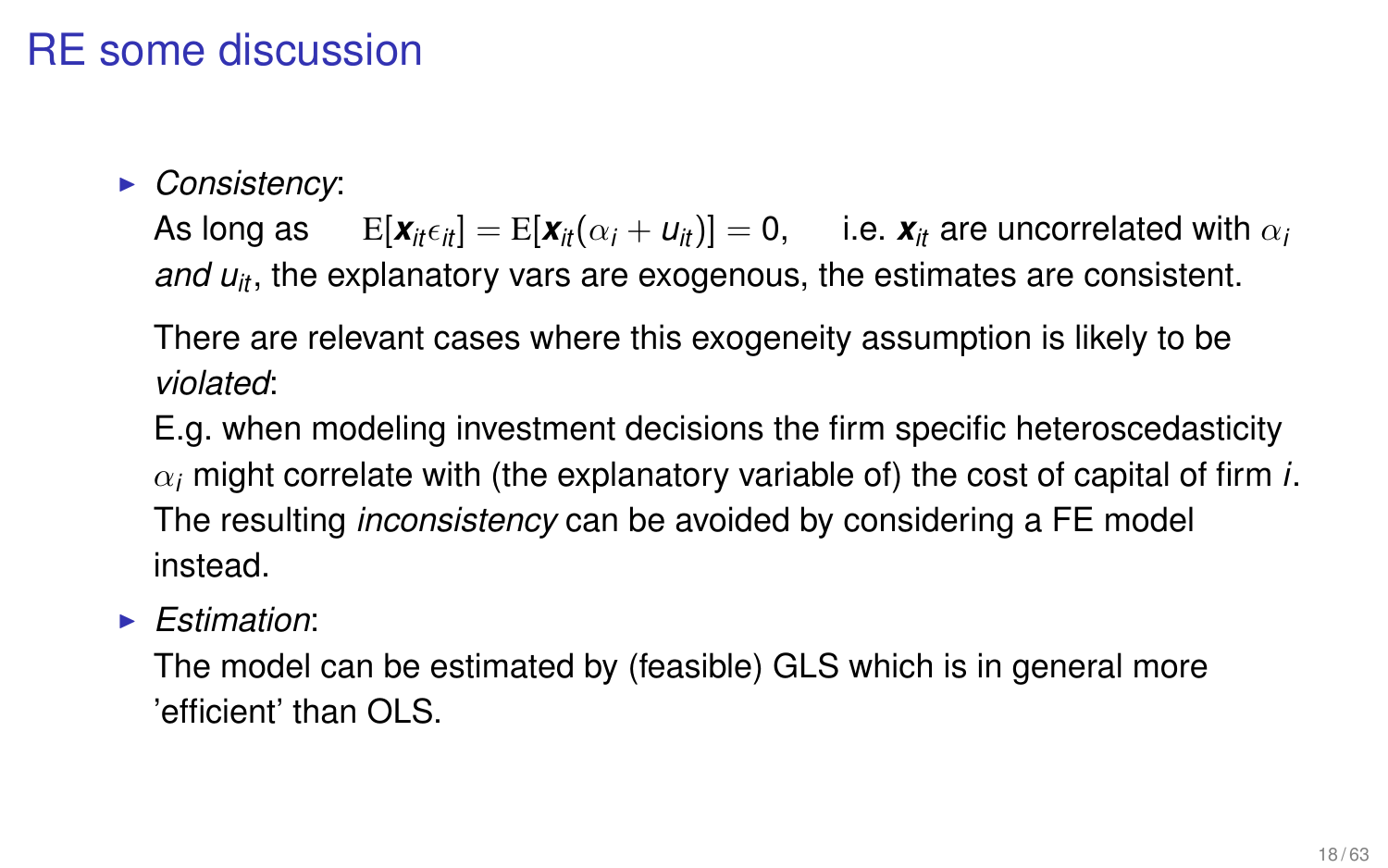# RE some discussion

**• Consistency:** 

As long as  $E[\mathbf{x}_{i\in\mathcal{i}}] = E[\mathbf{x}_{i\in\mathcal{i}}(\alpha_i + u_{i\infty})] = 0$ , i.e.  $\mathbf{x}_{i\in\mathcal{i}}$  are uncorrelated with  $\alpha_i$ *and u<sub>it</sub>*, the explanatory vars are exogenous, the estimates are consistent.

There are relevant cases where this exogeneity assumption is likely to be *violated*:

E.g. when modeling investment decisions the firm specific heteroscedasticity  $\alpha_i$  might correlate with (the explanatory variable of) the cost of capital of firm *i*. The resulting *inconsistency* can be avoided by considering a FE model instead.

#### <sup>I</sup> *Estimation*:

The model can be estimated by (feasible) GLS which is in general more 'efficient' than OLS.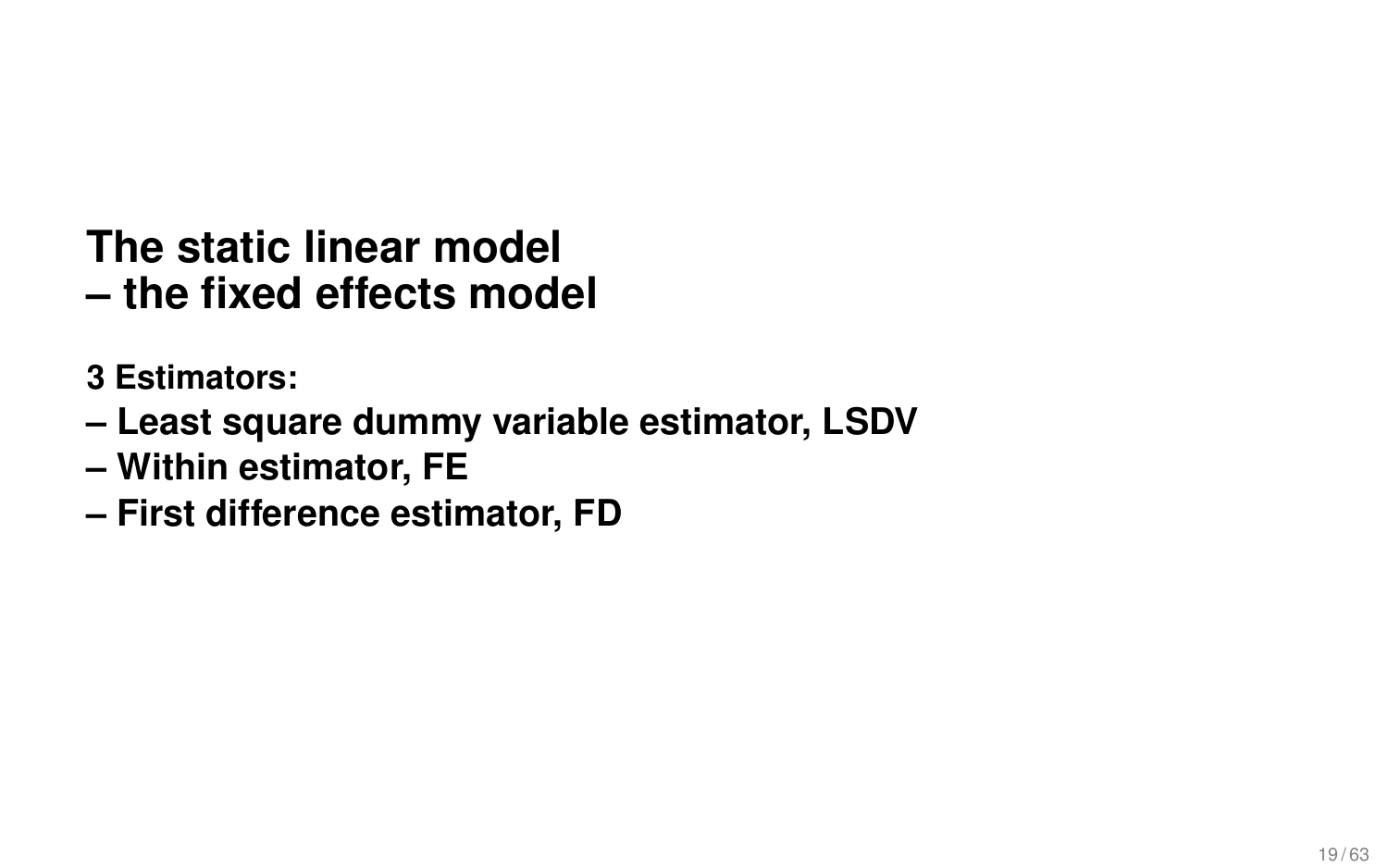# **The static linear model – the fixed effects model**

- **3 Estimators:**
- **Least square dummy variable estimator, LSDV**
- **Within estimator, FE**
- **First difference estimator, FD**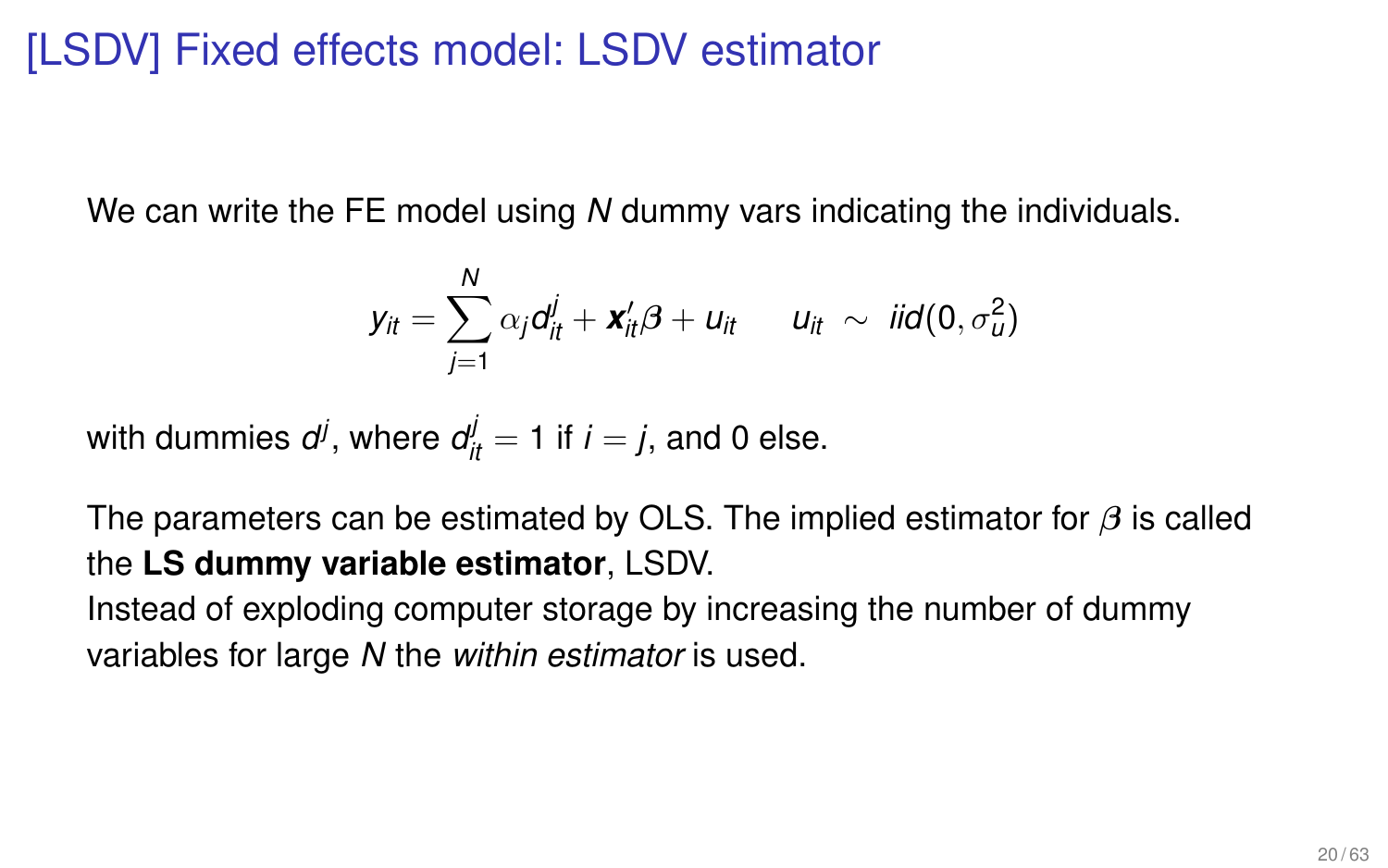# [LSDV] Fixed effects model: LSDV estimator

We can write the FE model using *N* dummy vars indicating the individuals.

$$
y_{it} = \sum_{j=1}^N \alpha_j d_{it}^j + \mathbf{x}_{it}'\boldsymbol{\beta} + u_{it} \qquad u_{it} \sim \text{ iid}(0, \sigma_u^2)
$$

with dummies  $d^j$ , where  $d^j_{it} = 1$  if  $i = j$ , and 0 else.

The parameters can be estimated by OLS. The implied estimator for  $\beta$  is called the **LS dummy variable estimator**, LSDV.

Instead of exploding computer storage by increasing the number of dummy variables for large *N* the *within estimator* is used.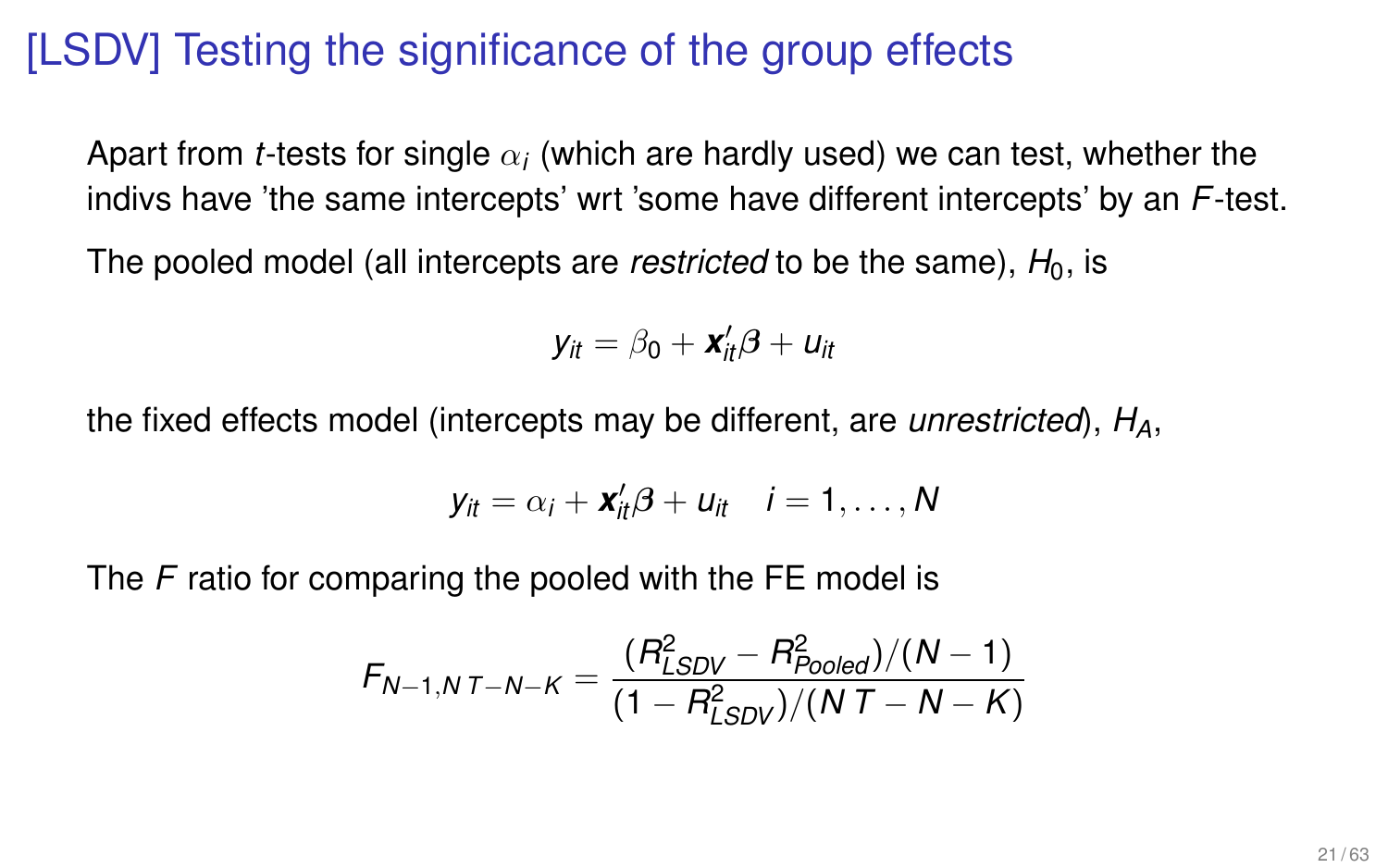# [LSDV] Testing the significance of the group effects

Apart from *t-*tests for single  $\alpha_i$  (which are hardly used) we can test, whether the indivs have 'the same intercepts' wrt 'some have different intercepts' by an *F*-test.

The pooled model (all intercepts are *restricted* to be the same),  $H_0$ , is

$$
y_{it} = \beta_0 + \mathbf{x}_{it}'\boldsymbol{\beta} + u_{it}
$$

the fixed effects model (intercepts may be different, are *unrestricted*), *HA*,

$$
y_{it} = \alpha_i + \mathbf{x}_{it}'\boldsymbol{\beta} + u_{it} \quad i = 1, \ldots, N
$$

The *F* ratio for comparing the pooled with the FE model is

$$
F_{N-1,N}T_{-N-K} = \frac{(R_{LSDV}^2 - R_{Pooled}^2)/(N-1)}{(1 - R_{LSDV}^2)/(N T - N - K)}
$$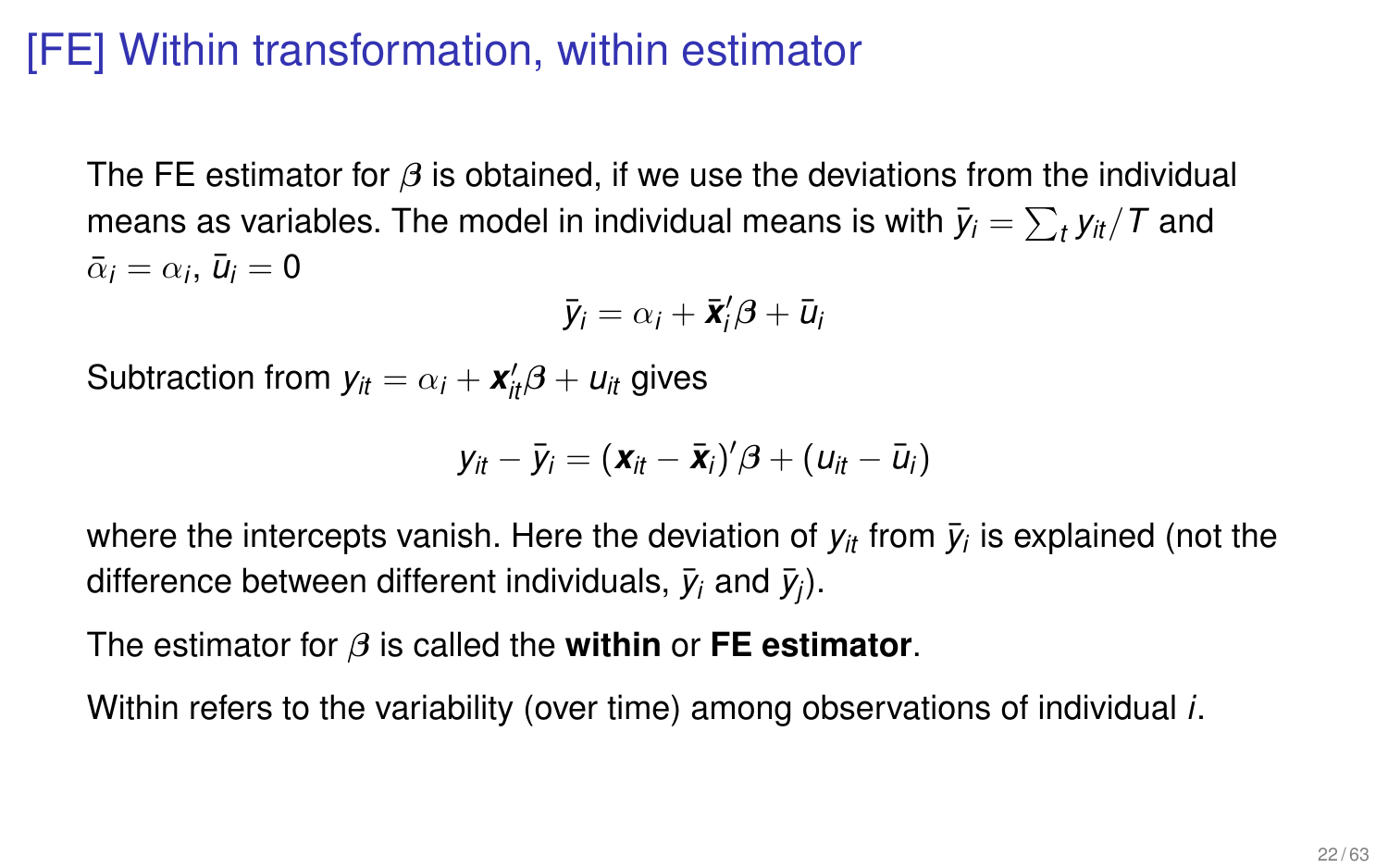# [FE] Within transformation, within estimator

The FE estimator for  $\beta$  is obtained, if we use the deviations from the individual means as variables. The model in individual means is with  $\bar{y}_i = \sum_t y_{it}/\mathit{T}$  and  $\bar{\alpha}_i = \alpha_i$ ,  $\bar{u}_i = 0$ 

$$
\bar{y}_i = \alpha_i + \bar{\mathbf{x}}_i^{\prime} \boldsymbol{\beta} + \bar{u}_i
$$

Subtraction from  $y_{it} = \alpha_i + \mathbf{x}'_{it} \beta + u_{it}$  gives

$$
y_{it} - \bar{y}_i = (\mathbf{x}_{it} - \bar{\mathbf{x}}_i)' \boldsymbol{\beta} + (u_{it} - \bar{u}_i)
$$

where the intercepts vanish. Here the deviation of  $y_{it}$  from  $\bar{y}_i$  is explained (not the difference between different individuals,  $\bar{y}_i$  and  $\bar{y}_j$ ).

The estimator for β is called the **within** or **FE estimator**.

Within refers to the variability (over time) among observations of individual *i*.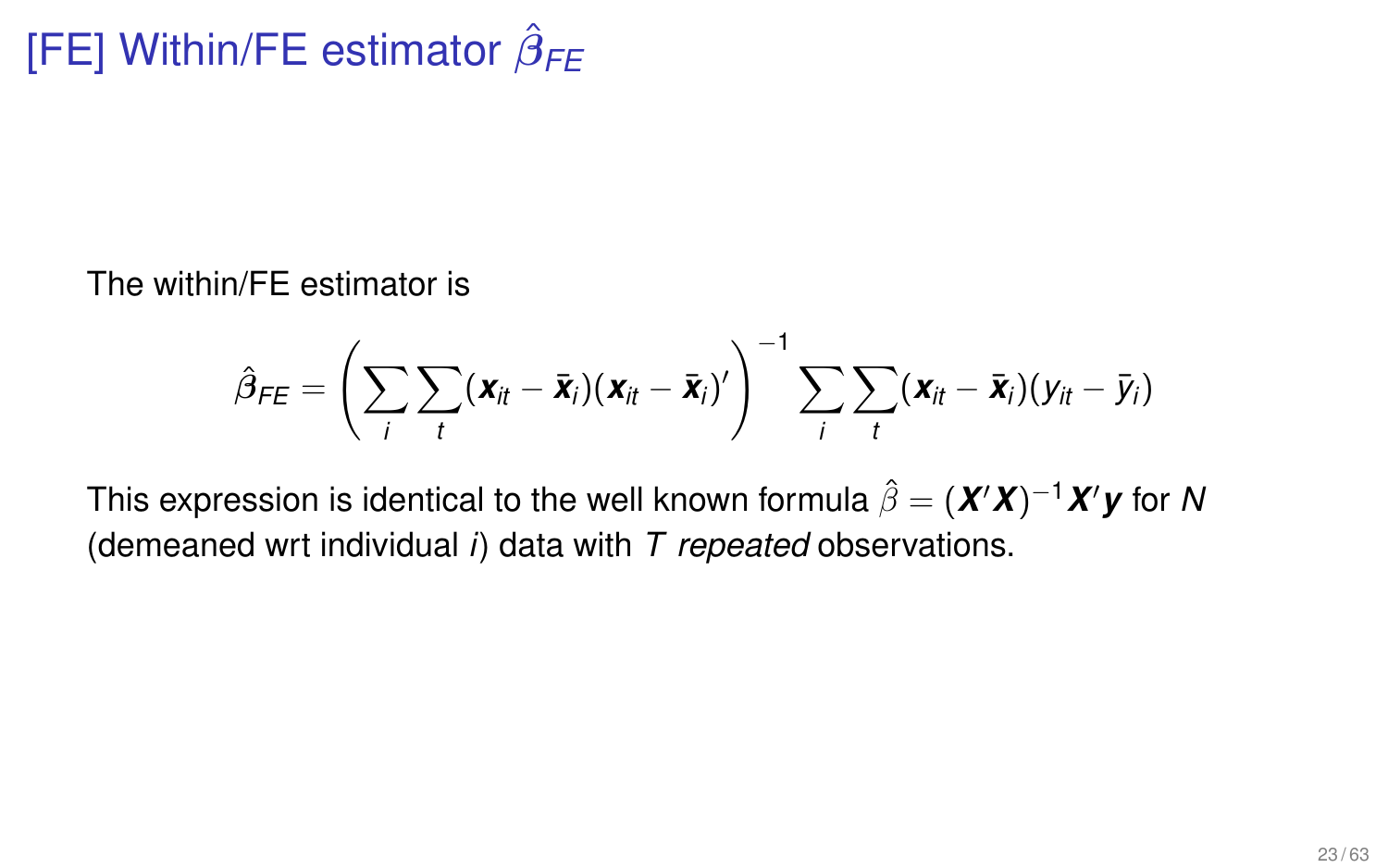The within/FE estimator is

$$
\hat{\beta}_{FE} = \left(\sum_i \sum_t (\boldsymbol{x}_{it} - \bar{\boldsymbol{x}}_i)(\boldsymbol{x}_{it} - \bar{\boldsymbol{x}}_i)'\right)^{-1} \sum_i \sum_t (\boldsymbol{x}_{it} - \bar{\boldsymbol{x}}_i)(y_{it} - \bar{y}_i)
$$

This expression is identical to the well known formula  $\hat{\beta} = (\boldsymbol{X}'\boldsymbol{X})^{-1}\boldsymbol{X}'\boldsymbol{y}$  for  $\boldsymbol{\mathsf{N}}$ (demeaned wrt individual *i*) data with *T repeated* observations.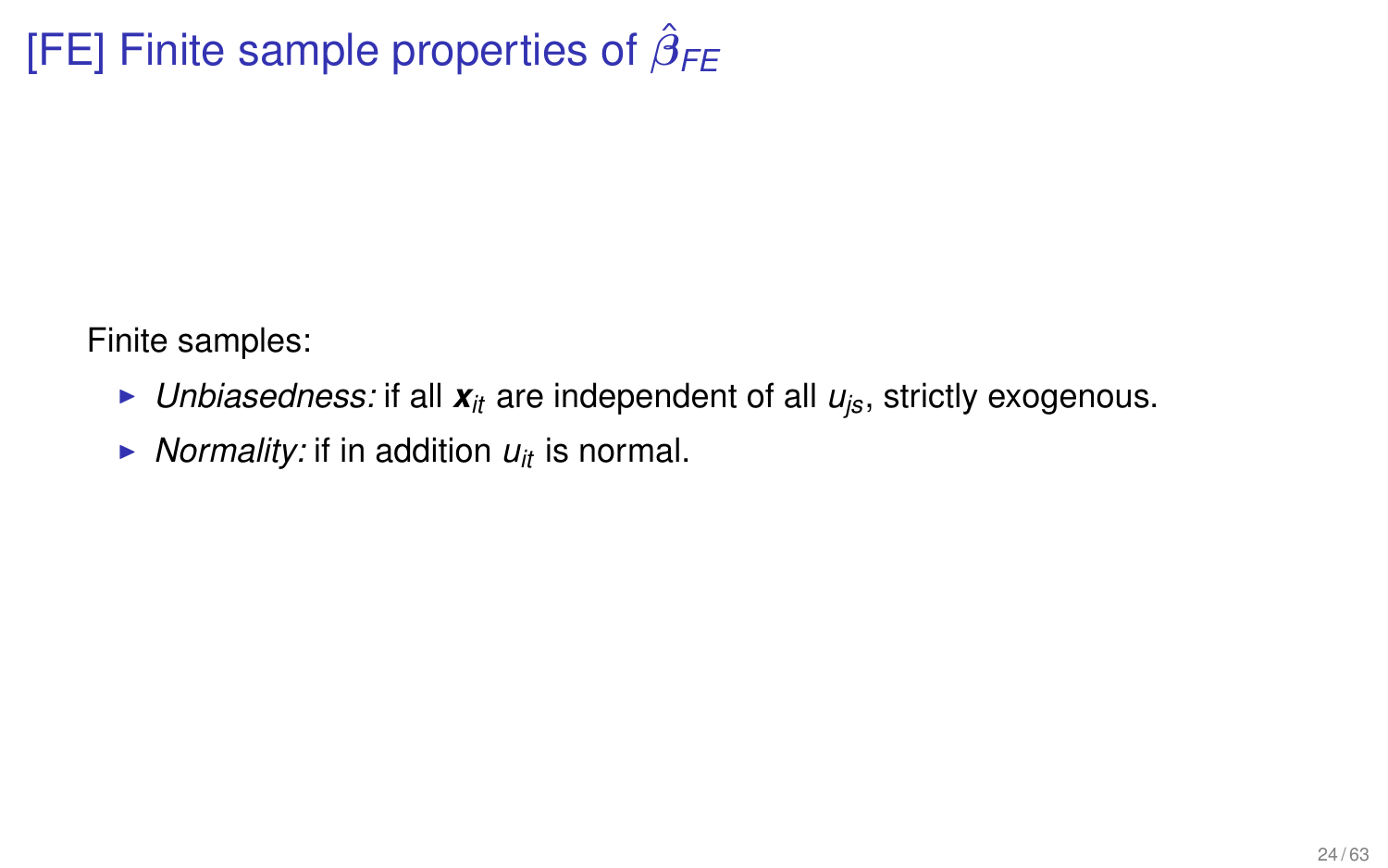# [FE] Finite sample properties of  $\hat{\beta}_{\textit{FE}}$

Finite samples:

- $\blacktriangleright$  *Unbiasedness:* if all  $\boldsymbol{x}_{it}$  are independent of all  $u_{is}$ , strictly exogenous.
- $\triangleright$  *Normality:* if in addition  $u_{it}$  is normal.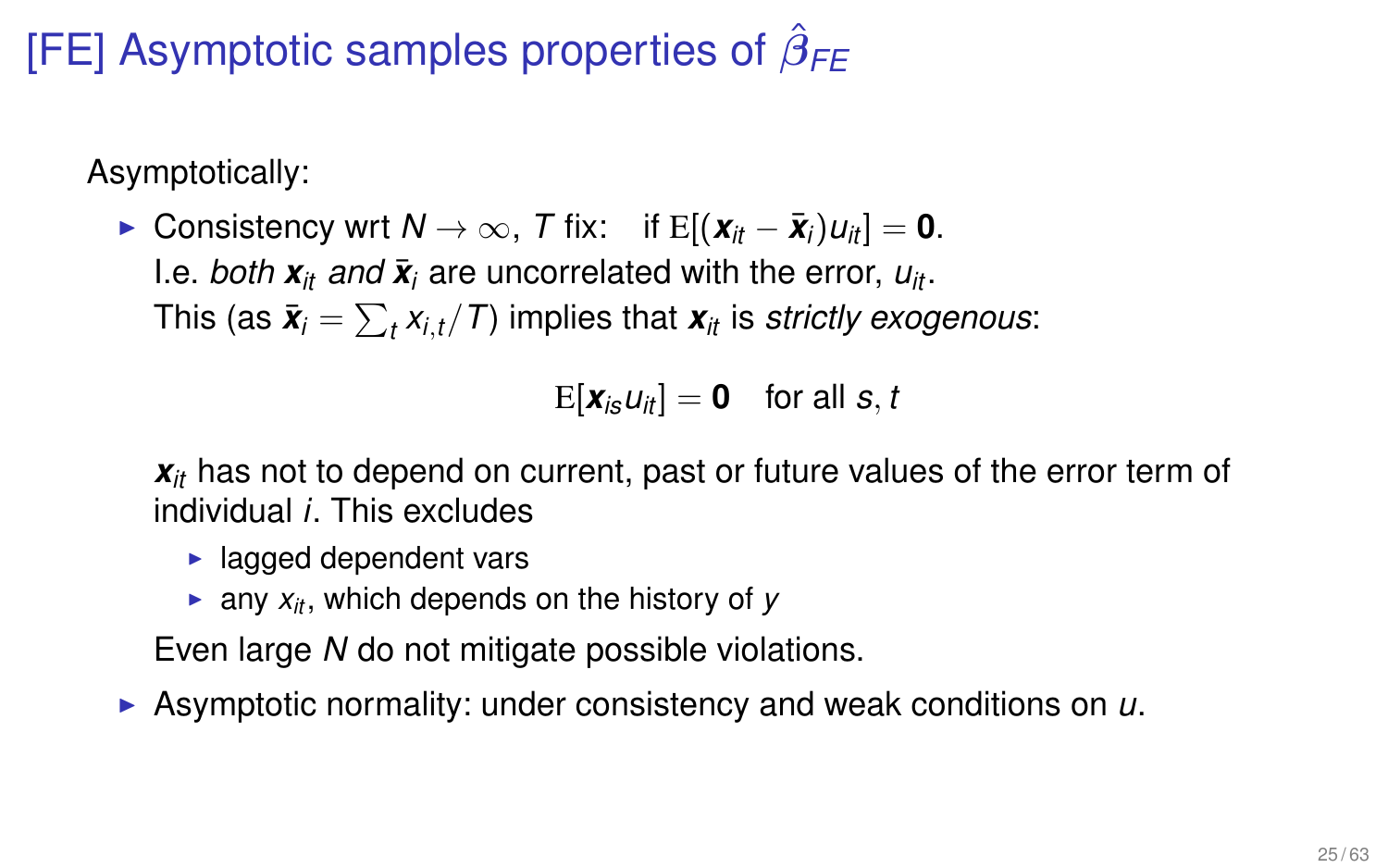# [FE] Asymptotic samples properties of  $\hat{\beta}_{\textit{FE}}$

Asymptotically:

 $\triangleright$  Consistency wrt *N* → ∞, *T* fix: if E[ $(\mathbf{x}_{it} - \bar{\mathbf{x}}_i)u_{it}$ ] = 0. I.e. *both*  $\mathbf{x}_{it}$  *and*  $\bar{\mathbf{x}}_i$  are uncorrelated with the error,  $u_{it}$ . This (as  $\bar{\bm{x}}_i = \sum_{t} x_{i,t} / T$ ) implies that  $\bm{x}_{it}$  is *strictly exogenous*:

 $E[\mathbf{x}_i, u_i] = \mathbf{0}$  for all *s*, *t* 

 $x<sub>it</sub>$  has not to depend on current, past or future values of the error term of individual *i*. This excludes

- $\blacktriangleright$  lagged dependent vars
- **Example 2** any  $x_i$ , which depends on the history of *y*

Even large *N* do not mitigate possible violations.

▶ Asymptotic normality: under consistency and weak conditions on *u*.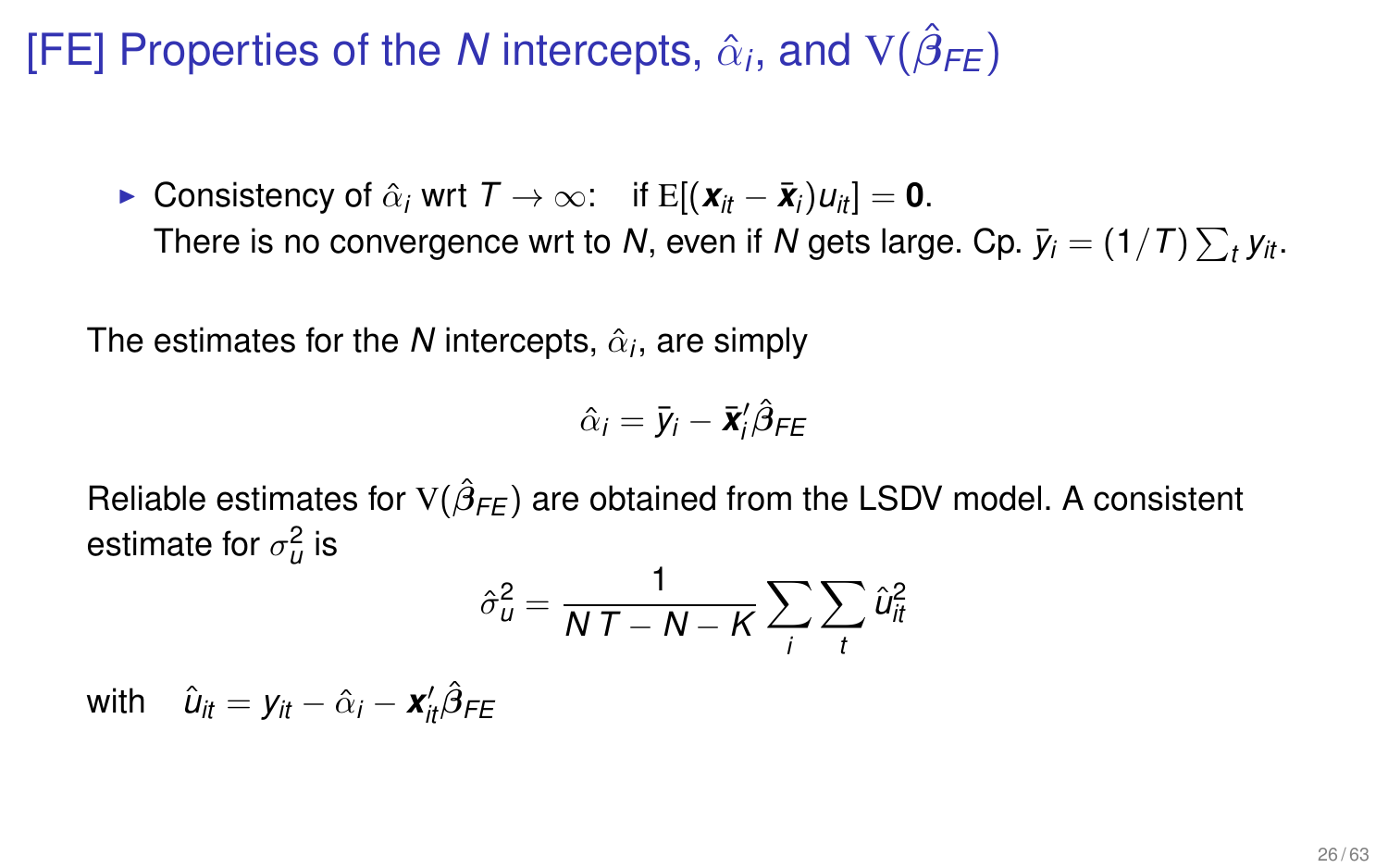# [FE] Properties of the *N* intercepts,  $\hat{\alpha}_i$ , and  $V(\hat{\beta}_{FE})$

► Consistency of  $\hat{\alpha}_i$  wrt  $T \rightarrow \infty$ : if  $E[(\mathbf{x}_i - \bar{\mathbf{x}}_i)u_{i}]=0$ . There is no convergence wrt to N, even if N gets large. Cp.  $\bar{y}_i = (1/T) \sum_t y_{it}.$ 

The estimates for the  $\boldsymbol{N}$  intercepts,  $\hat{\alpha}_{i}$ , are simply

$$
\hat{\alpha}_i = \bar{y}_i - \bar{\mathbf{x}}_i^{\prime} \hat{\boldsymbol{\beta}}_{FE}
$$

Reliable estimates for  $\mathrm{V}(\hat{\beta}_{\mathsf{FE}})$  are obtained from the LSDV model. A consistent estimate for  $\sigma^2_u$  is

$$
\hat{\sigma}_{u}^{2} = \frac{1}{NT - N - K} \sum_{i} \sum_{t} \hat{u}_{it}^{2}
$$

 $w$ ith  $\hat{u}_{it} = y_{it} - \hat{\alpha}_i - \mathbf{x}'_{it} \hat{\beta}_{FE}$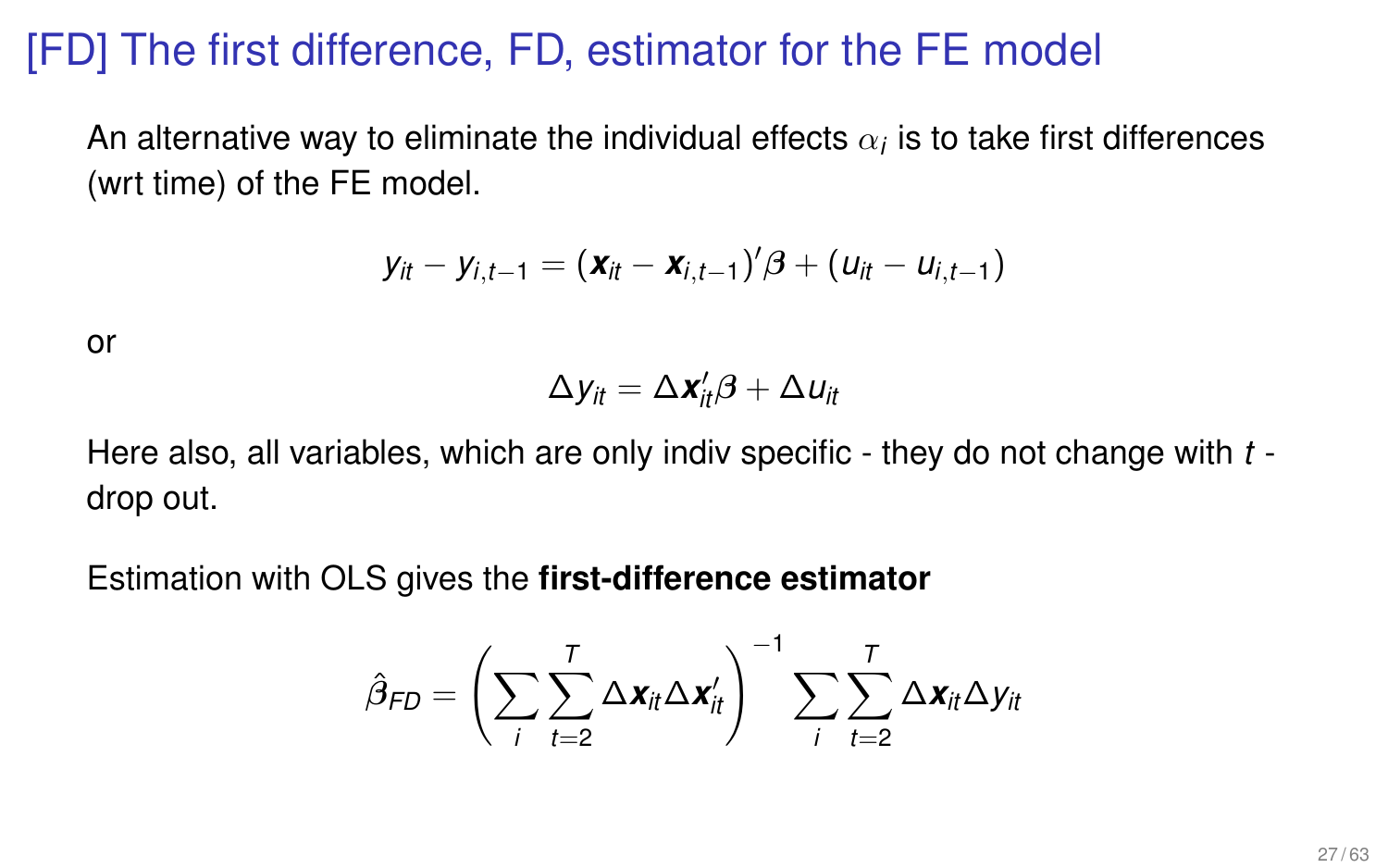# [FD] The first difference, FD, estimator for the FE model

An alternative way to eliminate the individual effects  $\alpha_i$  is to take first differences (wrt time) of the FE model.

$$
y_{it}-y_{i,t-1}=(\mathbf{x}_{it}-\mathbf{x}_{i,t-1})'\boldsymbol{\beta}+(u_{it}-u_{i,t-1})
$$

or

$$
\Delta y_{it} = \Delta \mathbf{x}_{it}'\boldsymbol{\beta} + \Delta u_{it}
$$

Here also, all variables, which are only indiv specific - they do not change with *t* drop out.

Estimation with OLS gives the **first-difference estimator**

$$
\hat{\beta}_{FD} = \left(\sum_{i}\sum_{t=2}^{T}\Delta \boldsymbol{x}_{it}\Delta \boldsymbol{x}_{it}'\right)^{-1}\sum_{i}\sum_{t=2}^{T}\Delta \boldsymbol{x}_{it}\Delta y_{it}
$$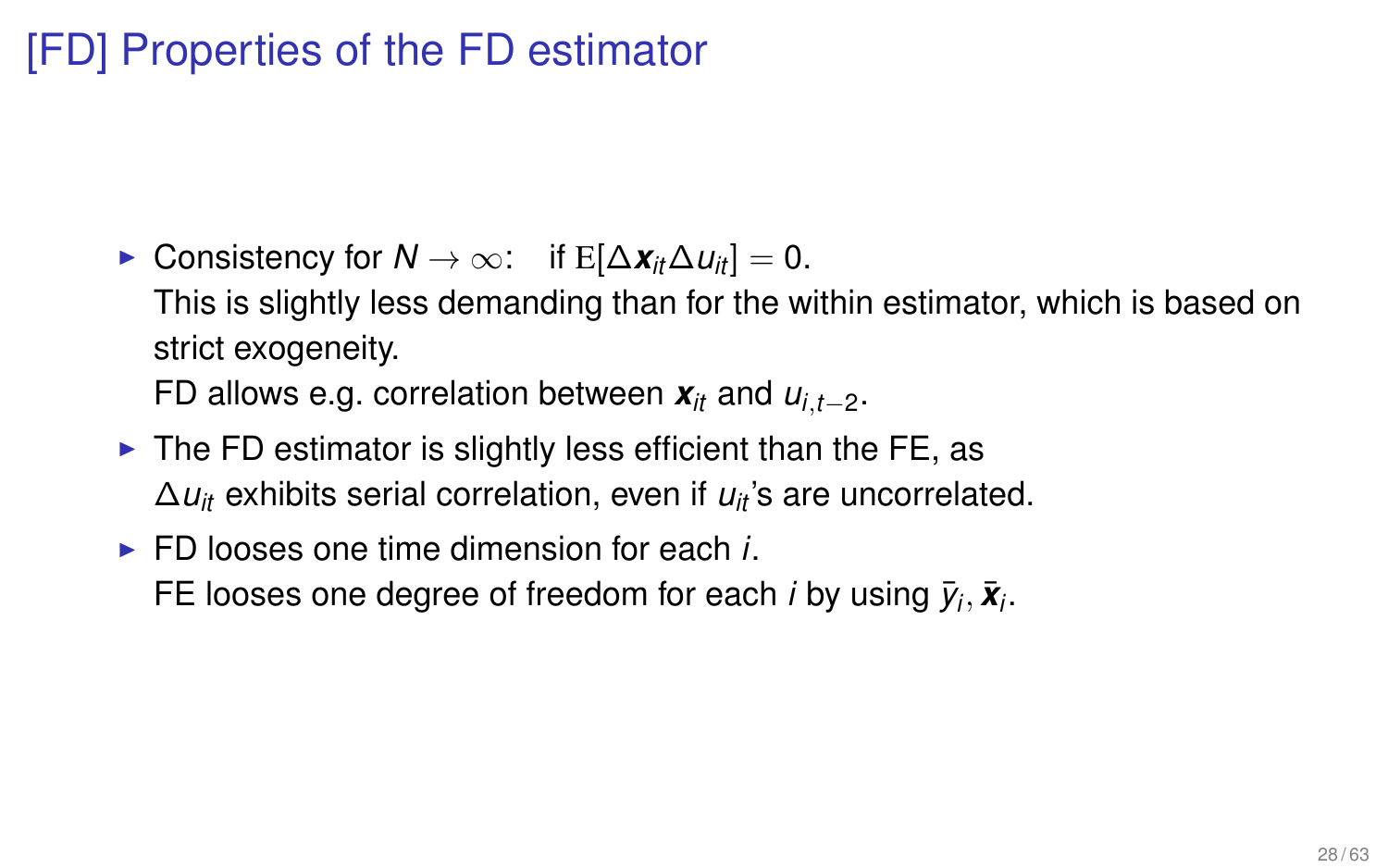# [FD] Properties of the FD estimator

- $\triangleright$  Consistency for  $N \to \infty$ : if E[ $\Delta x_{it} \Delta u_{it}$ ] = 0. This is slightly less demanding than for the within estimator, which is based on strict exogeneity. FD allows e.g. correlation between  $\mathbf{x}_{it}$  and  $u_{i,t-2}$ .
- $\triangleright$  The FD estimator is slightly less efficient than the FE, as ∆*uit* exhibits serial correlation, even if *uit* 's are uncorrelated.
- $\triangleright$  FD looses one time dimension for each *i*. FE looses one degree of freedom for each *i* by using  $\bar{y}_i$ ,  $\bar{x}_i$ .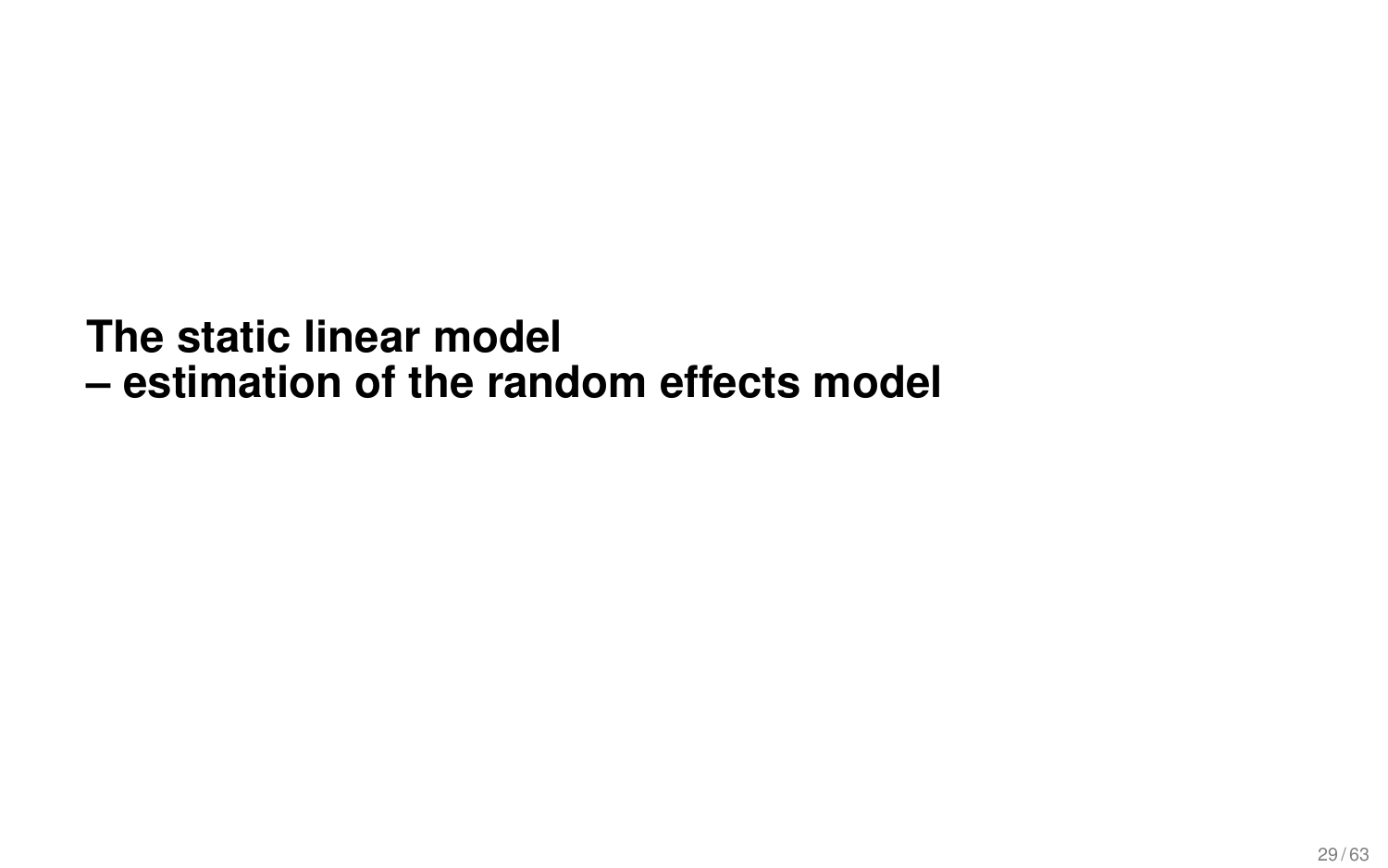# **The static linear model – estimation of the random effects model**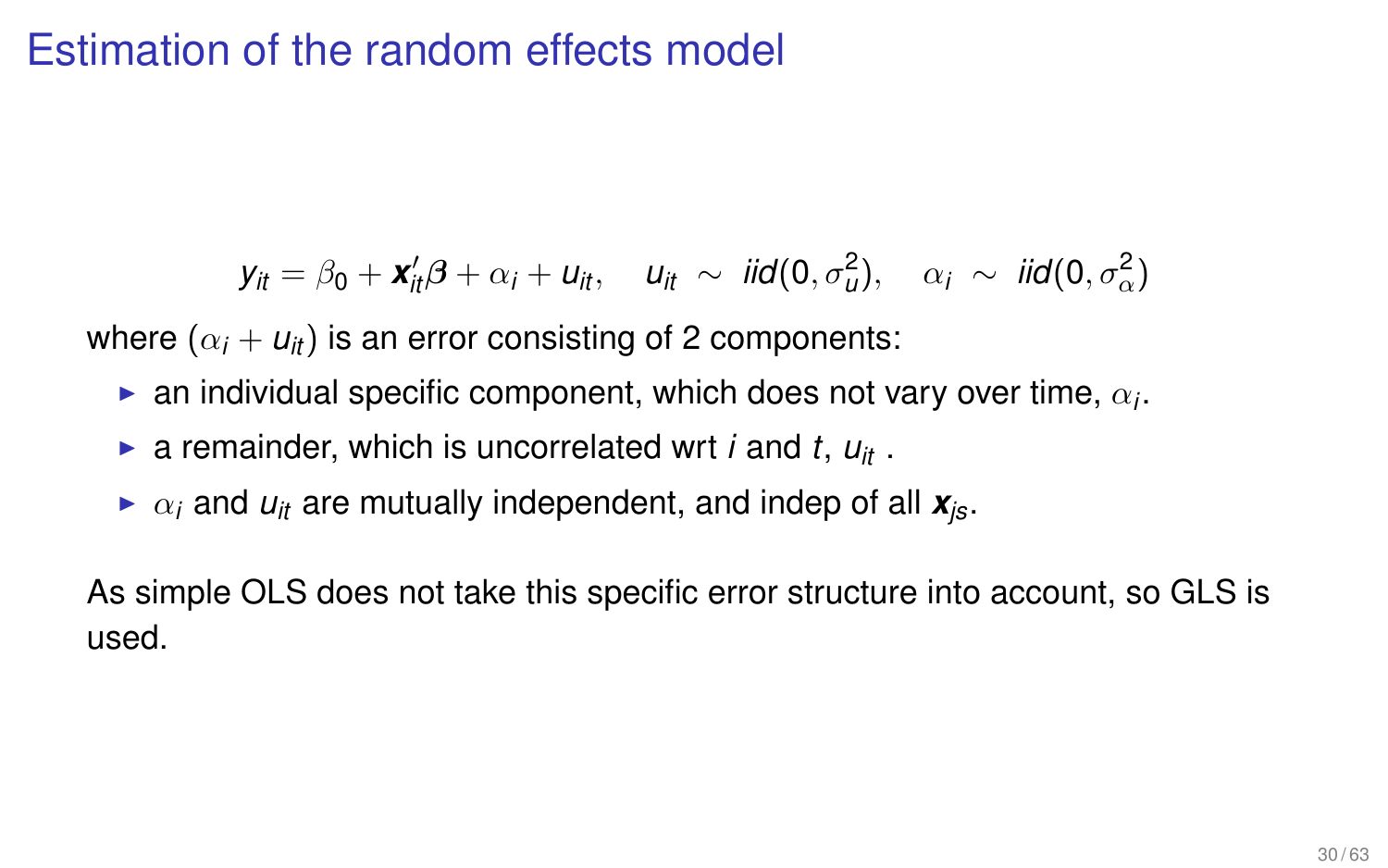# Estimation of the random effects model

$$
\mathbf{y}_{it} = \beta_0 + \mathbf{x}_{it}'\boldsymbol{\beta} + \alpha_i + \mathbf{u}_{it}, \quad \mathbf{u}_{it} \sim \text{iid}(0, \sigma_u^2), \quad \alpha_i \sim \text{ iid}(0, \sigma_\alpha^2)
$$

where  $(\alpha_i + u_{it})$  is an error consisting of 2 components:

- $\blacktriangleright$  an individual specific component, which does not vary over time,  $\alpha_i$ .
- $\triangleright$  a remainder, which is uncorrelated wrt *i* and *t*,  $u_{it}$ .
- $\triangleright$   $\alpha_i$  and  $u_{it}$  are mutually independent, and indep of all  $\mathbf{x}_{is}$ .

As simple OLS does not take this specific error structure into account, so GLS is used.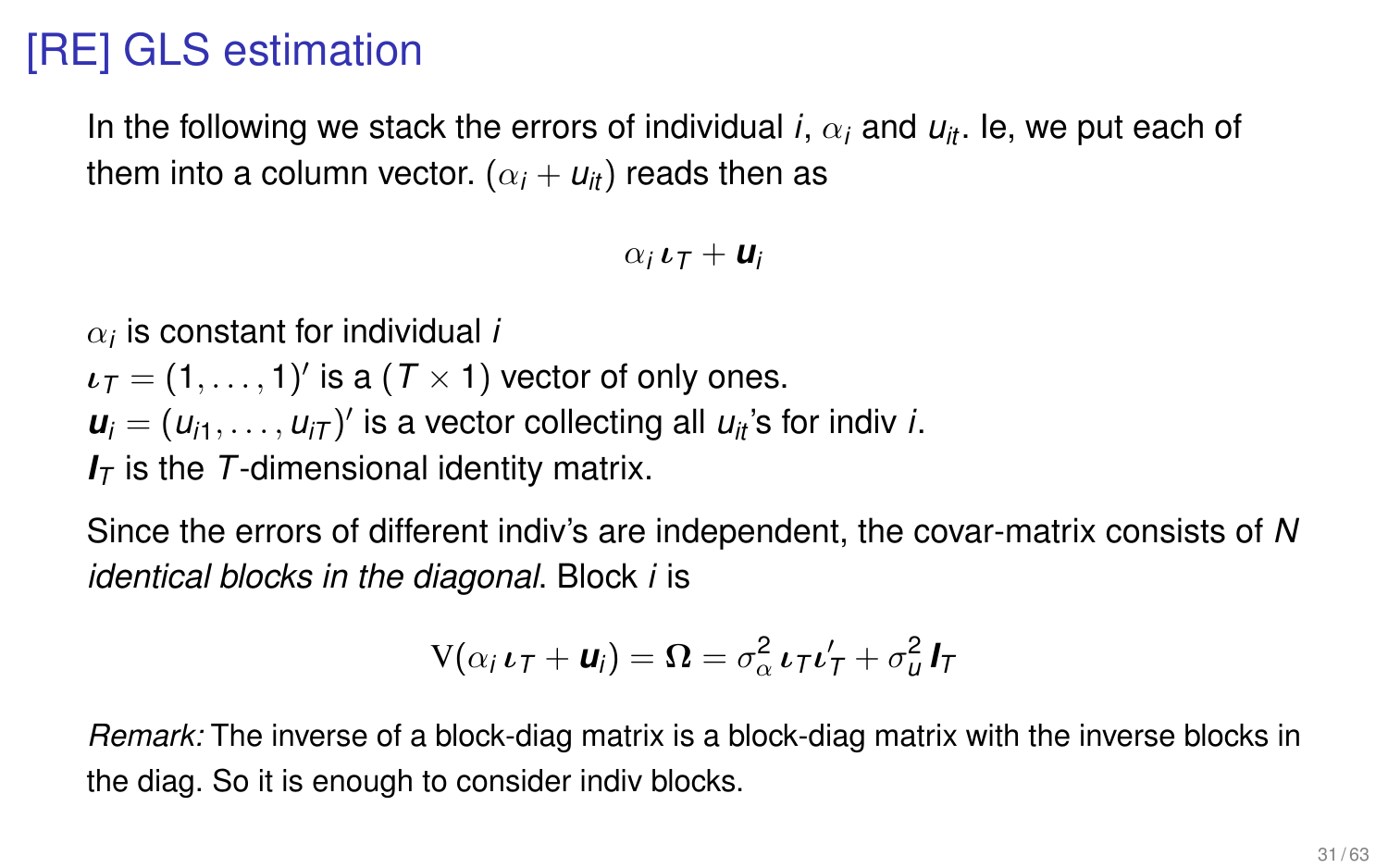# [RE] GLS estimation

In the following we stack the errors of individual *i*,  $\alpha_i$  and  $u_{it}$ . Ie, we put each of them into a column vector.  $(\alpha_i + u_i)$  reads then as

 $\alpha_i \iota_{\tau} + \iota_{\iota}$ 

 $\alpha_i$  is constant for individual *i* 

 $\boldsymbol{\iota}_T = (1,\ldots,1)'$  is a  $(T\times 1)$  vector of only ones.  $u_i = (u_{i1}, \ldots, u_{iT})'$  is a vector collecting all  $u_{it}$ 's for indiv *i*. *I<sup>T</sup>* is the *T*-dimensional identity matrix.

Since the errors of different indiv's are independent, the covar-matrix consists of *N identical blocks in the diagonal*. Block *i* is

$$
V(\alpha_i \iota_T + \mathbf{u}_i) = \mathbf{\Omega} = \sigma_\alpha^2 \iota_T \iota_T' + \sigma_u^2 \mathbf{I}_T
$$

*Remark:* The inverse of a block-diag matrix is a block-diag matrix with the inverse blocks in the diag. So it is enough to consider indiv blocks.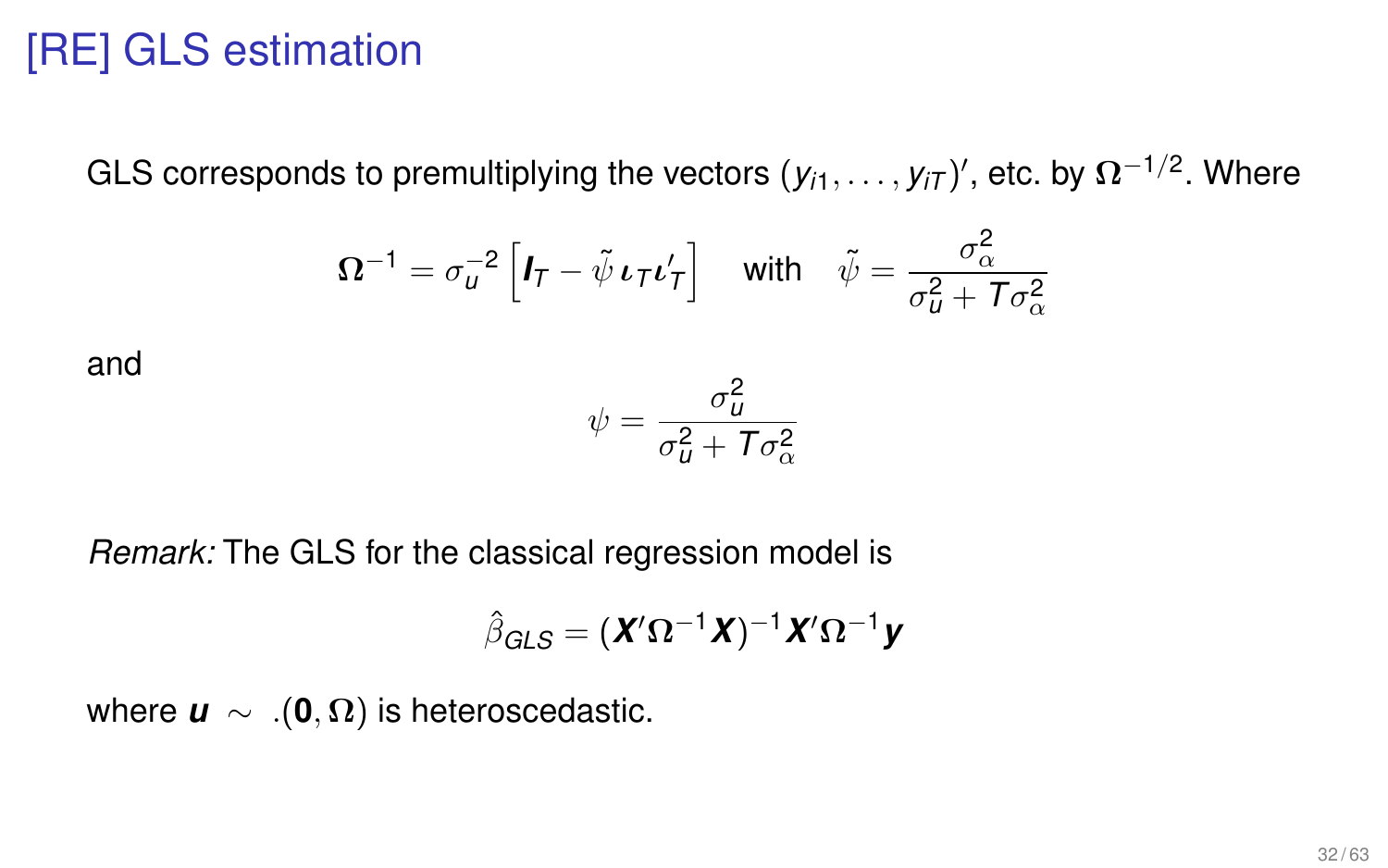# [RE] GLS estimation

GLS corresponds to premultiplying the vectors  $(y_{i1},\ldots,y_{iT})',$  etc. by  $\Omega^{-1/2}.$  Where

$$
\Omega^{-1} = \sigma_u^{-2} \left[ \mathbf{I}_T - \tilde{\psi} \, \mathbf{t}_T \mathbf{t}_T' \right] \quad \text{with} \quad \tilde{\psi} = \frac{\sigma_\alpha^2}{\sigma_u^2 + T \sigma_\alpha^2}
$$

and

$$
\psi = \frac{\sigma_u^2}{\sigma_u^2 + T\sigma_\alpha^2}
$$

*Remark:* The GLS for the classical regression model is

$$
\hat{\boldsymbol{\beta}}_{\text{GLS}} = (\boldsymbol{X}' \boldsymbol{\Omega}^{-1} \boldsymbol{X})^{-1} \boldsymbol{X}' \boldsymbol{\Omega}^{-1} \boldsymbol{y}
$$

where  $\mathbf{u} \sim .(\mathbf{0}, \Omega)$  is heteroscedastic.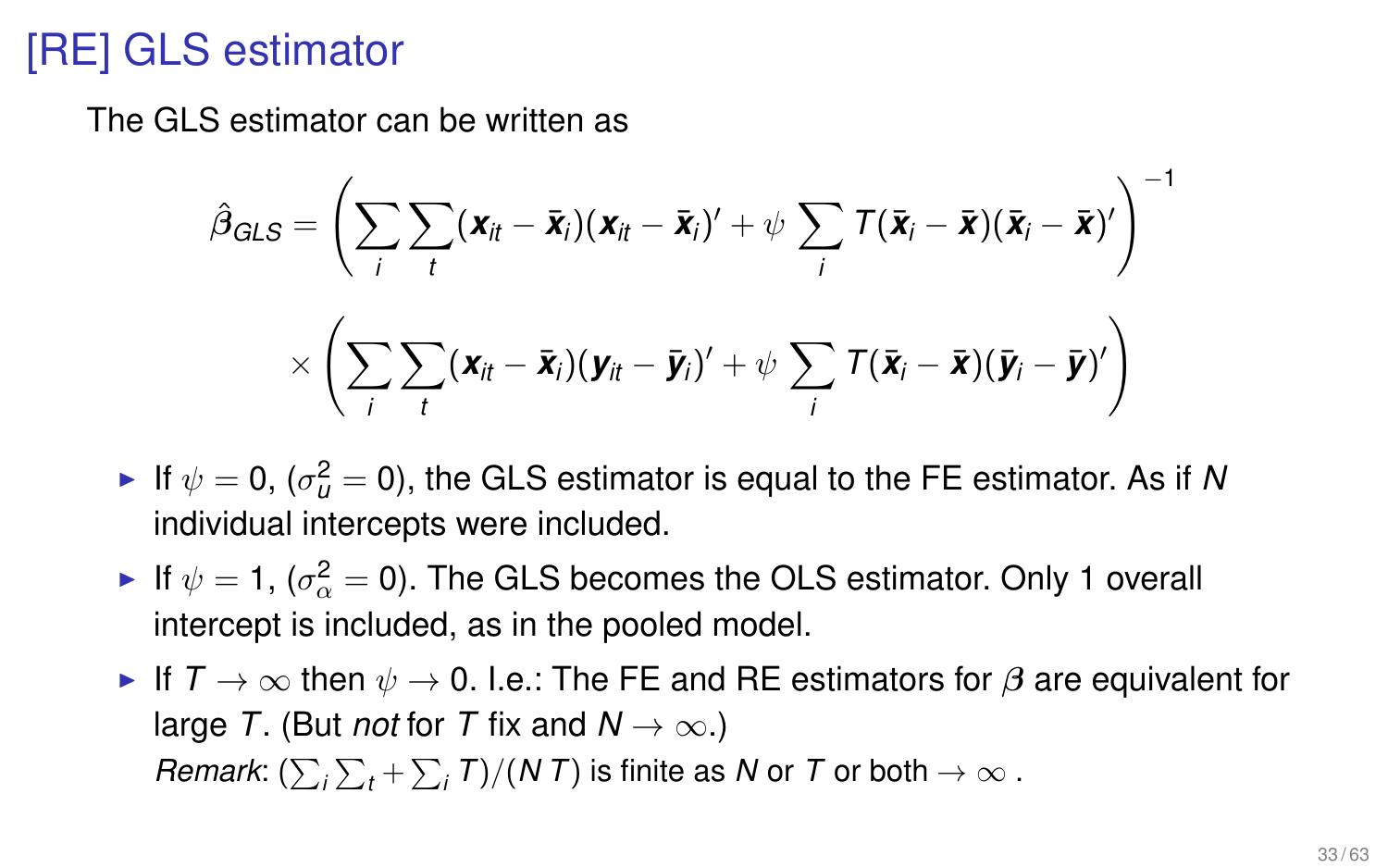# [RE] GLS estimator

The GLS estimator can be written as

$$
\hat{\beta}_{GLS} = \left(\sum_{i}\sum_{t}(\mathbf{x}_{it} - \bar{\mathbf{x}}_{i})(\mathbf{x}_{it} - \bar{\mathbf{x}}_{i})' + \psi \sum_{i}T(\bar{\mathbf{x}}_{i} - \bar{\mathbf{x}})(\bar{\mathbf{x}}_{i} - \bar{\mathbf{x}})^{\prime}\right)^{-1} \times \left(\sum_{i}\sum_{t}(\mathbf{x}_{it} - \bar{\mathbf{x}}_{i})(\mathbf{y}_{it} - \bar{\mathbf{y}}_{i})' + \psi \sum_{i}T(\bar{\mathbf{x}}_{i} - \bar{\mathbf{x}})(\bar{\mathbf{y}}_{i} - \bar{\mathbf{y}})^{\prime}\right)
$$

- ► If  $\psi = 0$ , ( $\sigma_u^2 = 0$ ), the GLS estimator is equal to the FE estimator. As if *N* individual intercepts were included.
- $\blacktriangleright$  If  $\psi =$  1, ( $\sigma_{\alpha}^{2} =$  0). The GLS becomes the OLS estimator. Only 1 overall intercept is included, as in the pooled model.
- If  $T \to \infty$  then  $\psi \to 0$ . I.e.: The FE and RE estimators for  $\beta$  are equivalent for large *T*. (But *not* for *T* fix and  $N \to \infty$ .) *Remark*:  $(\sum_i \sum_t + \sum_i T)/(N\,T)$  is finite as *N* or *T* or both  $\rightarrow \infty$  .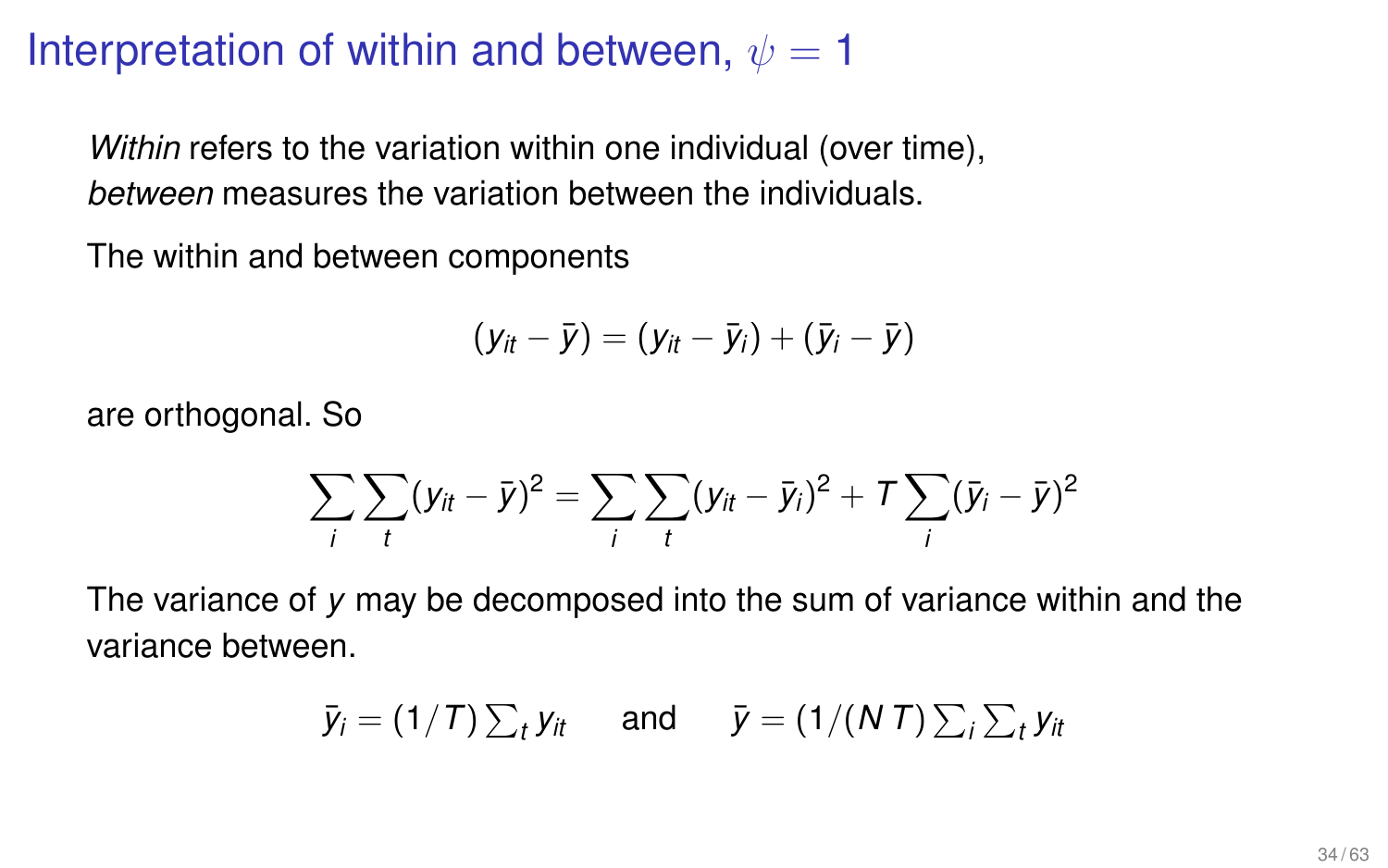### Interpretation of within and between,  $\psi = 1$

*Within* refers to the variation within one individual (over time), *between* measures the variation between the individuals.

The within and between components

$$
(y_{it}-\bar{y})=(y_{it}-\bar{y}_i)+(\bar{y}_i-\bar{y})
$$

are orthogonal. So

$$
\sum_{i} \sum_{t} (y_{it} - \bar{y})^2 = \sum_{i} \sum_{t} (y_{it} - \bar{y}_{i})^2 + \mathcal{T} \sum_{i} (\bar{y}_{i} - \bar{y})^2
$$

The variance of *y* may be decomposed into the sum of variance within and the variance between.

$$
\bar{y}_i = (1/T) \sum_t y_{it}
$$
 and  $\bar{y} = (1/(N T) \sum_i \sum_t y_{it}$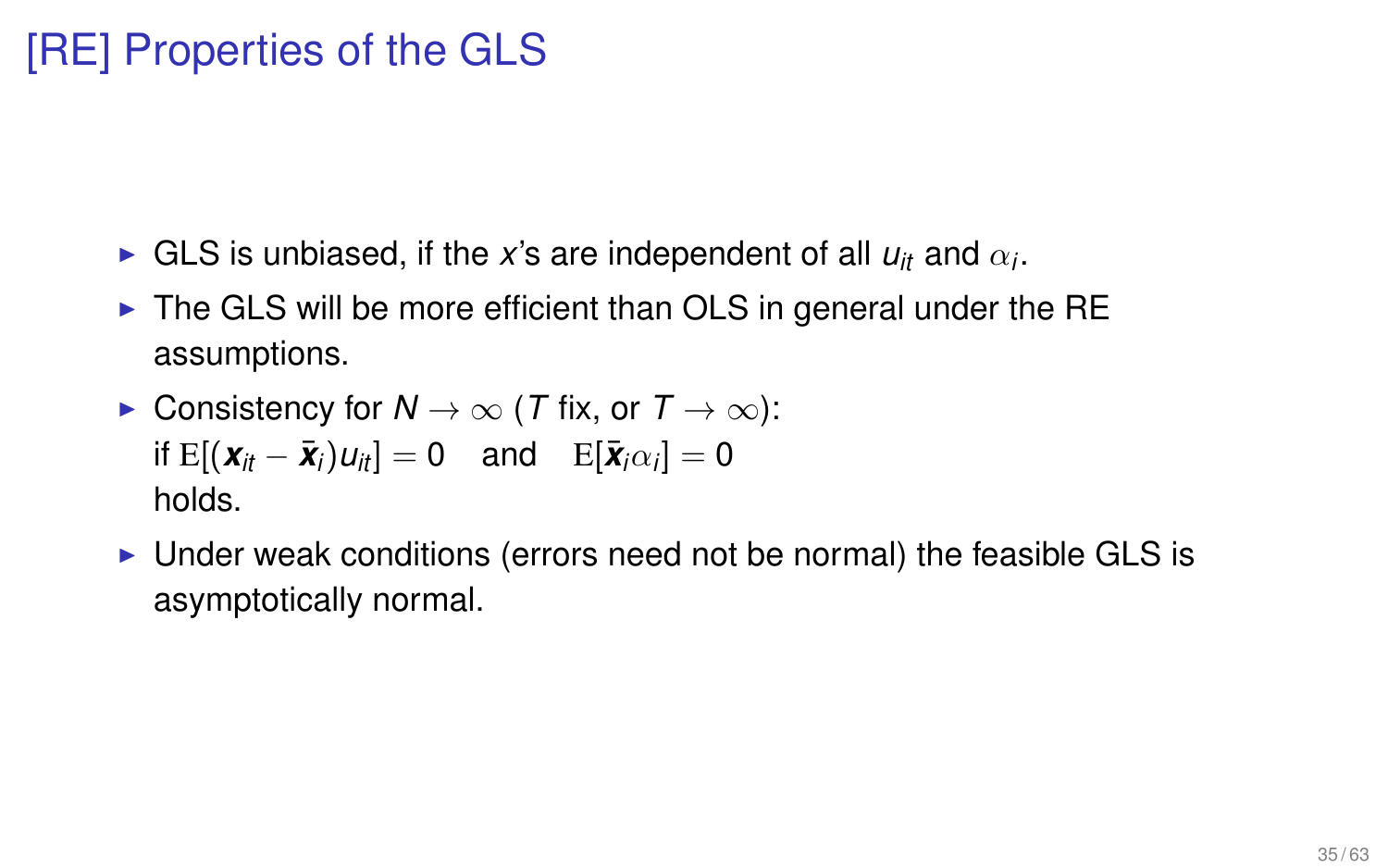# [RE] Properties of the GLS

- $\blacktriangleright$  GLS is unbiased, if the *x*'s are independent of all  $u_{it}$  and  $\alpha_i$ .
- $\triangleright$  The GLS will be more efficient than OLS in general under the RE assumptions.

► Consistency for 
$$
N \rightarrow \infty
$$
 (T fix, or  $T \rightarrow \infty$ ):  
if E[( $\mathbf{x}_{it} - \bar{\mathbf{x}}_i$ ) $u_{it}$ ] = 0 and E[ $\bar{\mathbf{x}}_i \alpha_i$ ] = 0  
holds.

Inder weak conditions (errors need not be normal) the feasible GLS is asymptotically normal.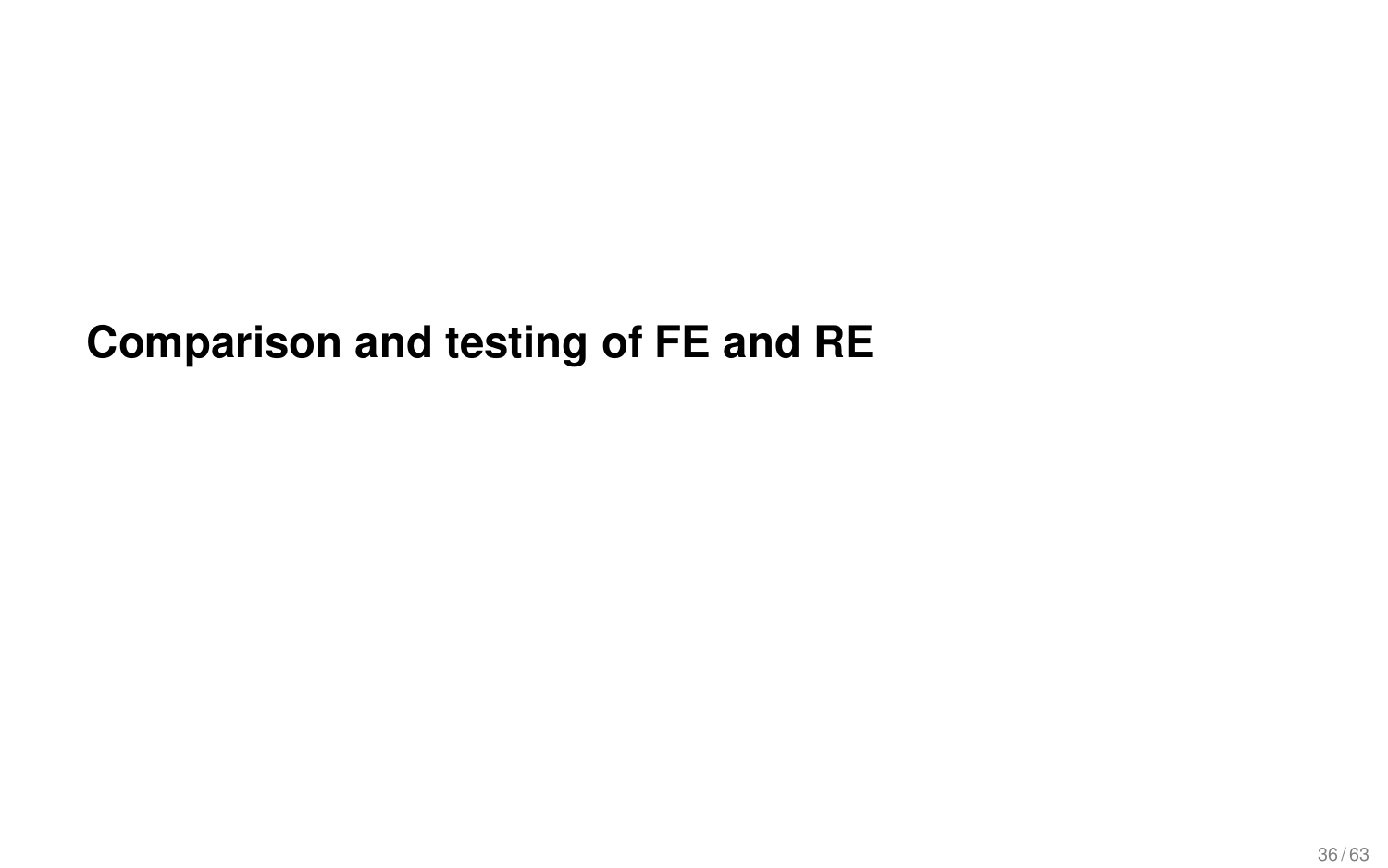# **Comparison and testing of FE and RE**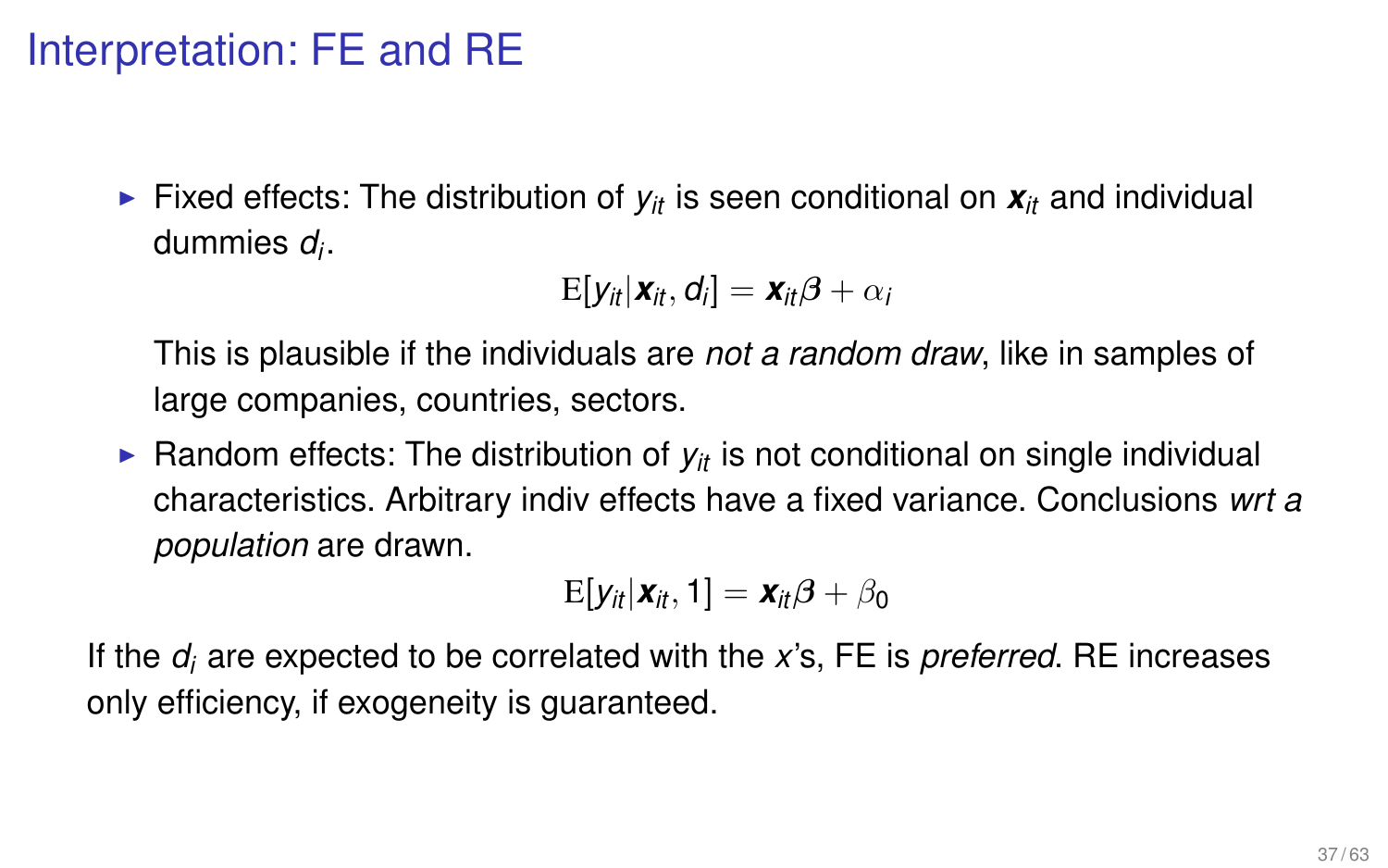### Interpretation: FE and RE

Fixed effects: The distribution of  $v_{it}$  is seen conditional on  $\mathbf{x}_{it}$  and individual dummies *d<sup>i</sup>* .

$$
E[y_{it}|\boldsymbol{x}_{it},\boldsymbol{d}_i]=\boldsymbol{x}_{it}\boldsymbol{\beta}+\alpha_i
$$

This is plausible if the individuals are *not a random draw*, like in samples of large companies, countries, sectors.

**• Random effects: The distribution of**  $y_i$  **is not conditional on single individual** characteristics. Arbitrary indiv effects have a fixed variance. Conclusions *wrt a population* are drawn.

$$
E[y_{it}|\boldsymbol{x}_{it},1]=\boldsymbol{x}_{it}\boldsymbol{\beta}+\beta_0
$$

If the *d<sup>i</sup>* are expected to be correlated with the *x*'s, FE is *preferred*. RE increases only efficiency, if exogeneity is guaranteed.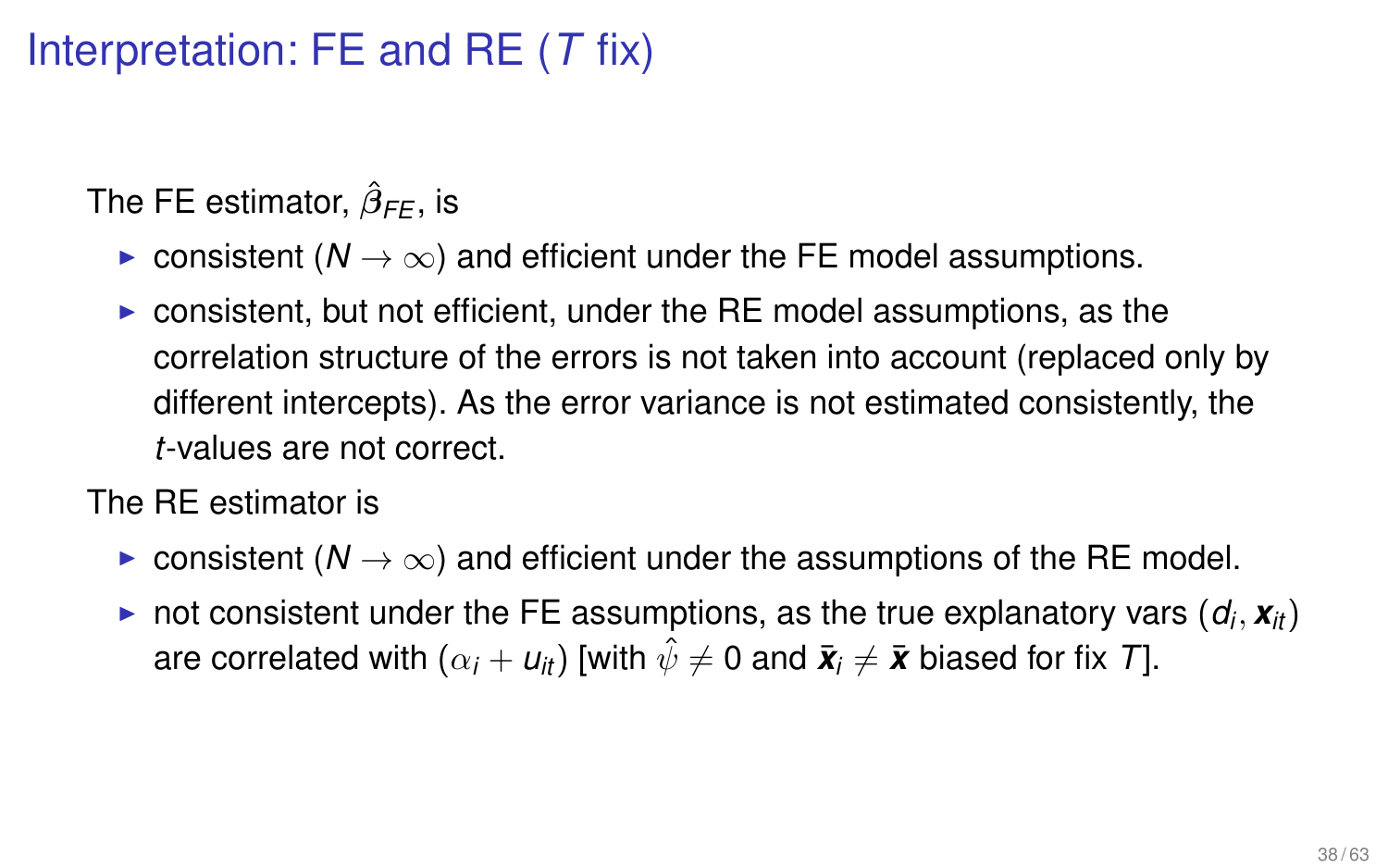# Interpretation: FE and RE (*T* fix)

The FE estimator,  $\hat{\beta}_{\textit{FE}}$ , is

- **► consistent (** $N \rightarrow \infty$ **) and efficient under the FE model assumptions.**
- $\triangleright$  consistent, but not efficient, under the RE model assumptions, as the correlation structure of the errors is not taken into account (replaced only by different intercepts). As the error variance is not estimated consistently, the *t*-values are not correct.

The RE estimator is

- **►** consistent ( $N \rightarrow \infty$ ) and efficient under the assumptions of the RE model.
- $\blacktriangleright$  not consistent under the FE assumptions, as the true explanatory vars  $(d_i, x_{it})$ are correlated with  $(\alpha_i + u_{it})$  [with  $\hat{\psi} \neq 0$  and  $\bar{x}_i \neq \bar{x}$  biased for fix *T*].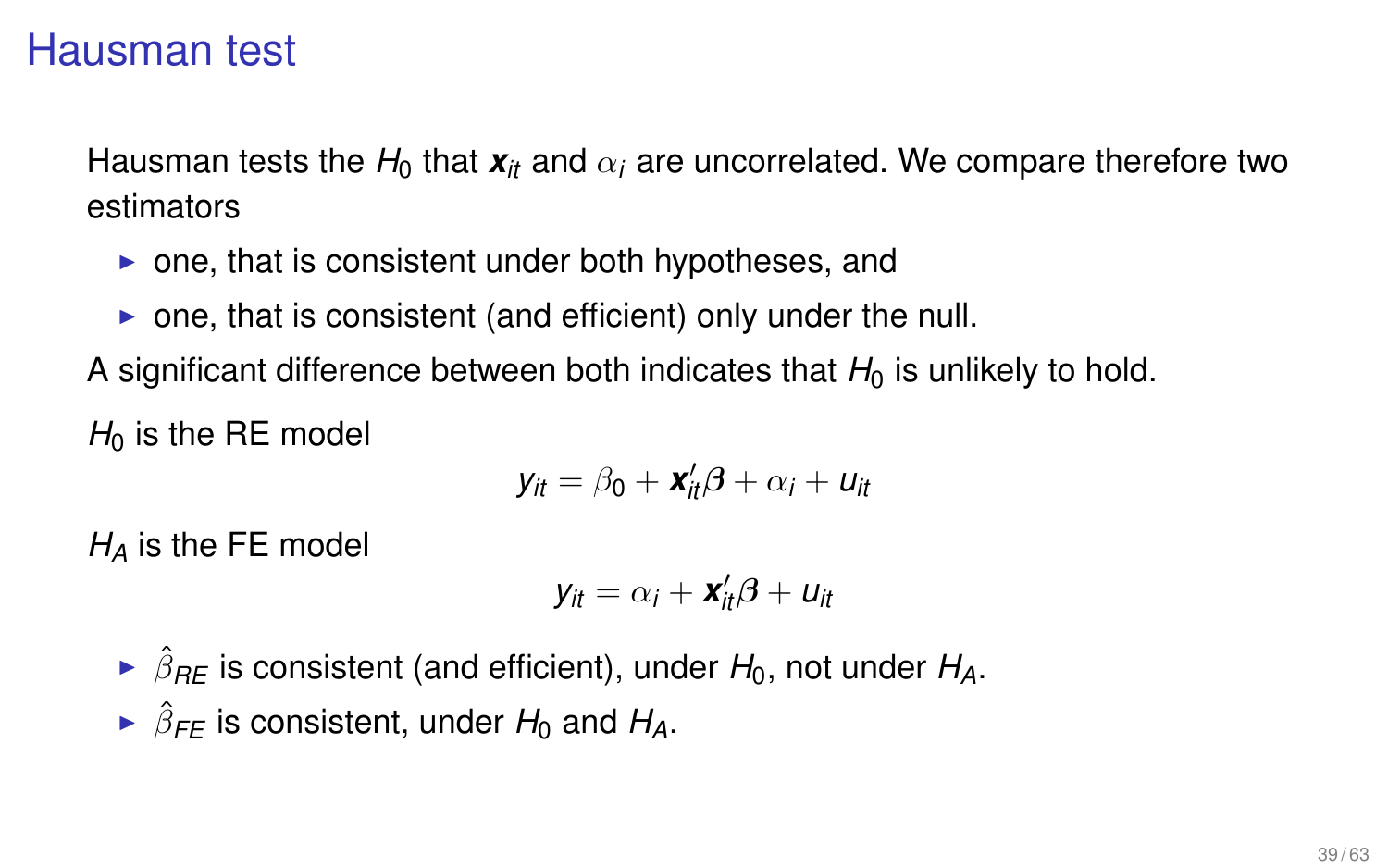#### Hausman test

Hausman tests the  $H_0$  that  $\mathbf{x}_i$  and  $\alpha_i$  are uncorrelated. We compare therefore two estimators

- $\triangleright$  one, that is consistent under both hypotheses, and
- $\triangleright$  one, that is consistent (and efficient) only under the null.

A significant difference between both indicates that  $H_0$  is unlikely to hold.

 $H_0$  is the RE model

$$
y_{it} = \beta_0 + \mathbf{x}_{it}'\boldsymbol{\beta} + \alpha_i + \mathbf{u}_{it}
$$

*H<sup>A</sup>* is the FE model

$$
y_{it} = \alpha_i + \mathbf{x}_{it}'\boldsymbol{\beta} + u_{it}
$$

- $\triangleright$   $\hat{\beta}_{RE}$  is consistent (and efficient), under  $H_0$ , not under  $H_A$ .
- $\triangleright$   $\hat{\beta}_{FE}$  is consistent, under  $H_0$  and  $H_A$ .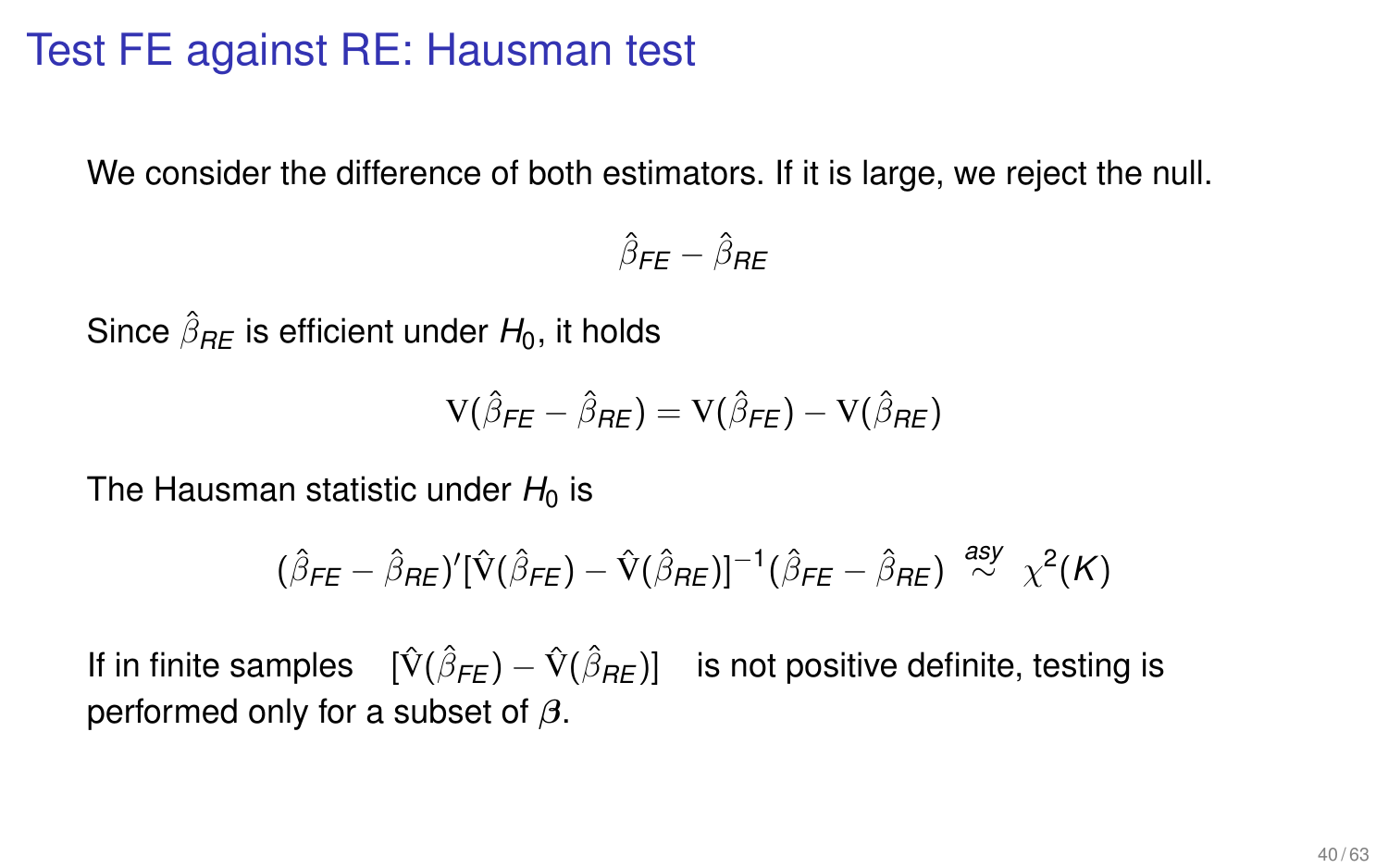# Test FE against RE: Hausman test

We consider the difference of both estimators. If it is large, we reject the null.

 $\hat{\beta}_{\textsf{FE}}-\hat{\beta}_{\textsf{RE}}$ 

Since  $\hat{\beta}_{\textit{RE}}$  is efficient under  $H_0$ , it holds

$$
V(\hat{\beta}_{FE} - \hat{\beta}_{RE}) = V(\hat{\beta}_{FE}) - V(\hat{\beta}_{RE})
$$

The Hausman statistic under  $H_0$  is

$$
(\hat{\beta}_{FE} - \hat{\beta}_{RE})' [\hat{V}(\hat{\beta}_{FE}) - \hat{V}(\hat{\beta}_{RE})]^{-1} (\hat{\beta}_{FE} - \hat{\beta}_{RE}) \stackrel{asy}{\sim} \chi^2(K)
$$

If in finite samples  $\ [\hat{V}(\hat{\beta}_{\textit{FE}}) - \hat{V}(\hat{\beta}_{\textit{RE}})]$  is not positive definite, testing is performed only for a subset of  $\beta$ .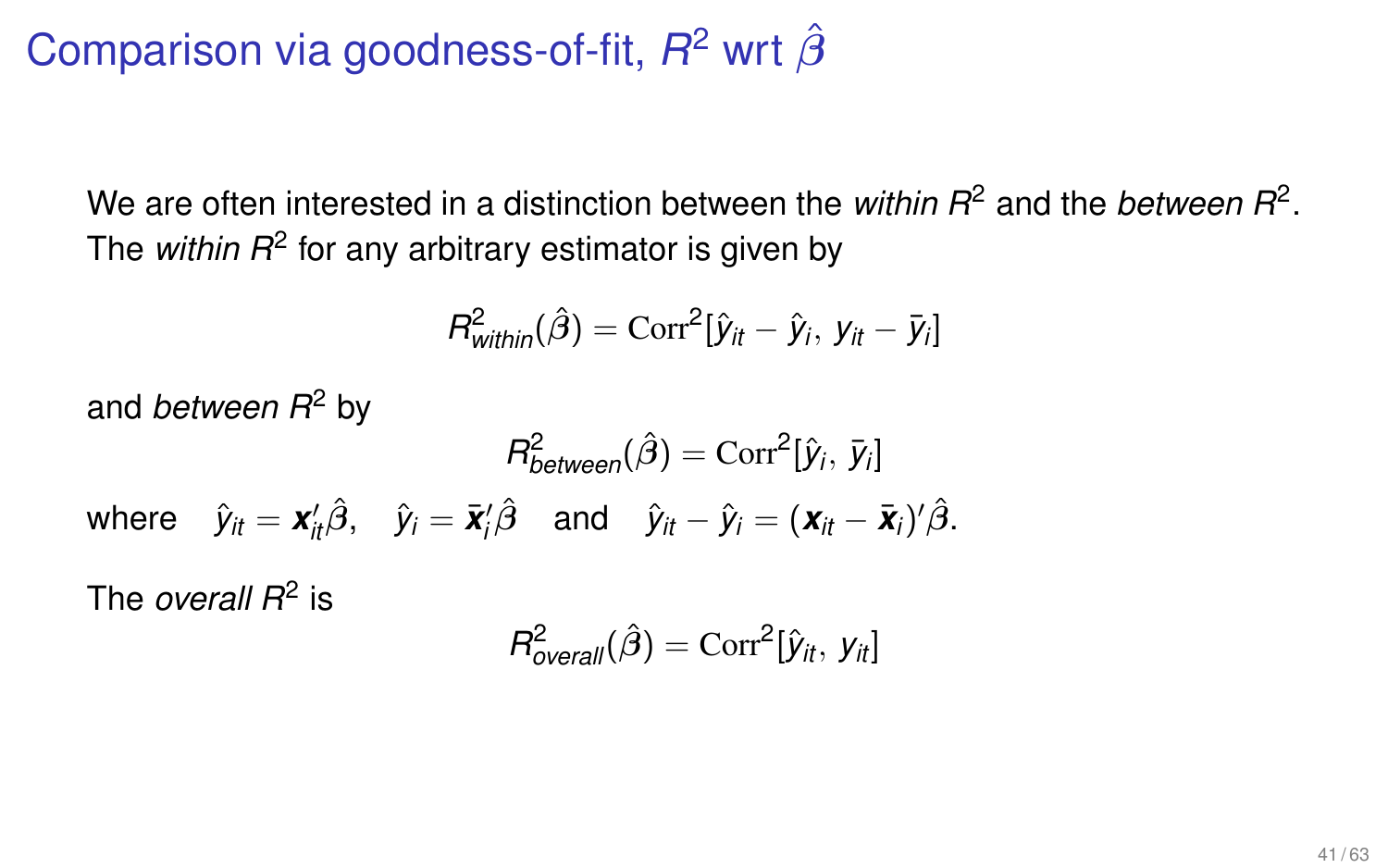# Comparison via goodness-of-fit, *R*<sup>2</sup> wrt  $\hat{\beta}$

We are often interested in a distinction between the *within R*<sup>2</sup> and the *between R*<sup>2</sup>. The *within R*<sup>2</sup> for any arbitrary estimator is given by

$$
R^2_{within}(\hat{\beta}) = \text{Corr}^2[\hat{y}_{it} - \hat{y}_i, y_{it} - \bar{y}_i]
$$

and *between R*<sup>2</sup> by

$$
R_{between}^2(\hat{\beta}) = \text{Corr}^2[\hat{y}_i, \, \bar{y}_i]
$$
  
where  $\hat{y}_{it} = \mathbf{x}_{it}'\hat{\beta}, \quad \hat{y}_i = \bar{\mathbf{x}}_i'\hat{\beta} \quad \text{and} \quad \hat{y}_{it} - \hat{y}_i = (\mathbf{x}_{it} - \bar{\mathbf{x}}_i)'\hat{\beta}.$ 

The *overall R*<sup>2</sup> is

$$
R^2_{\text{overall}}(\hat{\beta}) = \text{Corr}^2[\hat{y}_{it}, y_{it}]
$$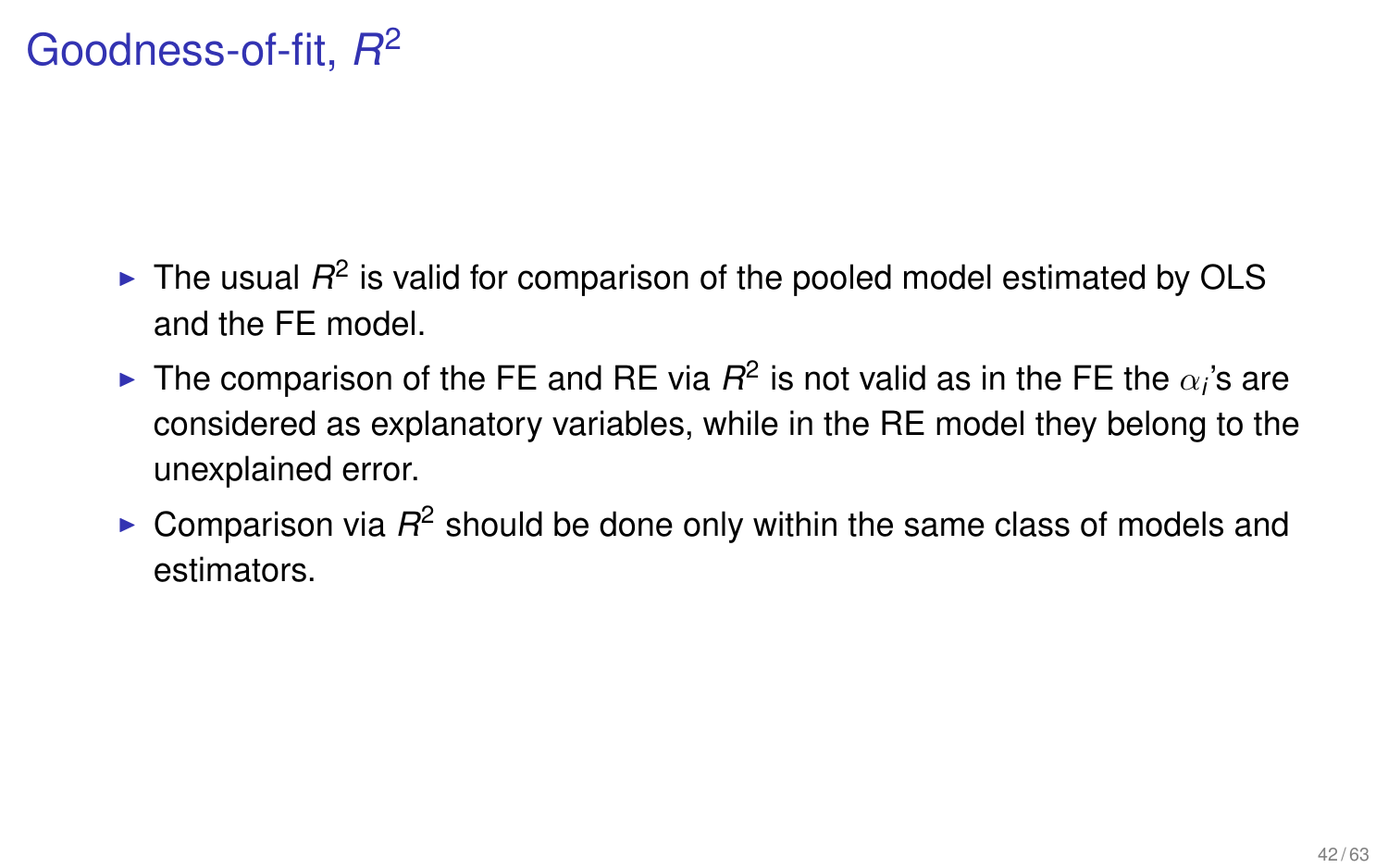# Goodness-of-fit, *R* 2

- $\blacktriangleright$  The usual  $R^2$  is valid for comparison of the pooled model estimated by OLS and the FE model.
- ► The comparison of the FE and RE via  $R^2$  is not valid as in the FE the  $\alpha_i$ 's are considered as explanatory variables, while in the RE model they belong to the unexplained error.
- $\triangleright$  Comparison via  $R^2$  should be done only within the same class of models and estimators.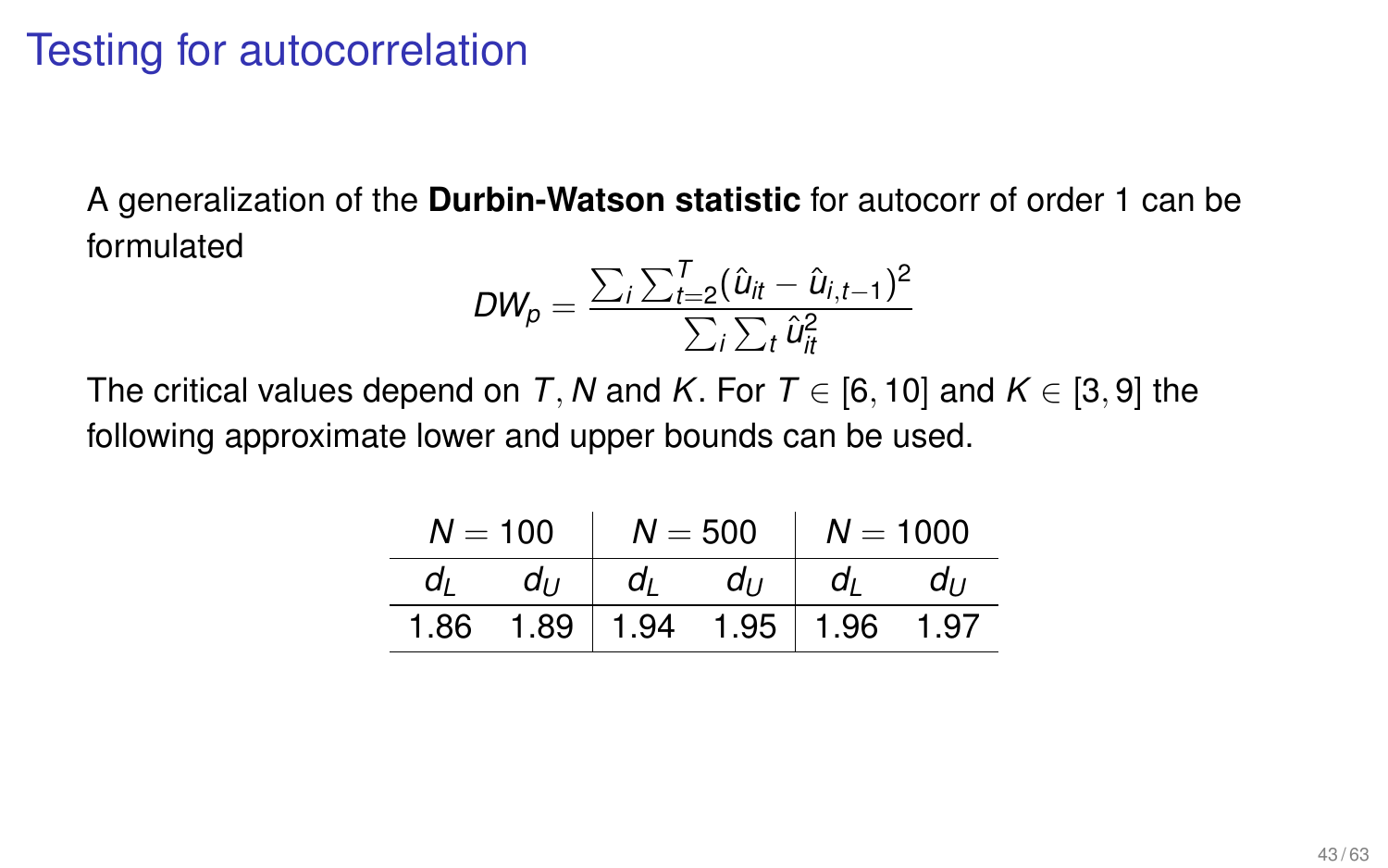## Testing for autocorrelation

A generalization of the **Durbin-Watson statistic** for autocorr of order 1 can be formulated

$$
DW_p = \frac{\sum_i \sum_{t=2}^T (\hat{u}_{it} - \hat{u}_{i,t-1})^2}{\sum_i \sum_t \hat{u}_{it}^2}
$$

The critical values depend on *T*, *N* and *K*. For  $T \in [6, 10]$  and  $K \in [3, 9]$  the following approximate lower and upper bounds can be used.

| $N = 100$ |          | $N = 500$ $N = 1000$ |        |        |  |
|-----------|----------|----------------------|--------|--------|--|
|           | $d_{II}$ |                      | dı dır | dı dır |  |
| 1.86      |          |                      |        |        |  |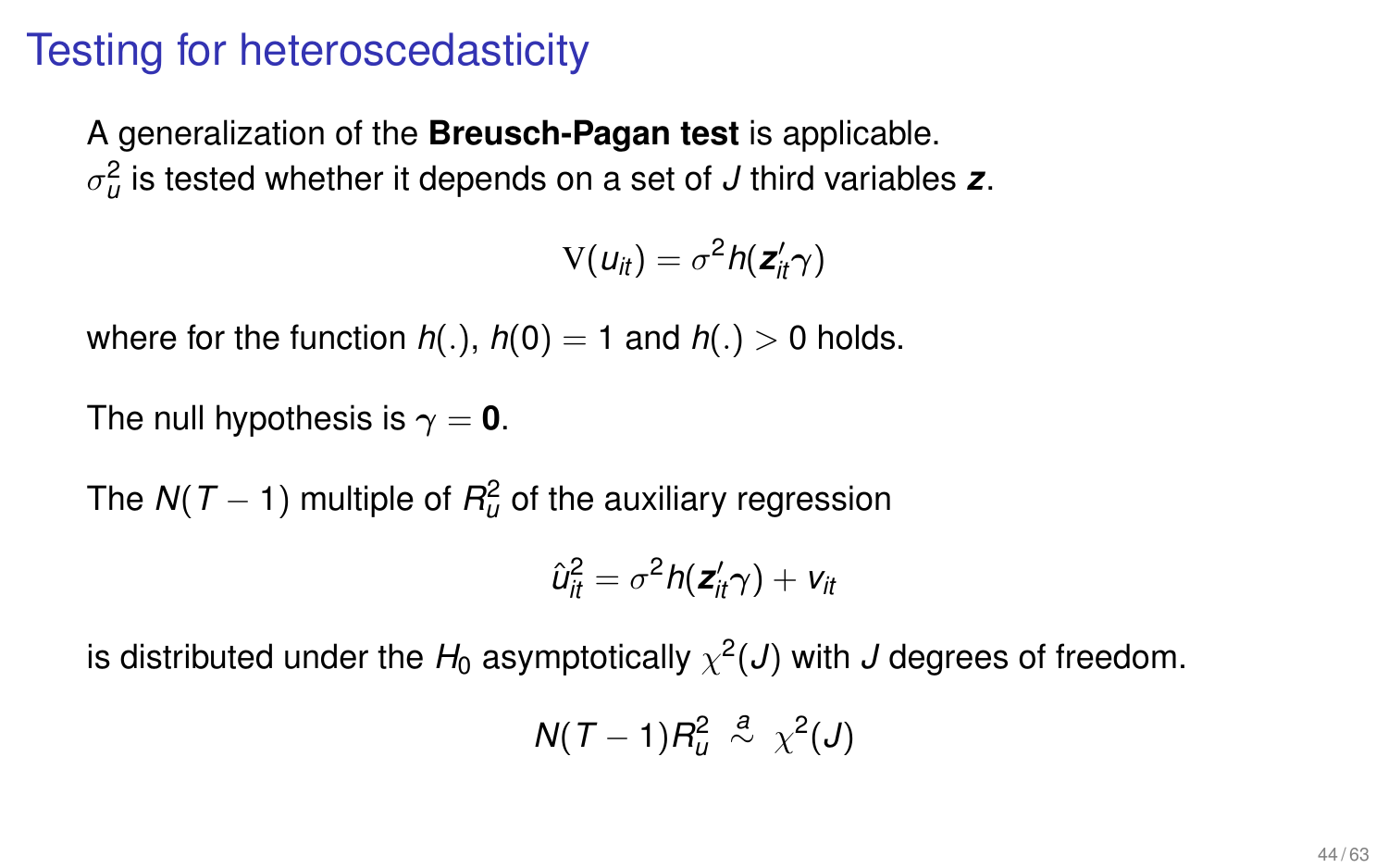## Testing for heteroscedasticity

A generalization of the **Breusch-Pagan test** is applicable.  $\sigma^2_u$  is tested whether it depends on a set of  $J$  third variables  $\bm{z}.$ 

$$
V(u_{it}) = \sigma^2 h(\boldsymbol{z}_{it}^{\prime}\boldsymbol{\gamma})
$$

where for the function  $h(.)$ ,  $h(0) = 1$  and  $h(.) > 0$  holds.

The null hypothesis is  $\gamma = 0$ .

The  $N(T-1)$  multiple of  $R^2_u$  of the auxiliary regression

$$
\hat{u}_{it}^2 = \sigma^2 h(\mathbf{z}_{it}^{\prime}\gamma) + v_{it}
$$

is distributed under the  $H_0$  asymptotically  $\chi^2(\bm{J})$  with  $\bm{J}$  degrees of freedom.

$$
N(T-1)R_u^2 \stackrel{a}{\sim} \chi^2(J)
$$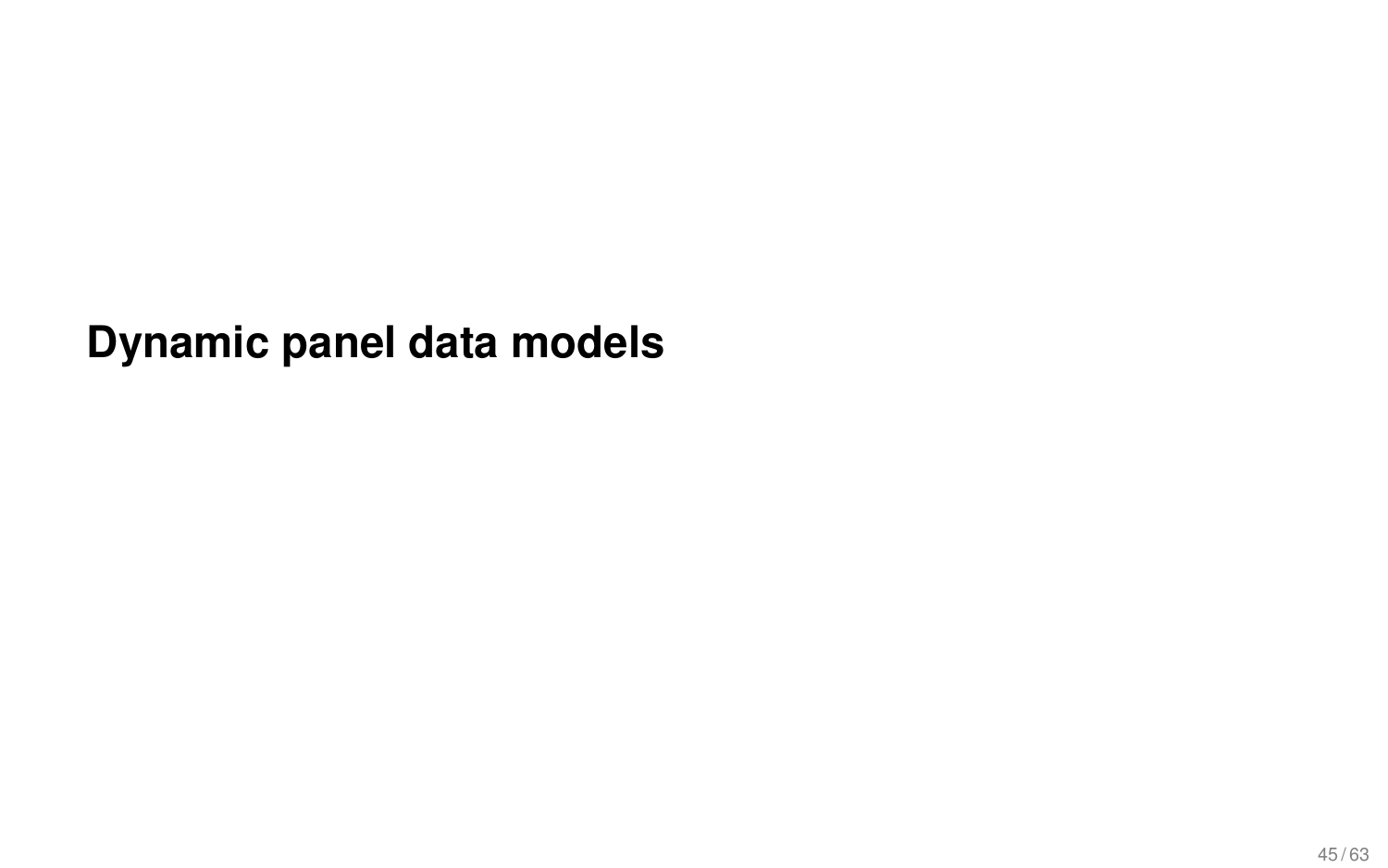**Dynamic panel data models**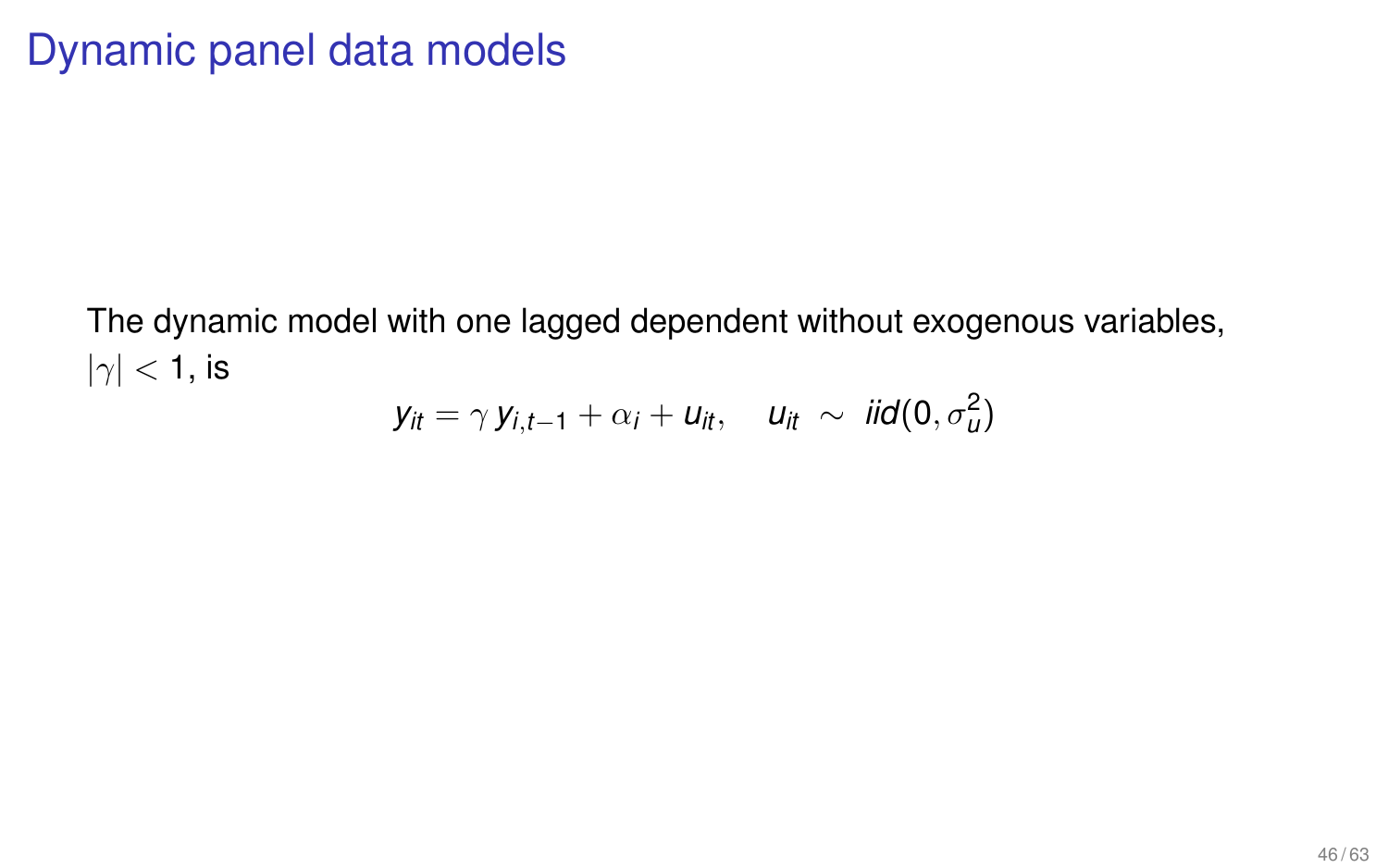The dynamic model with one lagged dependent without exogenous variables,  $|\gamma|$  < 1, is

$$
y_{it} = \gamma y_{i,t-1} + \alpha_i + u_{it}, \quad u_{it} \sim \text{iid}(0, \sigma_u^2)
$$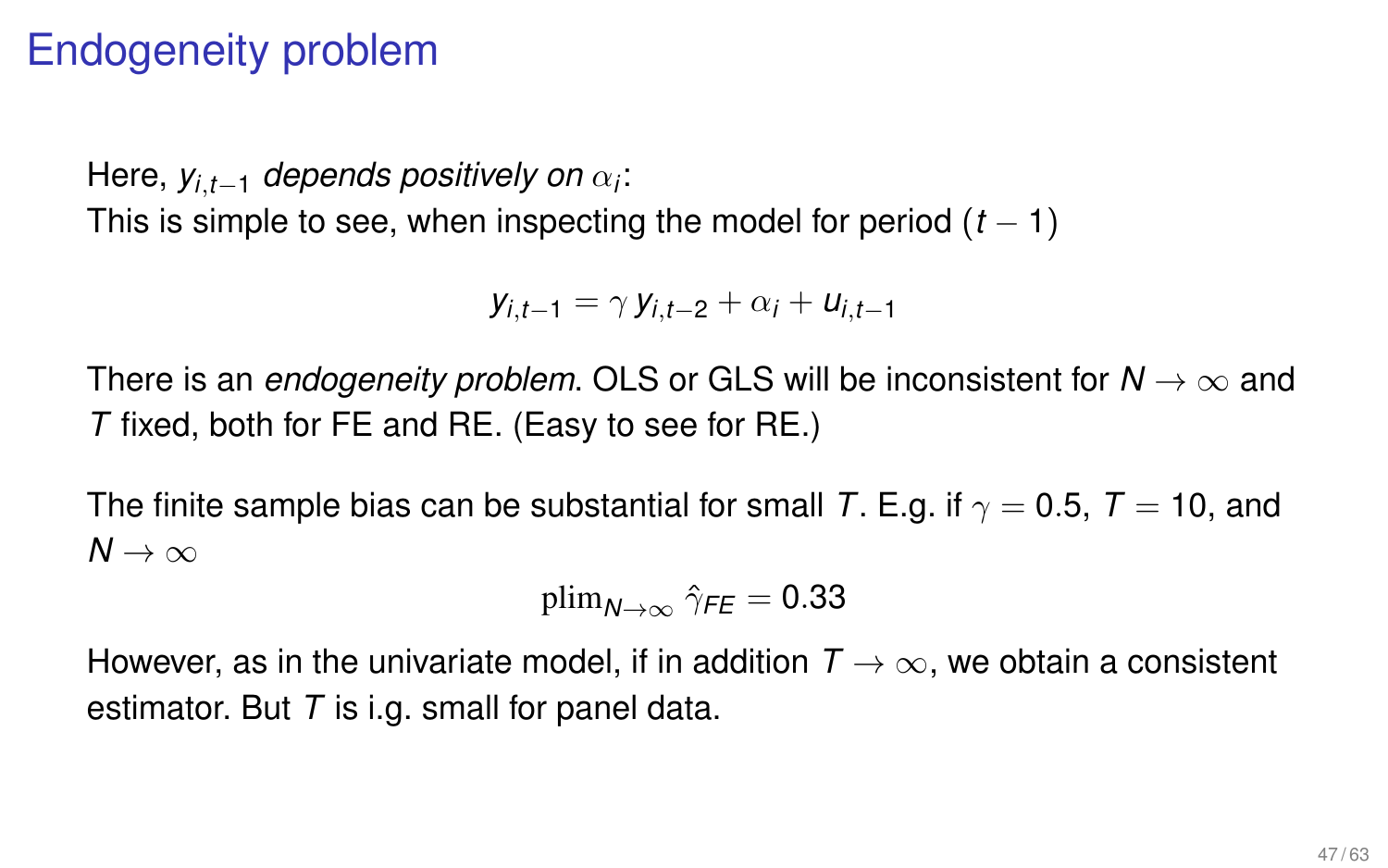# Endogeneity problem

Here, *yi*,*t*−<sup>1</sup> *depends positively on* α*<sup>i</sup>* : This is simple to see, when inspecting the model for period  $(t - 1)$ 

*y*<sub>i</sub>, $t_{-1} = \gamma y_i$ ,  $t_{-2} + \alpha_i + u_i$ ,  $t_{-1}$ 

There is an *endogeneity problem*. OLS or GLS will be inconsistent for  $N \to \infty$  and *T* fixed, both for FE and RE. (Easy to see for RE.)

The finite sample bias can be substantial for small *T*. E.g. if  $\gamma = 0.5$ ,  $T = 10$ , and  $N \rightarrow \infty$ 

$$
\text{plim}_{\text{$N\rightarrow\infty$}} \, \hat{\gamma}_{\textit{FE}} = 0.33
$$

However, as in the univariate model, if in addition  $T \rightarrow \infty$ , we obtain a consistent estimator. But *T* is i.g. small for panel data.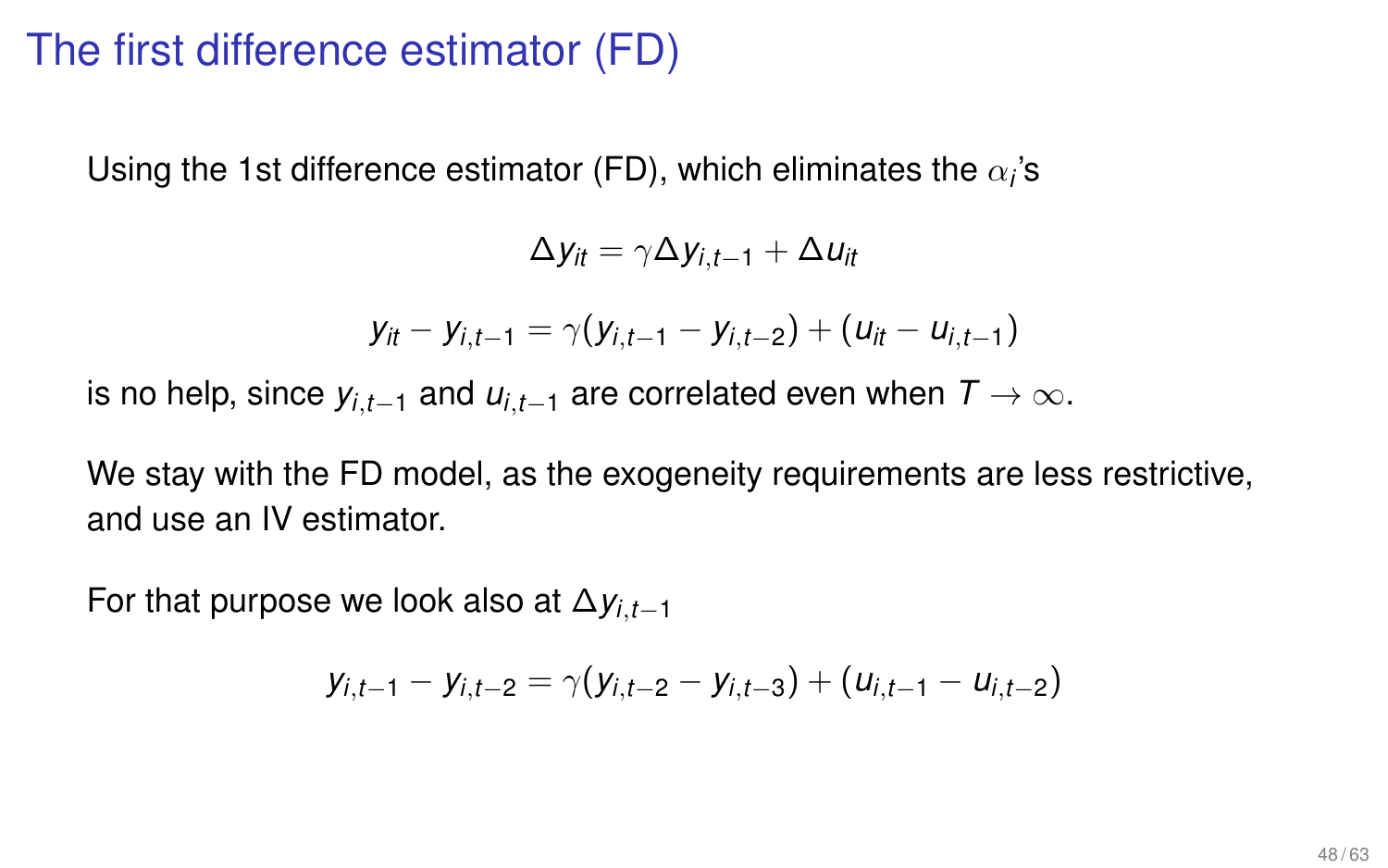# The first difference estimator (FD)

Using the 1st difference estimator (FD), which eliminates the  $\alpha_i$ 's

$$
\Delta y_{it} = \gamma \Delta y_{i,t-1} + \Delta u_{it}
$$

$$
y_{it} - y_{i,t-1} = \gamma(y_{i,t-1} - y_{i,t-2}) + (u_{it} - u_{i,t-1})
$$

is no help, since  $y_{i,t-1}$  and  $u_{i,t-1}$  are correlated even when  $T \to \infty$ .

We stay with the FD model, as the exogeneity requirements are less restrictive, and use an IV estimator.

For that purpose we look also at ∆*yi*,*t*−<sup>1</sup>

$$
y_{i,t-1} - y_{i,t-2} = \gamma(y_{i,t-2} - y_{i,t-3}) + (u_{i,t-1} - u_{i,t-2})
$$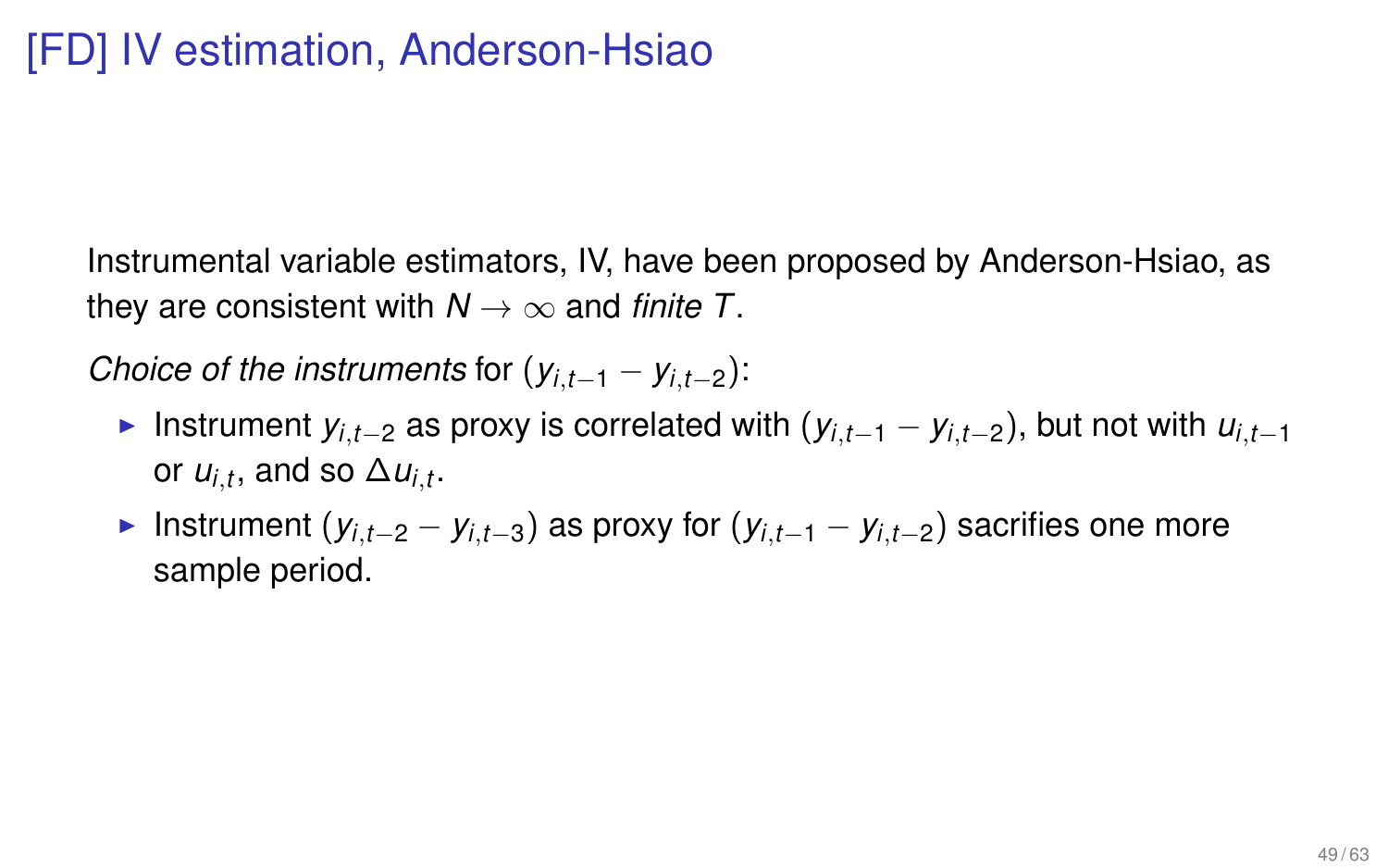Instrumental variable estimators, IV, have been proposed by Anderson-Hsiao, as they are consistent with  $N \rightarrow \infty$  and *finite T*.

*Choice of the instruments for*  $(y_{i,t-1} - y_{i,t-2})$ *:* 

- ► Instrument  $y_{i,t-2}$  as proxy is correlated with  $(y_{i,t-1} y_{i,t-2})$ , but not with  $u_{i,t-1}$ or  $u_{i,t}$ , and so  $\Delta u_{i,t}$ .
- ► Instrument ( $y_{i,t-2} y_{i,t-3}$ ) as proxy for ( $y_{i,t-1} y_{i,t-2}$ ) sacrifies one more sample period.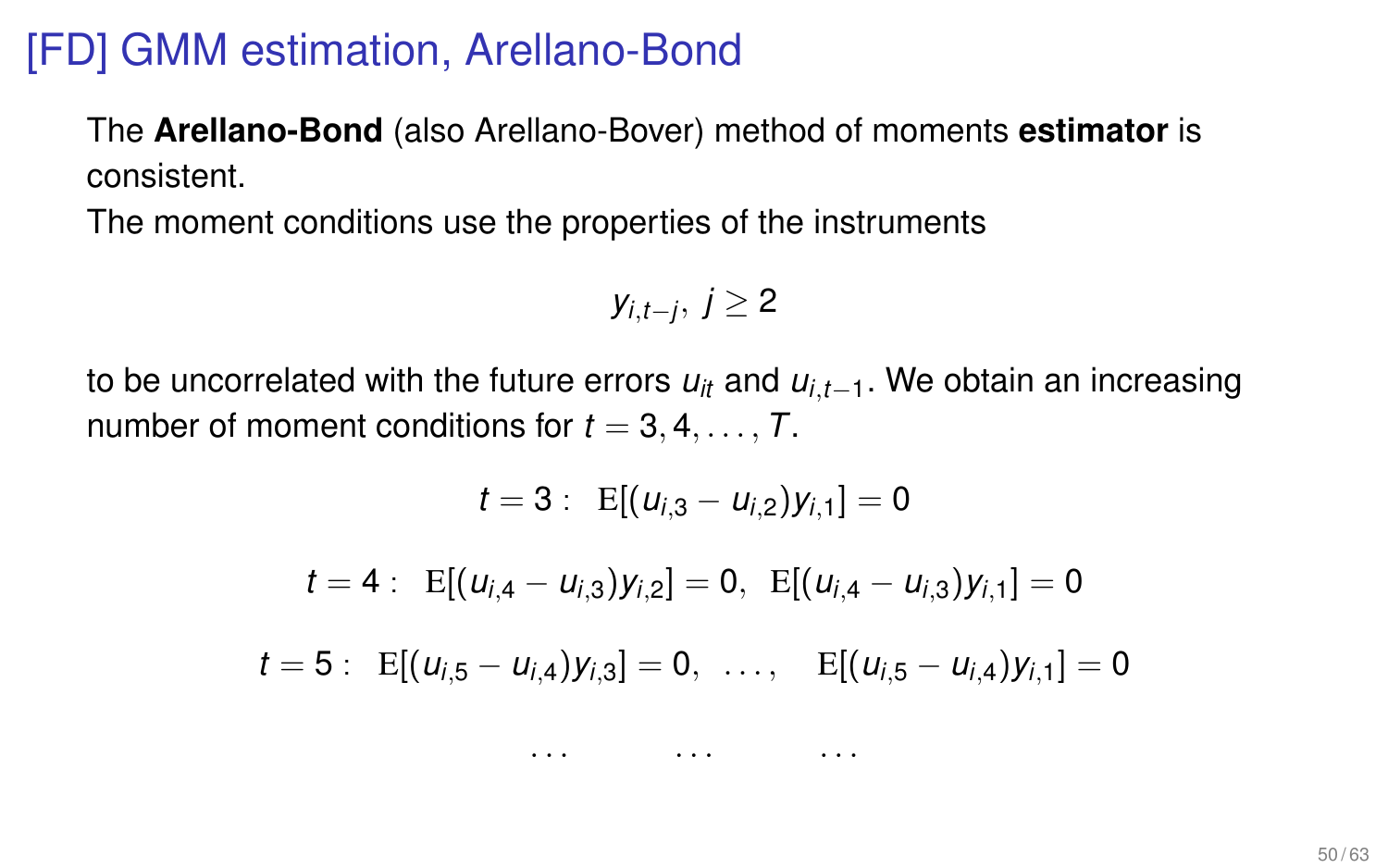# [FD] GMM estimation, Arellano-Bond

The **Arellano-Bond** (also Arellano-Bover) method of moments **estimator** is consistent.

The moment conditions use the properties of the instruments

$$
y_{i,t-j},\ j\geq 2
$$

to be uncorrelated with the future errors  $u_{it}$  and  $u_{i,t-1}$ . We obtain an increasing number of moment conditions for  $t = 3, 4, \ldots, T$ .

$$
t = 3: \ E[(u_{i,3} - u_{i,2})y_{i,1}] = 0
$$
  

$$
t = 4: \ E[(u_{i,4} - u_{i,3})y_{i,2}] = 0, \ E[(u_{i,4} - u_{i,3})y_{i,1}] = 0
$$
  

$$
t = 5: \ E[(u_{i,5} - u_{i,4})y_{i,3}] = 0, \ \ldots, \ E[(u_{i,5} - u_{i,4})y_{i,1}] = 0
$$

. . . . . . . . .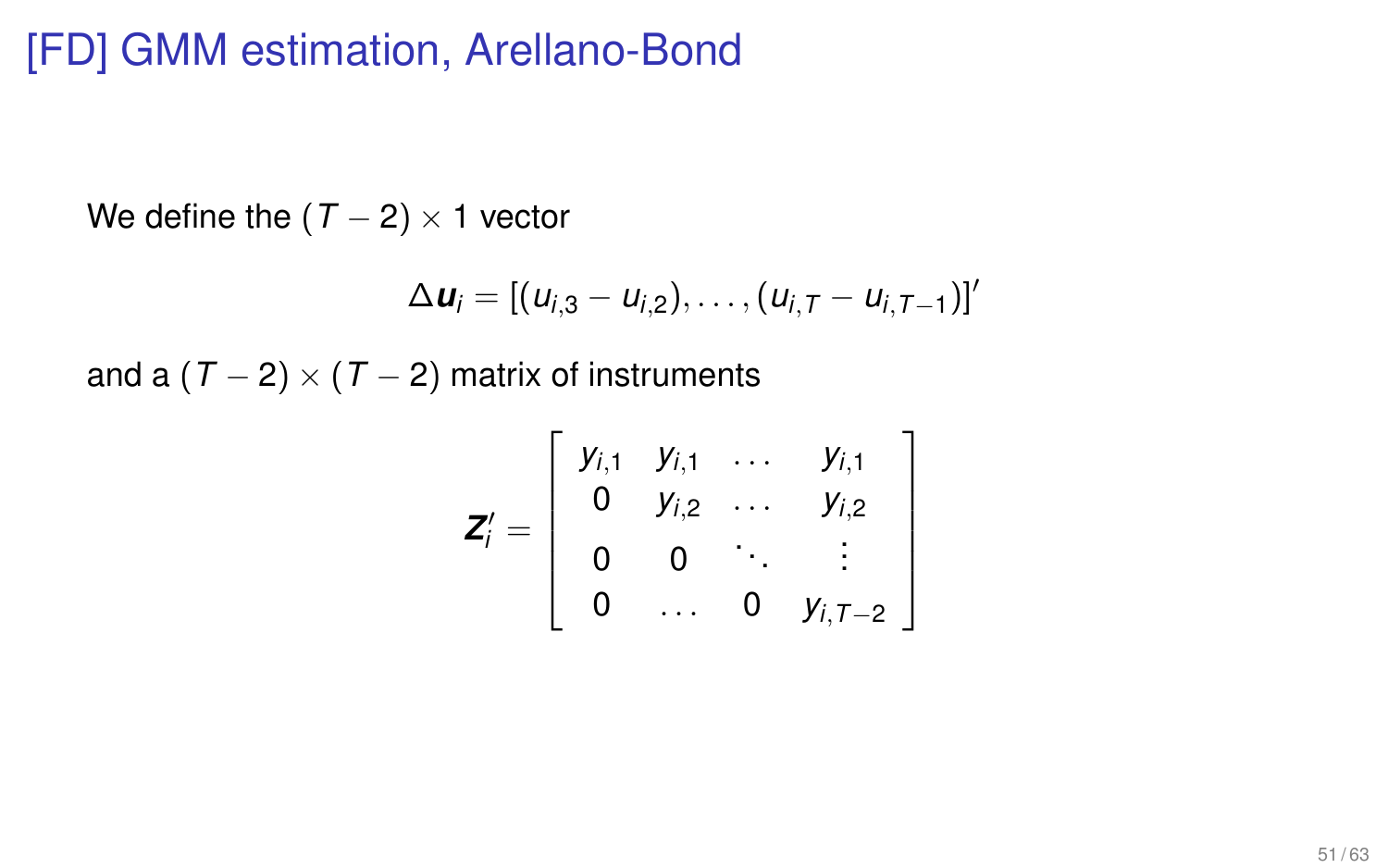# [FD] GMM estimation, Arellano-Bond

We define the  $(T - 2) \times 1$  vector

$$
\Delta u_i = [(u_{i,3} - u_{i,2}), \ldots, (u_{i,T} - u_{i,T-1})]'
$$

and a  $(T - 2) \times (T - 2)$  matrix of instruments

$$
\mathbf{Z}'_i = \left[ \begin{array}{cccc} y_{i,1} & y_{i,1} & \dots & y_{i,1} \\ 0 & y_{i,2} & \dots & y_{i,2} \\ 0 & 0 & \ddots & \vdots \\ 0 & \dots & 0 & y_{i,T-2} \end{array} \right]
$$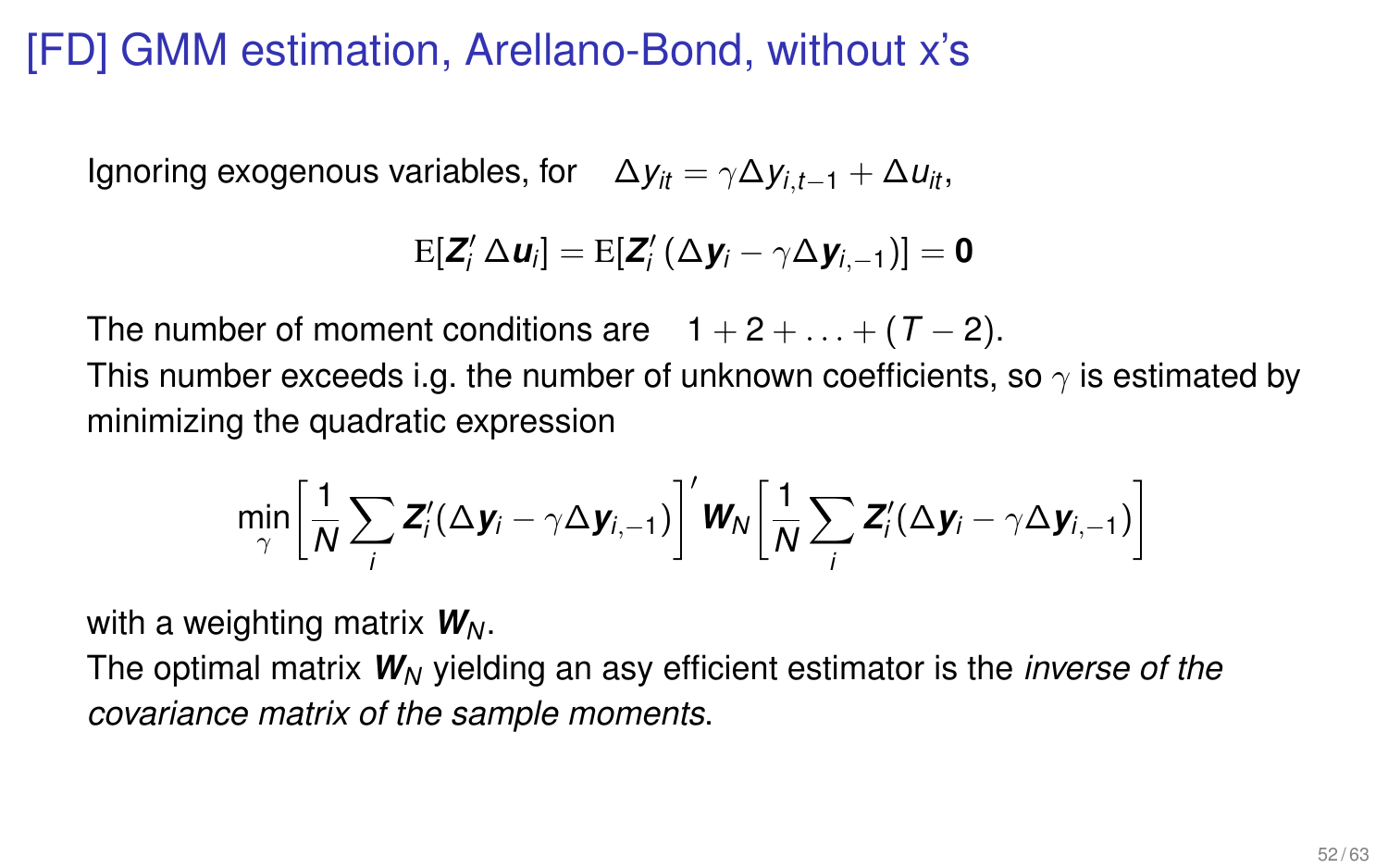# [FD] GMM estimation, Arellano-Bond, without x's

Ignoring exogenous variables, for  $\Delta y_i = \gamma \Delta y_i t_{i-1} + \Delta u_i t_i$ 

$$
\mathrm{E}[\boldsymbol{Z}^{\prime}_i \, \Delta \boldsymbol{u}_i] = \mathrm{E}[\boldsymbol{Z}^{\prime}_i \, (\Delta \boldsymbol{y}_i - \gamma \Delta \boldsymbol{y}_{i,-1})] = \boldsymbol{0}
$$

The number of moment conditions are  $1 + 2 + ... + (T - 2)$ . This number exceeds i.g. the number of unknown coefficients, so  $\gamma$  is estimated by minimizing the quadratic expression

$$
\min_{\gamma} \left[ \frac{1}{N} \sum_{i} \bm{Z}'_i (\Delta \bm{y}_i - \gamma \Delta \bm{y}_{i,-1}) \right]' \bm{W}_N \left[ \frac{1}{N} \sum_{i} \bm{Z}'_i (\Delta \bm{y}_i - \gamma \Delta \bm{y}_{i,-1}) \right]
$$

with a weighting matrix  $W_N$ .

The optimal matrix *W<sup>N</sup>* yielding an asy efficient estimator is the *inverse of the covariance matrix of the sample moments*.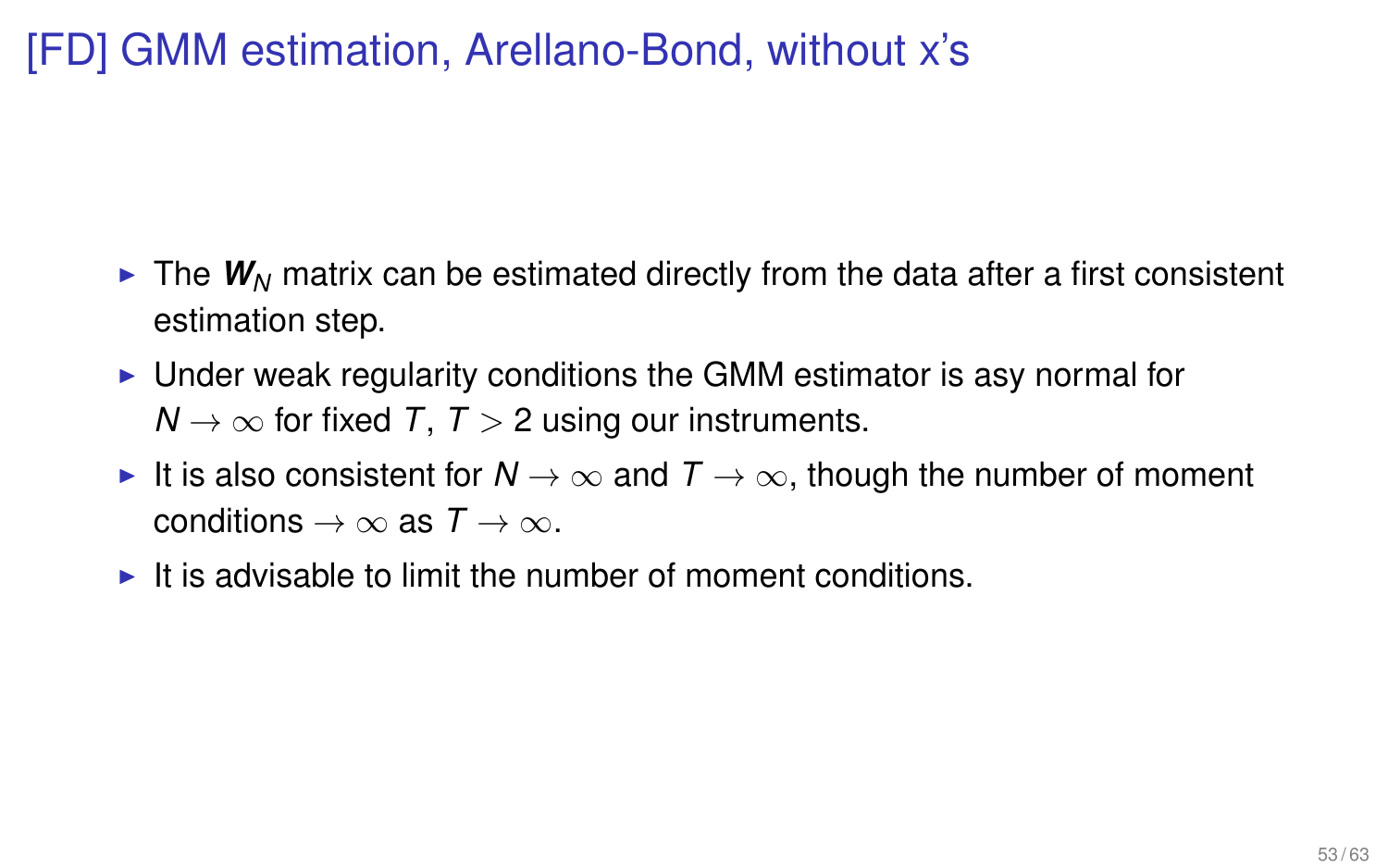# [FD] GMM estimation, Arellano-Bond, without x's

- $\blacktriangleright$  The  $W_N$  matrix can be estimated directly from the data after a first consistent estimation step.
- Inder weak regularity conditions the GMM estimator is asy normal for  $N \rightarrow \infty$  for fixed *T*, *T* > 2 using our instruments.
- It is also consistent for  $N \to \infty$  and  $T \to \infty$ , though the number of moment conditions  $\rightarrow \infty$  as  $T \rightarrow \infty$ .
- $\blacktriangleright$  It is advisable to limit the number of moment conditions.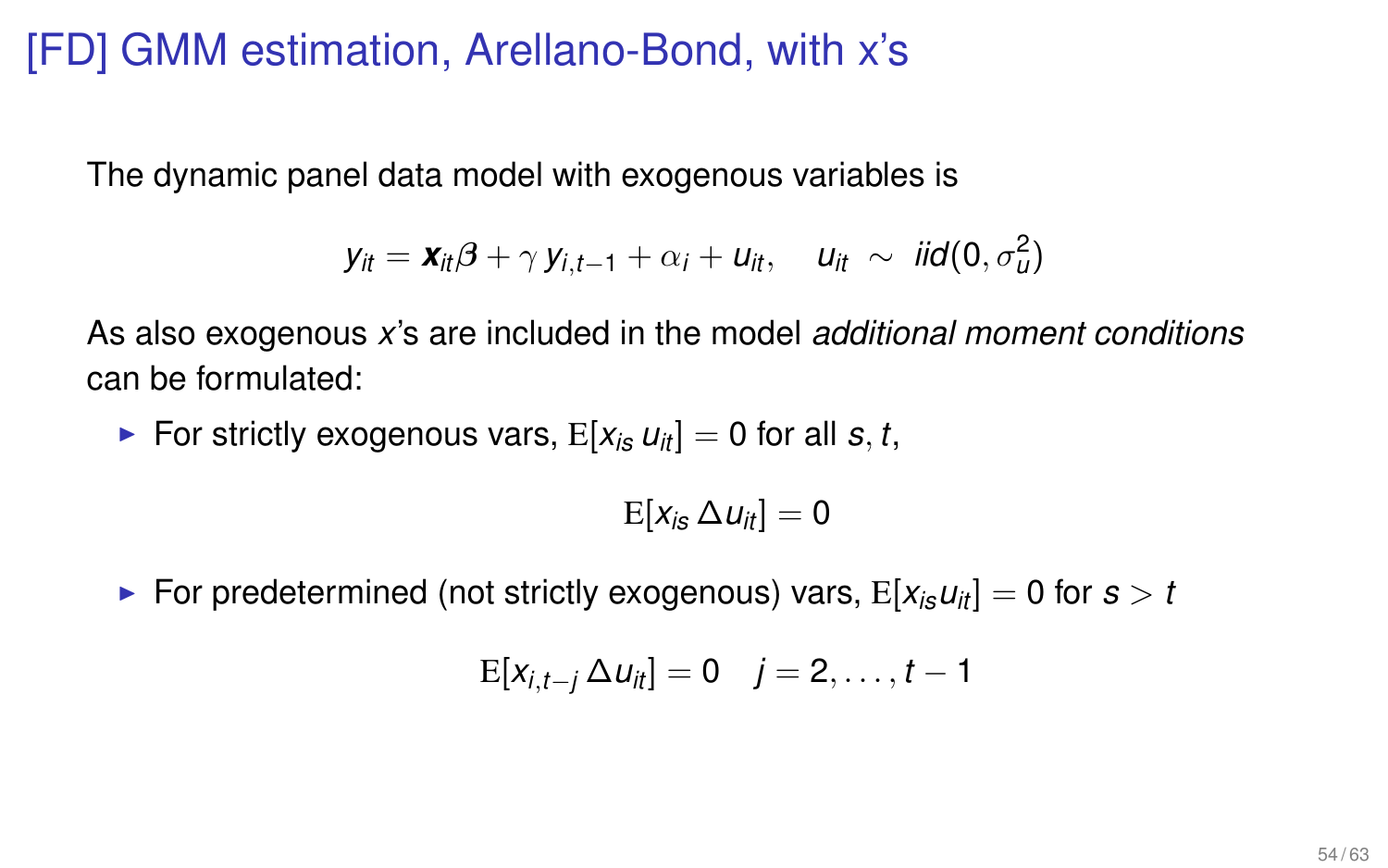# [FD] GMM estimation, Arellano-Bond, with x's

The dynamic panel data model with exogenous variables is

$$
\mathbf{y}_{it} = \mathbf{x}_{it} \boldsymbol{\beta} + \gamma \mathbf{y}_{i,t-1} + \alpha_i + \mathbf{u}_{it}, \quad \mathbf{u}_{it} \sim \mathit{iid}(\mathbf{0}, \sigma_u^2)
$$

As also exogenous *x*'s are included in the model *additional moment conditions* can be formulated:

For strictly exogenous vars,  $E[X_i, u_{ii}] = 0$  for all *s*, *t*,

$$
\mathrm{E}[x_{is}\,\Delta u_{it}]=0
$$

**For predetermined (not strictly exogenous) vars,**  $E[x_i, u_{it}] = 0$  **for**  $s > t$ 

$$
E[x_{i,t-j} \Delta u_{it}] = 0 \quad j=2,\ldots,t-1
$$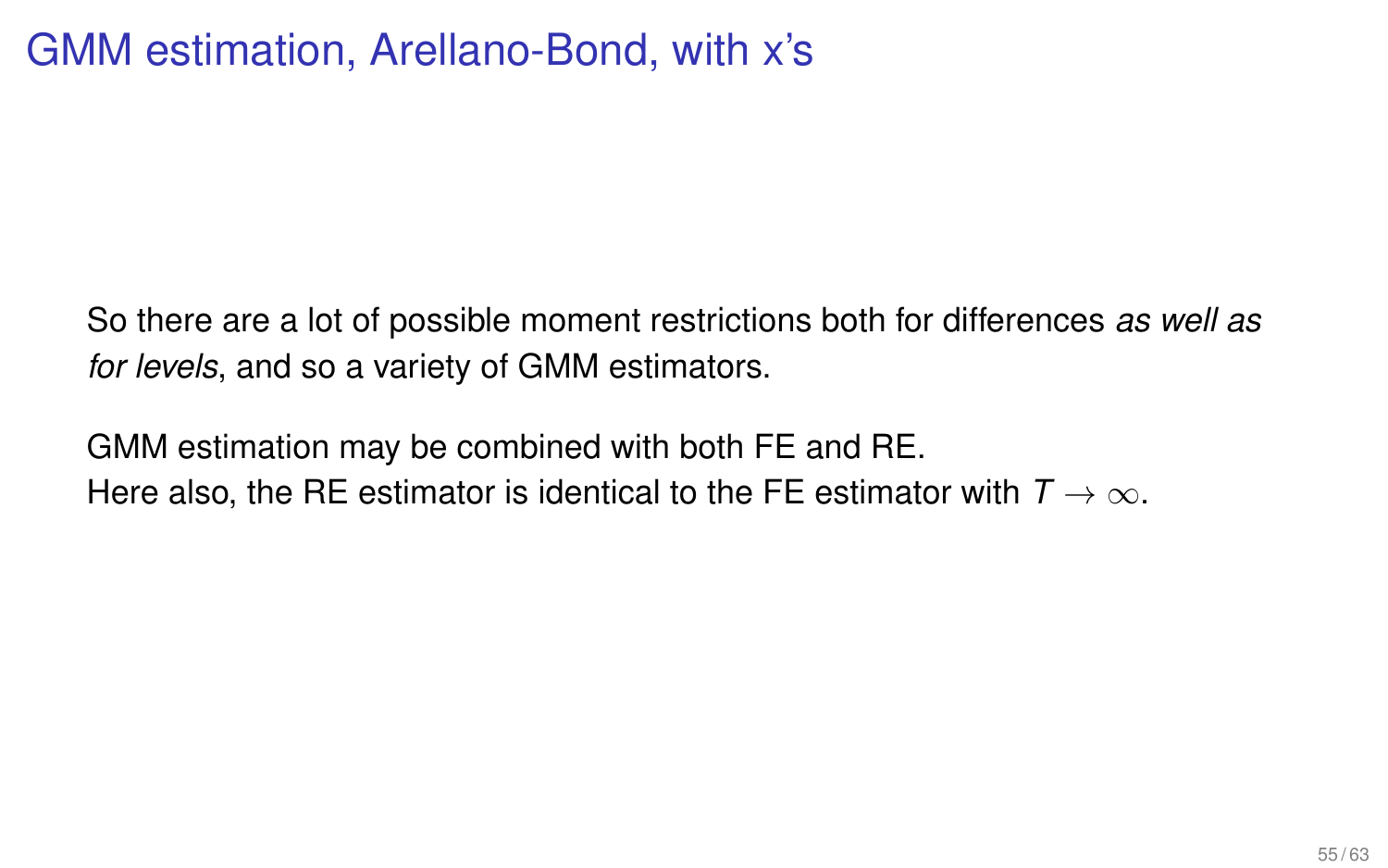# GMM estimation, Arellano-Bond, with x's

So there are a lot of possible moment restrictions both for differences *as well as for levels*, and so a variety of GMM estimators.

GMM estimation may be combined with both FE and RE. Here also, the RE estimator is identical to the FE estimator with  $T \to \infty$ .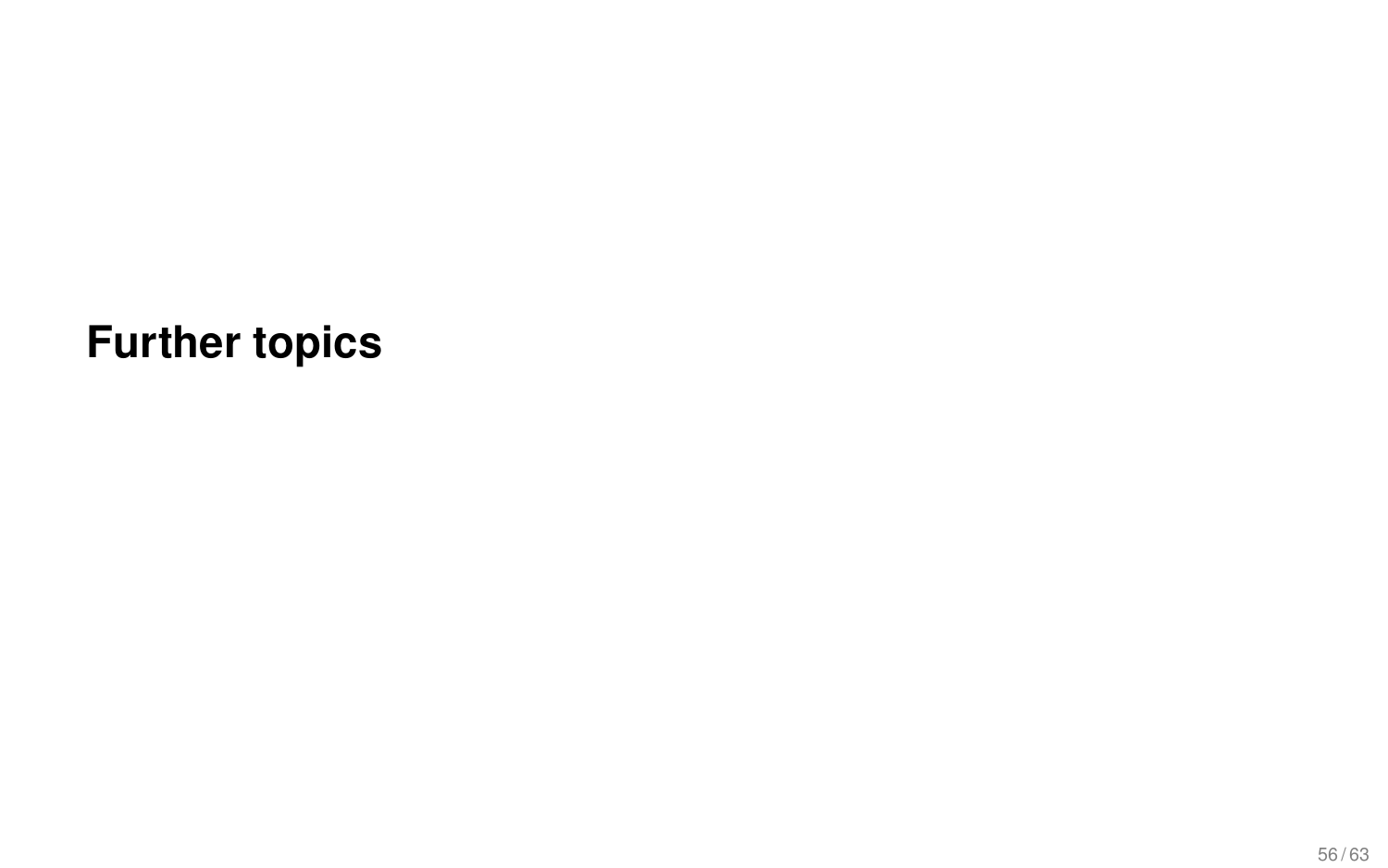**Further topics**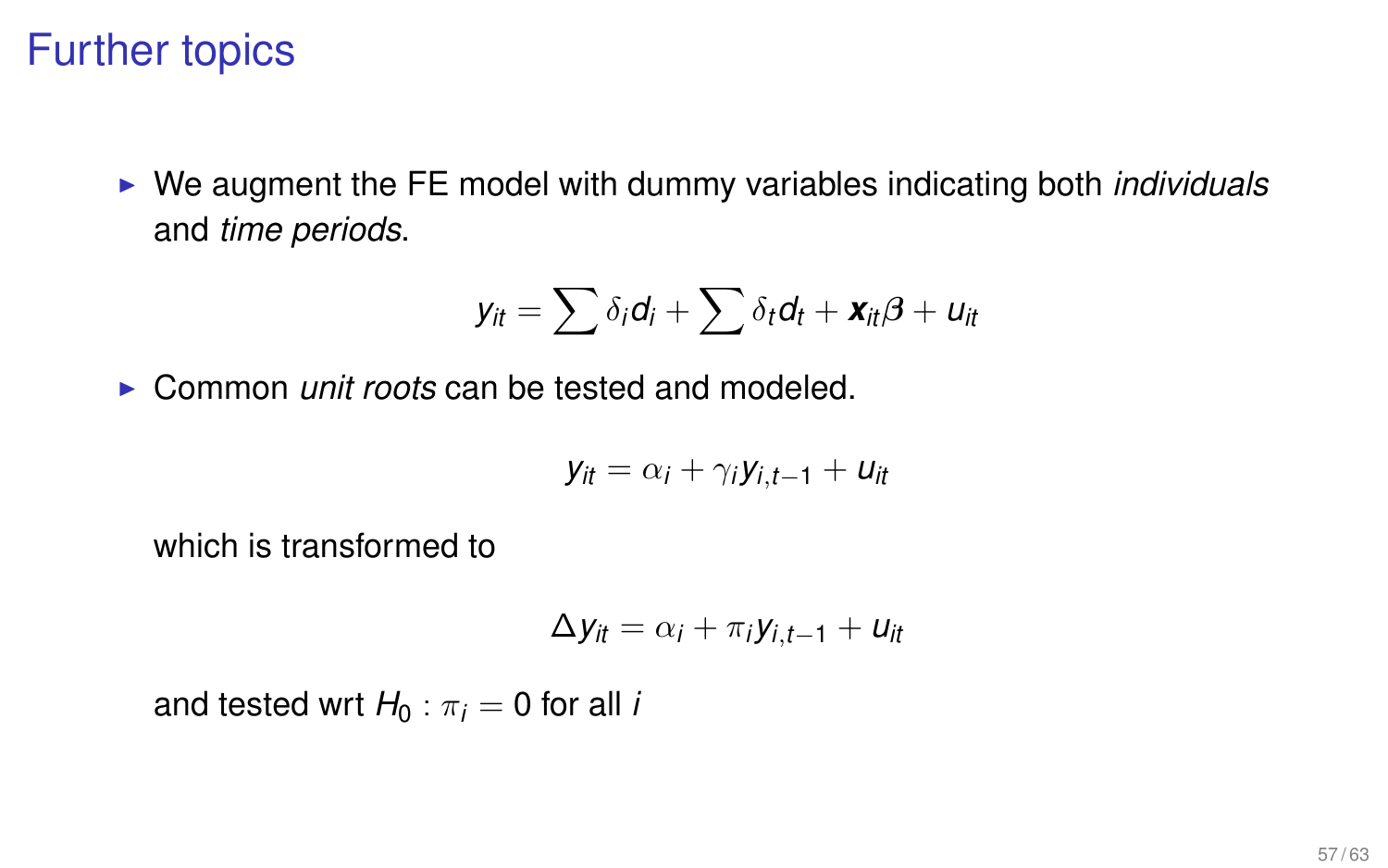### Further topics

► We augment the FE model with dummy variables indicating both *individuals* and *time periods*.

$$
y_{it} = \sum \delta_i d_i + \sum \delta_t d_t + \mathbf{x}_{it} \boldsymbol{\beta} + u_{it}
$$

► Common *unit roots* can be tested and modeled.

$$
y_{it} = \alpha_i + \gamma_i y_{i,t-1} + u_{it}
$$

which is transformed to

$$
\Delta y_{it} = \alpha_i + \pi_i y_{i,t-1} + u_{it}
$$

and tested wrt  $H_0$ :  $\pi_i = 0$  for all *i*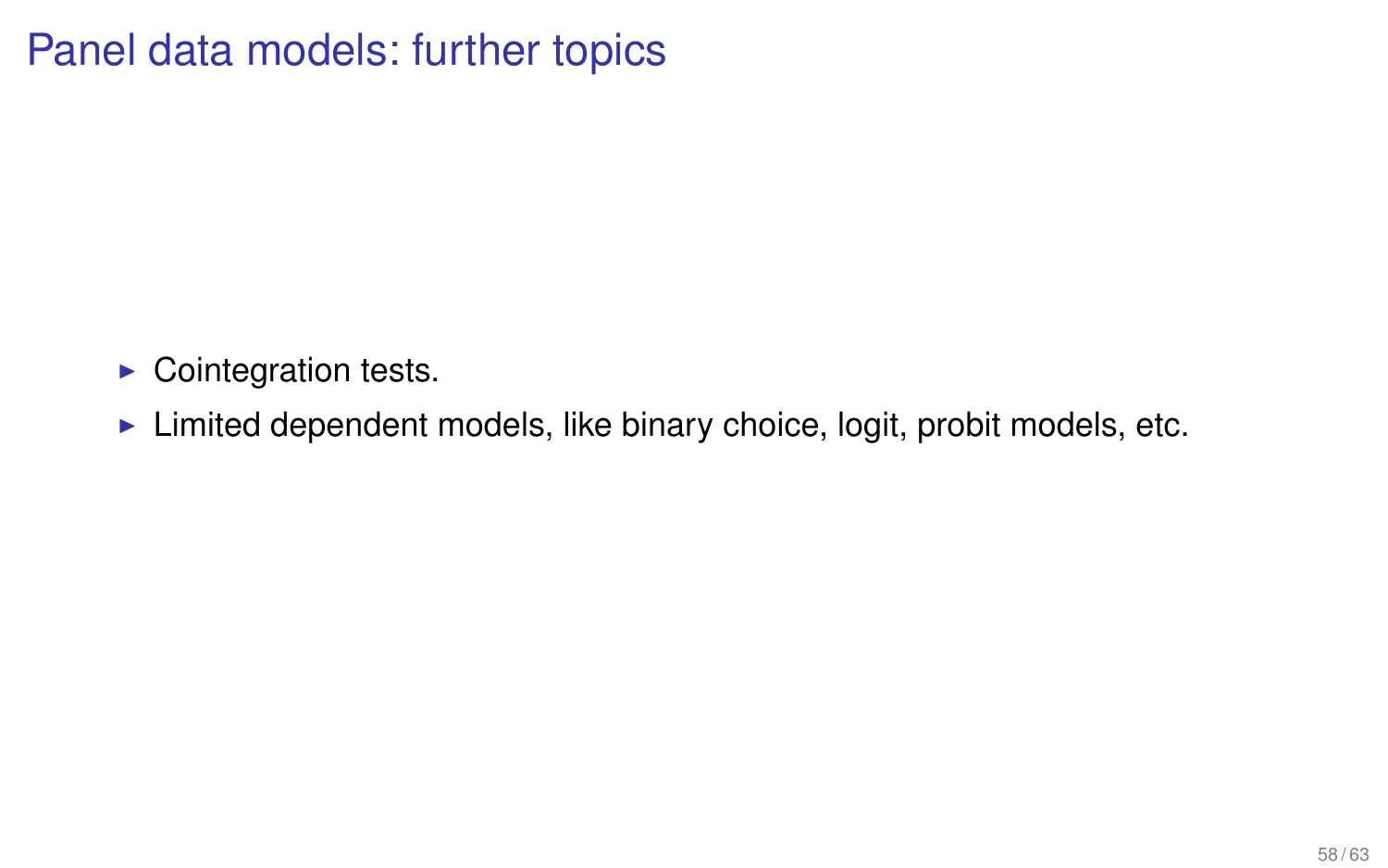# Panel data models: further topics

- $\blacktriangleright$  Cointegration tests.
- $\blacktriangleright$  Limited dependent models, like binary choice, logit, probit models, etc.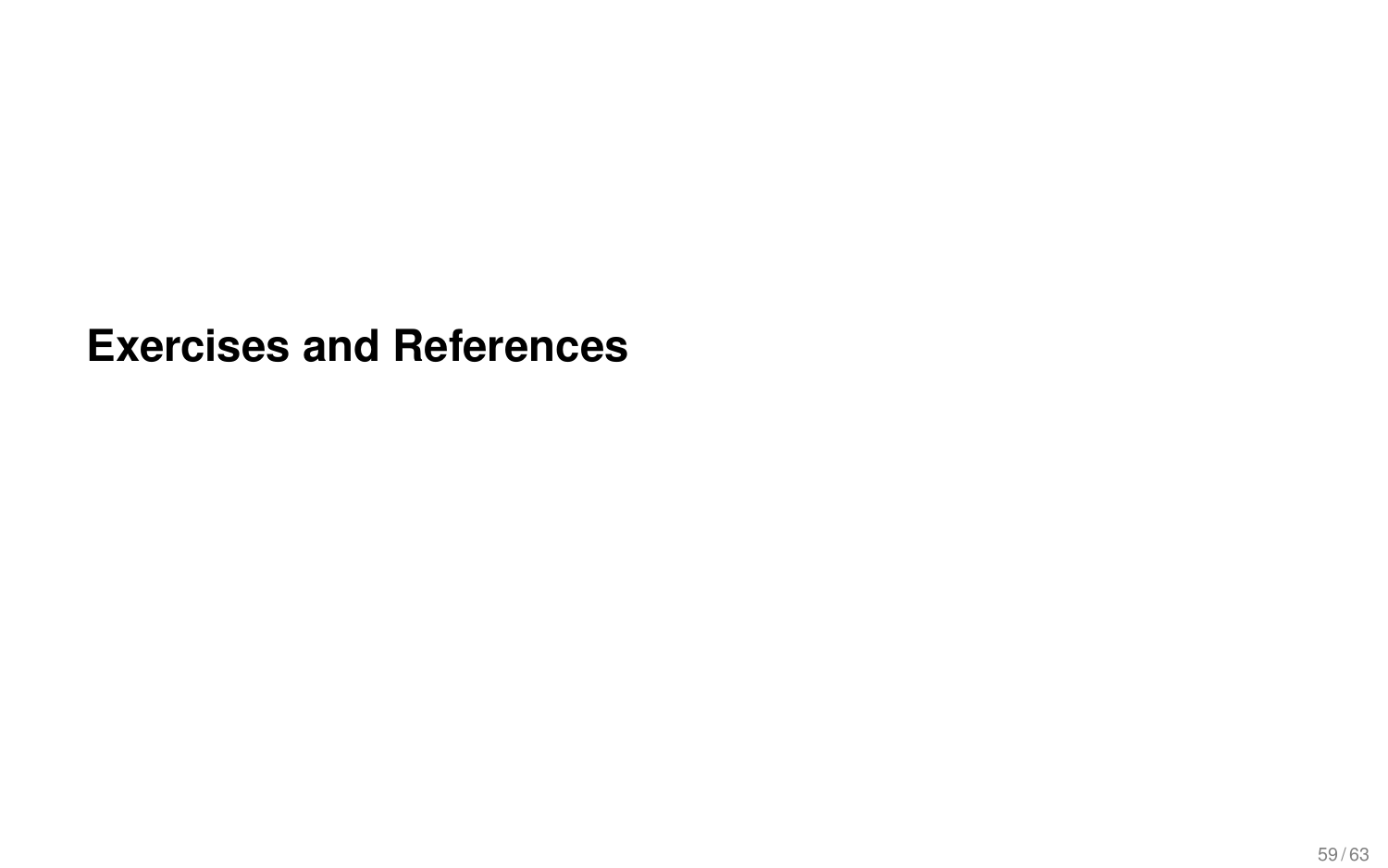#### **Exercises and References**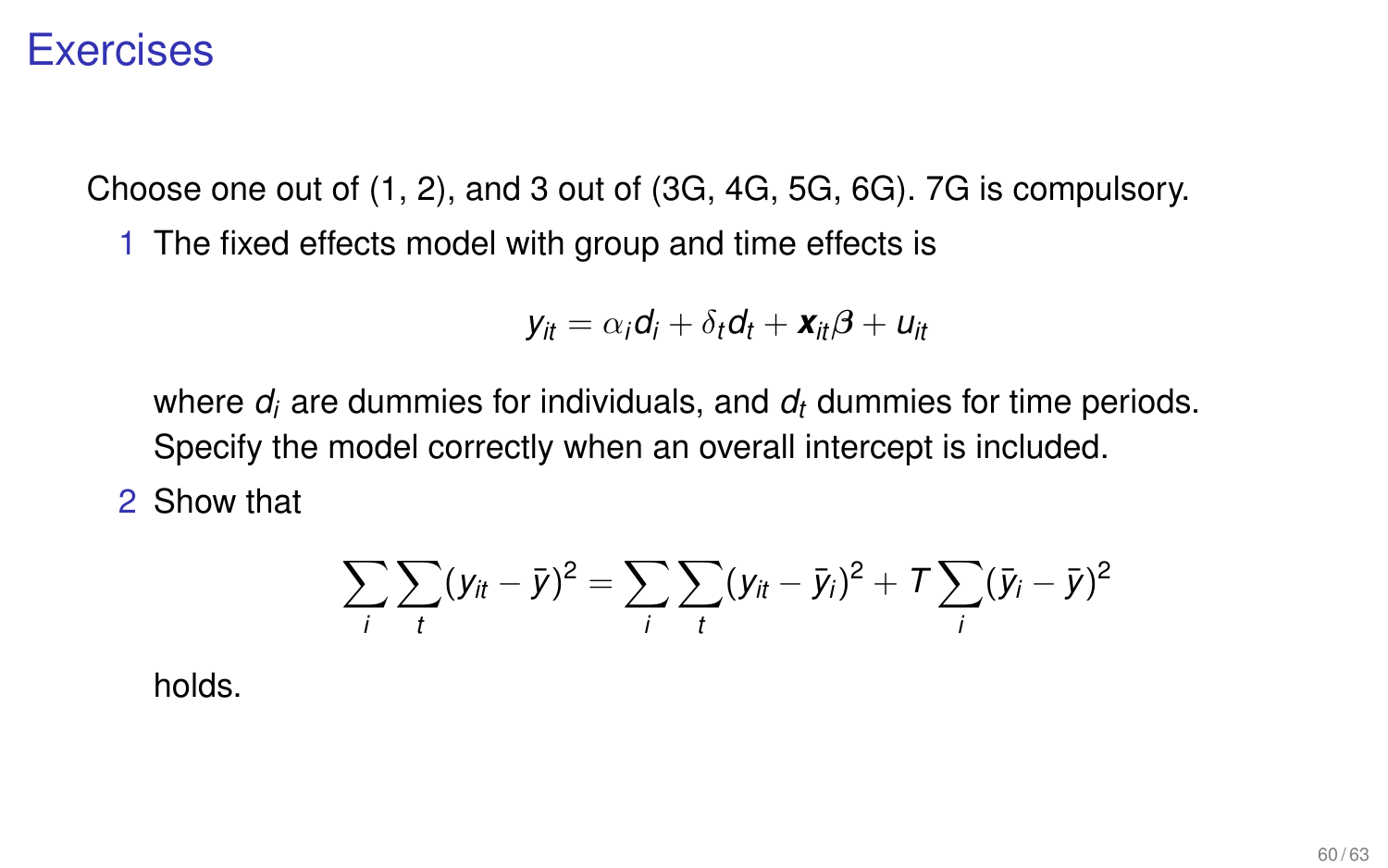#### **Exercises**

Choose one out of (1, 2), and 3 out of (3G, 4G, 5G, 6G). 7G is compulsory.

1 The fixed effects model with group and time effects is

$$
y_{it} = \alpha_i d_i + \delta_t d_t + \mathbf{x}_{it} \boldsymbol{\beta} + u_{it}
$$

where *d<sup>i</sup>* are dummies for individuals, and *d<sup>t</sup>* dummies for time periods. Specify the model correctly when an overall intercept is included.

2 Show that

$$
\sum_{i} \sum_{t} (y_{it} - \bar{y})^2 = \sum_{i} \sum_{t} (y_{it} - \bar{y}_{i})^2 + \mathcal{T} \sum_{i} (\bar{y}_{i} - \bar{y})^2
$$

holds.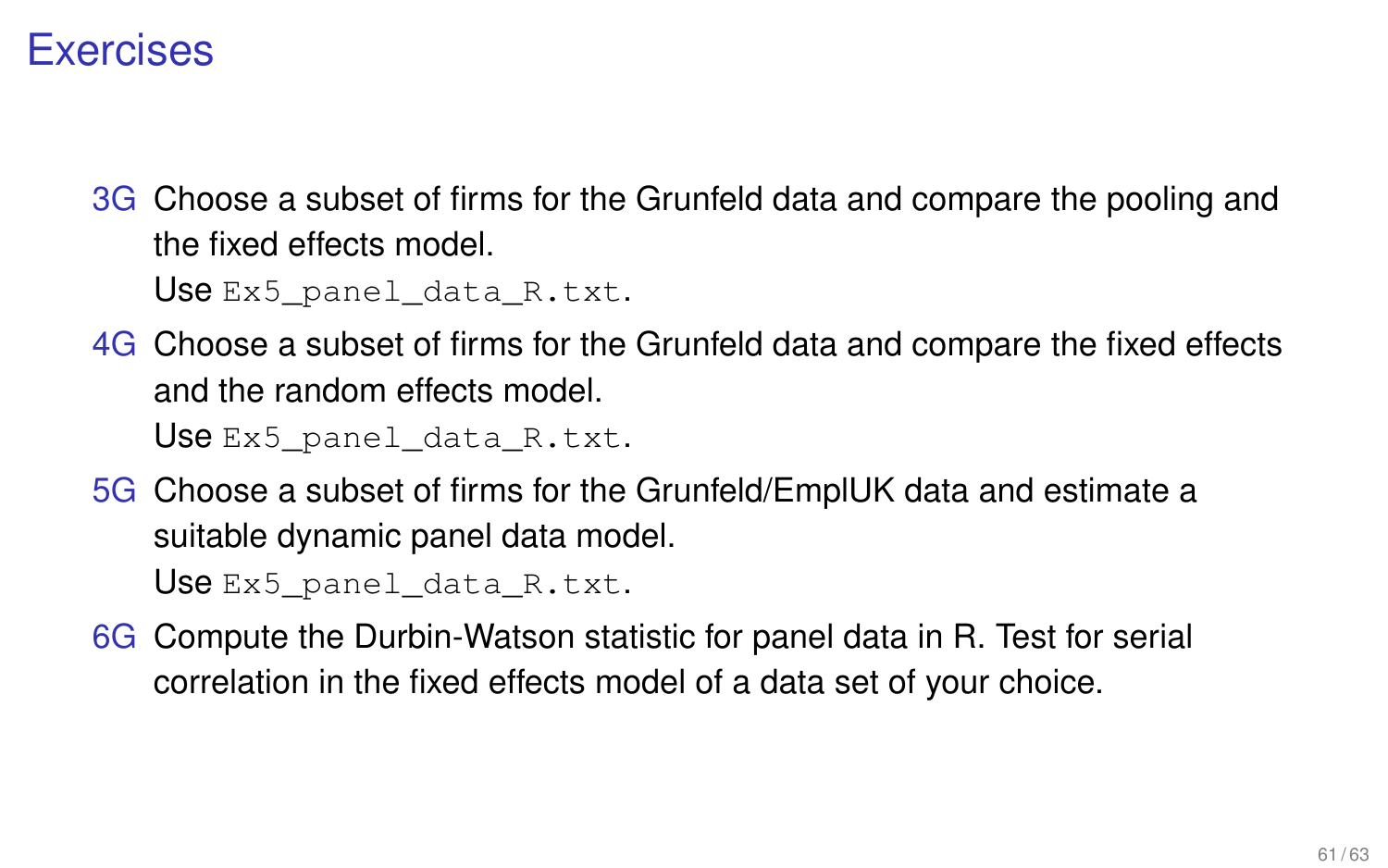#### **Exercises**

3G Choose a subset of firms for the Grunfeld data and compare the pooling and the fixed effects model.

Use Ex5 panel\_data\_R.txt.

4G Choose a subset of firms for the Grunfeld data and compare the fixed effects and the random effects model.

Use Ex5 panel data R.txt.

5G Choose a subset of firms for the Grunfeld/EmplUK data and estimate a suitable dynamic panel data model.

Use Ex5\_panel\_data\_R.txt.

6G Compute the Durbin-Watson statistic for panel data in R. Test for serial correlation in the fixed effects model of a data set of your choice.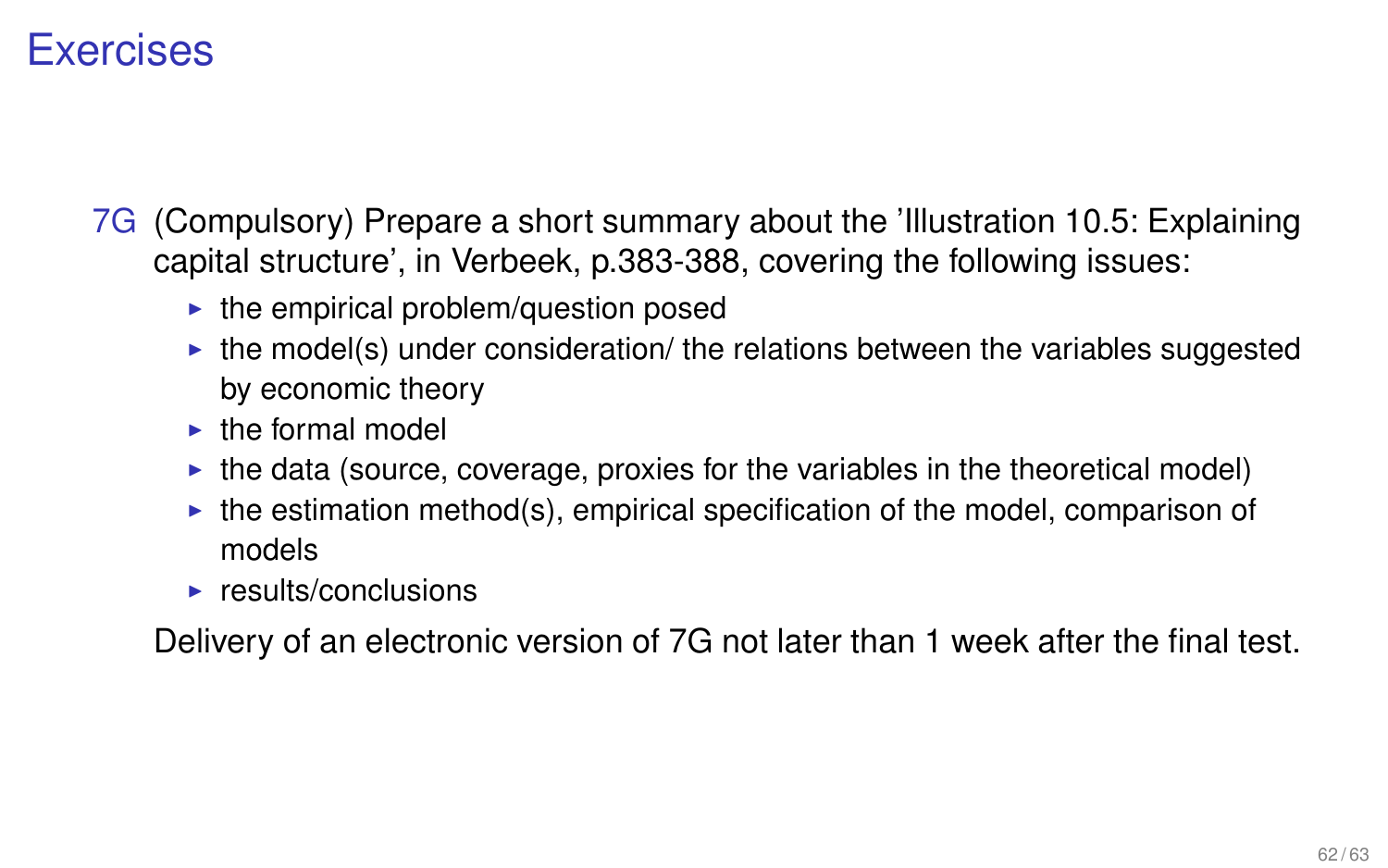#### **Exercises**

- 7G (Compulsory) Prepare a short summary about the 'Illustration 10.5: Explaining capital structure', in Verbeek, p.383-388, covering the following issues:
	- $\blacktriangleright$  the empirical problem/question posed
	- $\triangleright$  the model(s) under consideration/ the relations between the variables suggested by economic theory
	- $\blacktriangleright$  the formal model
	- $\triangleright$  the data (source, coverage, proxies for the variables in the theoretical model)
	- $\triangleright$  the estimation method(s), empirical specification of the model, comparison of models
	- $\blacktriangleright$  results/conclusions

Delivery of an electronic version of 7G not later than 1 week after the final test.